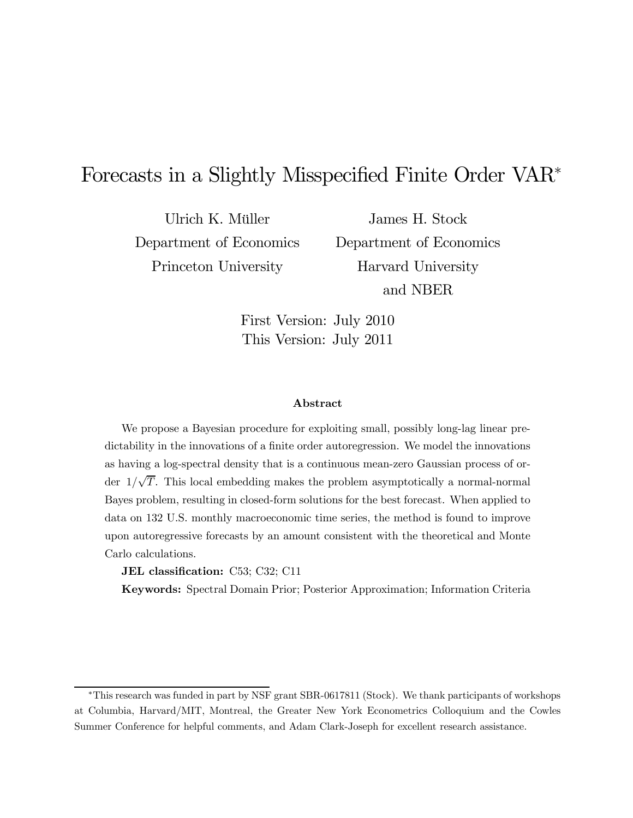# Forecasts in a Slightly Misspecified Finite Order VAR<sup>∗</sup>

Ulrich K. Müller Department of Economics Princeton University

James H. Stock Department of Economics Harvard University and NBER

First Version: July 2010 This Version: July 2011

#### Abstract

We propose a Bayesian procedure for exploiting small, possibly long-lag linear predictability in the innovations of a finite order autoregression. We model the innovations as having a log-spectral density that is a continuous mean-zero Gaussian process of order  $1/\sqrt{T}$ . This local embedding makes the problem asymptotically a normal-normal Bayes problem, resulting in closed-form solutions for the best forecast. When applied to data on 132 U.S. monthly macroeconomic time series, the method is found to improve upon autoregressive forecasts by an amount consistent with the theoretical and Monte Carlo calculations.

JEL classification: C53; C32; C11

Keywords: Spectral Domain Prior; Posterior Approximation; Information Criteria

<sup>∗</sup>This research was funded in part by NSF grant SBR-0617811 (Stock). We thank participants of workshops at Columbia, Harvard/MIT, Montreal, the Greater New York Econometrics Colloquium and the Cowles Summer Conference for helpful comments, and Adam Clark-Joseph for excellent research assistance.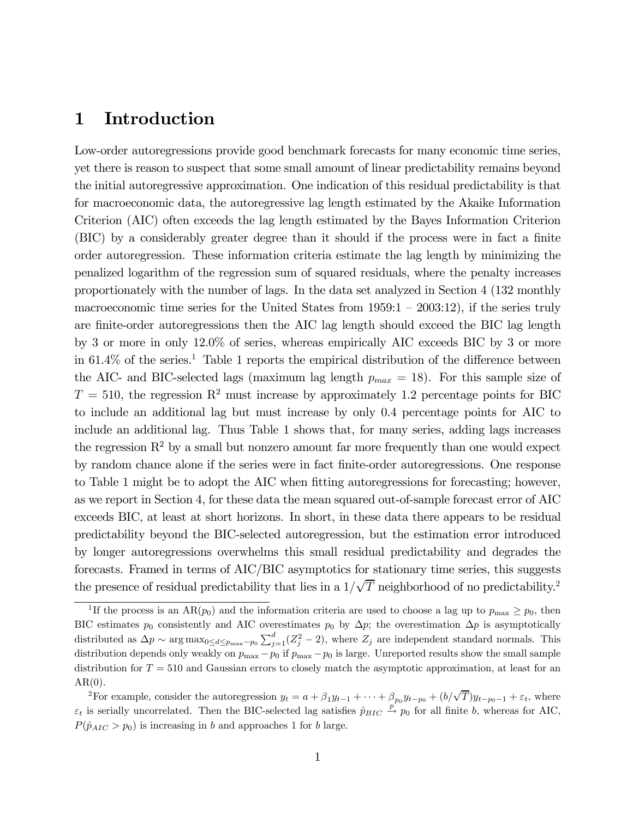# 1 Introduction

Low-order autoregressions provide good benchmark forecasts for many economic time series, yet there is reason to suspect that some small amount of linear predictability remains beyond the initial autoregressive approximation. One indication of this residual predictability is that for macroeconomic data, the autoregressive lag length estimated by the Akaike Information Criterion (AIC) often exceeds the lag length estimated by the Bayes Information Criterion (BIC) by a considerably greater degree than it should if the process were in fact a finite order autoregression. These information criteria estimate the lag length by minimizing the penalized logarithm of the regression sum of squared residuals, where the penalty increases proportionately with the number of lags. In the data set analyzed in Section 4 (132 monthly macroeconomic time series for the United States from 1959:1 — 2003:12), if the series truly are finite-order autoregressions then the AIC lag length should exceed the BIC lag length by 3 or more in only 12.0% of series, whereas empirically AIC exceeds BIC by 3 or more in  $61.4\%$  of the series.<sup>1</sup> Table 1 reports the empirical distribution of the difference between the AIC- and BIC-selected lags (maximum lag length  $p_{max} = 18$ ). For this sample size of  $T = 510$ , the regression R<sup>2</sup> must increase by approximately 1.2 percentage points for BIC to include an additional lag but must increase by only 0.4 percentage points for AIC to include an additional lag. Thus Table 1 shows that, for many series, adding lags increases the regression  $R^2$  by a small but nonzero amount far more frequently than one would expect by random chance alone if the series were in fact finite-order autoregressions. One response to Table 1 might be to adopt the AIC when fitting autoregressions for forecasting; however, as we report in Section 4, for these data the mean squared out-of-sample forecast error of AIC exceeds BIC, at least at short horizons. In short, in these data there appears to be residual predictability beyond the BIC-selected autoregression, but the estimation error introduced by longer autoregressions overwhelms this small residual predictability and degrades the forecasts. Framed in terms of AIC/BIC asymptotics for stationary time series, this suggests the presence of residual predictability that lies in a  $1/\sqrt{T}$  neighborhood of no predictability.<sup>2</sup>

<sup>&</sup>lt;sup>1</sup>If the process is an AR( $p_0$ ) and the information criteria are used to choose a lag up to  $p_{\text{max}} \ge p_0$ , then BIC estimates  $p_0$  consistently and AIC overestimates  $p_0$  by  $\Delta p$ ; the overestimation  $\Delta p$  is asymptotically distributed as  $\Delta p \sim \arg \max_{0 \le d \le p_{\max}-p_0} \sum_{j=1}^d (Z_j^2 - 2)$ , where  $Z_j$  are independent standard normals. This distribution depends only weakly on  $p_{\text{max}} - p_0$  if  $p_{\text{max}} - p_0$  is large. Unreported results show the small sample distribution for  $T = 510$  and Gaussian errors to closely match the asymptotic approximation, at least for an  $AR(0)$ .

<sup>&</sup>lt;sup>2</sup>For example, consider the autoregression  $y_t = a + \beta_1 y_{t-1} + \cdots + \beta_{p_0} y_{t-p_0} + (b/\sqrt{T}) y_{t-p_0-1} + \varepsilon_t$ , where  $\varepsilon_t$  is serially uncorrelated. Then the BIC-selected lag satisfies  $\hat{p}_{BIC} \stackrel{p}{\rightarrow} p_0$  for all finite b, whereas for AIC,  $P(\hat{p}_{AIC} > p_0)$  is increasing in b and approaches 1 for b large.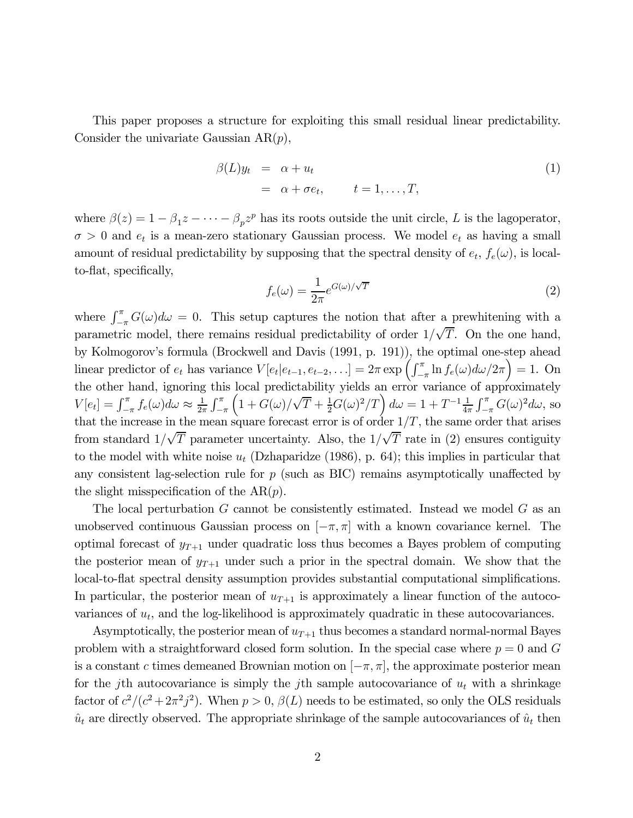This paper proposes a structure for exploiting this small residual linear predictability. Consider the univariate Gaussian  $AR(p)$ ,

$$
\beta(L)y_t = \alpha + u_t \n= \alpha + \sigma e_t, \qquad t = 1, \dots, T,
$$
\n(1)

where  $\beta(z)=1-\beta_1z-\cdots-\beta_pz^p$  has its roots outside the unit circle, L is the lagoperator,  $\sigma > 0$  and  $e_t$  is a mean-zero stationary Gaussian process. We model  $e_t$  as having a small amount of residual predictability by supposing that the spectral density of  $e_t$ ,  $f_e(\omega)$ , is localto-flat, specifically,

$$
f_e(\omega) = \frac{1}{2\pi} e^{G(\omega)/\sqrt{T}}
$$
\n(2)

where  $\int_{-\pi}^{\pi} G(\omega) d\omega = 0$ . This setup captures the notion that after a prewhitening with a parametric model, there remains residual predictability of order  $1/\sqrt{T}$ . On the one hand, by Kolmogorov's formula (Brockwell and Davis (1991, p. 191)), the optimal one-step ahead linear predictor of  $e_t$  has variance  $V[e_t|e_{t-1}, e_{t-2}, \ldots] = 2\pi \exp\left(\int_{-\pi}^{\pi} \ln f_e(\omega) d\omega/2\pi\right) = 1$ . On the other hand, ignoring this local predictability yields an error variance of approximately  $V[e_t] = \int_{-\pi}^{\pi} f_e(\omega) d\omega \approx \frac{1}{2\pi} \int_{-\pi}^{\pi}$  $-\pi$  $\left(1+G(\omega)/\sqrt{T}+\frac{1}{2}G(\omega)^2/T\right)d\omega =1+T^{-1}\frac{1}{4\pi}\int_{-\pi}^{\pi}G(\omega)^2d\omega$ , so that the increase in the mean square forecast error is of order  $1/T$ , the same order that arises from standard  $1/\sqrt{T}$  parameter uncertainty. Also, the  $1/\sqrt{T}$  rate in (2) ensures contiguity to the model with white noise  $u_t$  (Dzhaparidze (1986), p. 64); this implies in particular that any consistent lag-selection rule for  $p$  (such as BIC) remains asymptotically unaffected by the slight misspecification of the  $AR(p)$ .

The local perturbation G cannot be consistently estimated. Instead we model G as an unobserved continuous Gaussian process on  $[-\pi, \pi]$  with a known covariance kernel. The optimal forecast of  $y_{T+1}$  under quadratic loss thus becomes a Bayes problem of computing the posterior mean of  $y_{T+1}$  under such a prior in the spectral domain. We show that the local-to-flat spectral density assumption provides substantial computational simplifications. In particular, the posterior mean of  $u_{T+1}$  is approximately a linear function of the autocovariances of  $u_t$ , and the log-likelihood is approximately quadratic in these autocovariances.

Asymptotically, the posterior mean of  $u_{T+1}$  thus becomes a standard normal-normal Bayes problem with a straightforward closed form solution. In the special case where  $p = 0$  and G is a constant c times demeaned Brownian motion on  $[-\pi, \pi]$ , the approximate posterior mean for the jth autocovariance is simply the jth sample autocovariance of  $u_t$  with a shrinkage factor of  $c^2/(c^2 + 2\pi^2 j^2)$ . When  $p > 0$ ,  $\beta(L)$  needs to be estimated, so only the OLS residuals  $\hat{u}_t$  are directly observed. The appropriate shrinkage of the sample autocovariances of  $\hat{u}_t$  then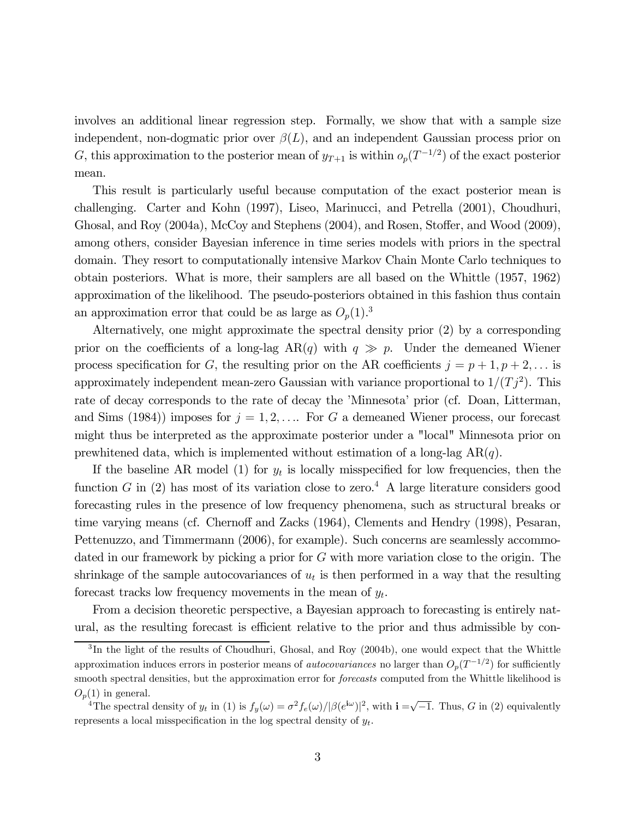involves an additional linear regression step. Formally, we show that with a sample size independent, non-dogmatic prior over  $\beta(L)$ , and an independent Gaussian process prior on G, this approximation to the posterior mean of  $y_{T+1}$  is within  $o_p(T^{-1/2})$  of the exact posterior mean.

This result is particularly useful because computation of the exact posterior mean is challenging. Carter and Kohn (1997), Liseo, Marinucci, and Petrella (2001), Choudhuri, Ghosal, and Roy (2004a), McCoy and Stephens (2004), and Rosen, Stoffer, and Wood (2009), among others, consider Bayesian inference in time series models with priors in the spectral domain. They resort to computationally intensive Markov Chain Monte Carlo techniques to obtain posteriors. What is more, their samplers are all based on the Whittle (1957, 1962) approximation of the likelihood. The pseudo-posteriors obtained in this fashion thus contain an approximation error that could be as large as  $O_p(1)$ .<sup>3</sup>

Alternatively, one might approximate the spectral density prior (2) by a corresponding prior on the coefficients of a long-lag  $AR(q)$  with  $q \gg p$ . Under the demeaned Wiener process specification for G, the resulting prior on the AR coefficients  $j = p + 1, p + 2, \ldots$  is approximately independent mean-zero Gaussian with variance proportional to  $1/(T_j^2)$ . This rate of decay corresponds to the rate of decay the 'Minnesota' prior (cf. Doan, Litterman, and Sims (1984)) imposes for  $j = 1, 2, \ldots$  For G a demeaned Wiener process, our forecast might thus be interpreted as the approximate posterior under a "local" Minnesota prior on prewhitened data, which is implemented without estimation of a long-lag  $AR(q)$ .

If the baseline AR model (1) for  $y_t$  is locally misspecified for low frequencies, then the function G in (2) has most of its variation close to zero.<sup>4</sup> A large literature considers good forecasting rules in the presence of low frequency phenomena, such as structural breaks or time varying means (cf. Chernoff and Zacks (1964), Clements and Hendry (1998), Pesaran, Pettenuzzo, and Timmermann (2006), for example). Such concerns are seamlessly accommodated in our framework by picking a prior for G with more variation close to the origin. The shrinkage of the sample autocovariances of  $u_t$  is then performed in a way that the resulting forecast tracks low frequency movements in the mean of  $y_t$ .

From a decision theoretic perspective, a Bayesian approach to forecasting is entirely natural, as the resulting forecast is efficient relative to the prior and thus admissible by con-

<sup>&</sup>lt;sup>3</sup>In the light of the results of Choudhuri, Ghosal, and Roy (2004b), one would expect that the Whittle approximation induces errors in posterior means of *autocovariances* no larger than  $O_p(T^{-1/2})$  for sufficiently smooth spectral densities, but the approximation error for *forecasts* computed from the Whittle likelihood is  $O_p(1)$  in general.

<sup>&</sup>lt;sup>4</sup>The spectral density of  $y_t$  in (1) is  $f_y(\omega) = \sigma^2 f_e(\omega)/|\beta(e^{i\omega})|^2$ , with  $\mathbf{i} = \sqrt{-1}$ . Thus, G in (2) equivalently represents a local misspecification in the log spectral density of  $y_t$ .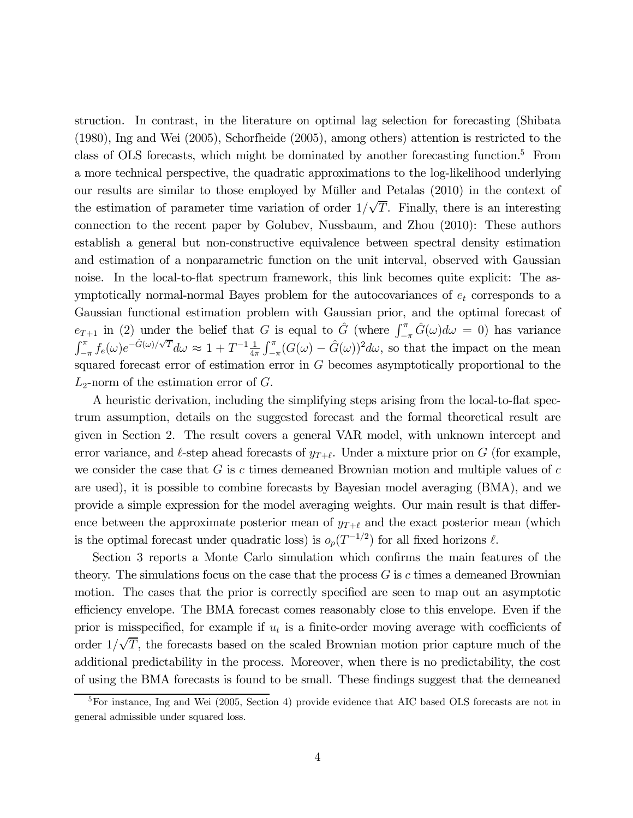struction. In contrast, in the literature on optimal lag selection for forecasting (Shibata (1980), Ing and Wei (2005), Schorfheide (2005), among others) attention is restricted to the class of OLS forecasts, which might be dominated by another forecasting function.5 From a more technical perspective, the quadratic approximations to the log-likelihood underlying our results are similar to those employed by Müller and Petalas (2010) in the context of the estimation of parameter time variation of order  $1/\sqrt{T}$ . Finally, there is an interesting connection to the recent paper by Golubev, Nussbaum, and Zhou (2010): These authors establish a general but non-constructive equivalence between spectral density estimation and estimation of a nonparametric function on the unit interval, observed with Gaussian noise. In the local-to-flat spectrum framework, this link becomes quite explicit: The asymptotically normal-normal Bayes problem for the autocovariances of  $e_t$  corresponds to a Gaussian functional estimation problem with Gaussian prior, and the optimal forecast of  $e_{T+1}$  in (2) under the belief that G is equal to  $\hat{G}$  (where  $\int_{-\pi}^{\pi} \hat{G}(\omega) d\omega = 0$ ) has variance  $\int_{-\pi}^{\pi} f_e(\omega) e^{-\hat{G}(\omega)/\sqrt{T}} d\omega \approx 1 + T^{-1} \frac{1}{4\pi} \int_{-\pi}^{\pi} (G(\omega) - \hat{G}(\omega))^2 d\omega$ , so that the impact on the mean squared forecast error of estimation error in G becomes asymptotically proportional to the  $L_2$ -norm of the estimation error of  $G$ .

A heuristic derivation, including the simplifying steps arising from the local-to-flat spectrum assumption, details on the suggested forecast and the formal theoretical result are given in Section 2. The result covers a general VAR model, with unknown intercept and error variance, and  $\ell$ -step ahead forecasts of  $y_{T+\ell}$ . Under a mixture prior on G (for example, we consider the case that  $G$  is c times demeaned Brownian motion and multiple values of  $c$ are used), it is possible to combine forecasts by Bayesian model averaging (BMA), and we provide a simple expression for the model averaging weights. Our main result is that difference between the approximate posterior mean of  $y_{T+\ell}$  and the exact posterior mean (which is the optimal forecast under quadratic loss) is  $o_p(T^{-1/2})$  for all fixed horizons  $\ell$ .

Section 3 reports a Monte Carlo simulation which confirms the main features of the theory. The simulations focus on the case that the process  $G$  is c times a demeaned Brownian motion. The cases that the prior is correctly specified are seen to map out an asymptotic efficiency envelope. The BMA forecast comes reasonably close to this envelope. Even if the prior is misspecified, for example if  $u_t$  is a finite-order moving average with coefficients of order  $1/\sqrt{T}$ , the forecasts based on the scaled Brownian motion prior capture much of the additional predictability in the process. Moreover, when there is no predictability, the cost of using the BMA forecasts is found to be small. These findings suggest that the demeaned

<sup>&</sup>lt;sup>5</sup>For instance, Ing and Wei (2005, Section 4) provide evidence that AIC based OLS forecasts are not in general admissible under squared loss.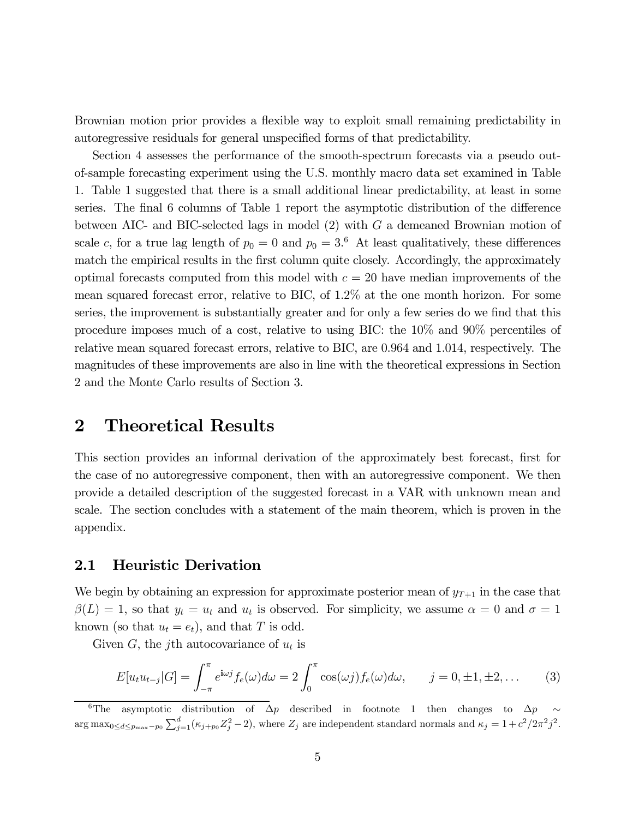Brownian motion prior provides a flexible way to exploit small remaining predictability in autoregressive residuals for general unspecified forms of that predictability.

Section 4 assesses the performance of the smooth-spectrum forecasts via a pseudo outof-sample forecasting experiment using the U.S. monthly macro data set examined in Table 1. Table 1 suggested that there is a small additional linear predictability, at least in some series. The final 6 columns of Table 1 report the asymptotic distribution of the difference between AIC- and BIC-selected lags in model (2) with G a demeaned Brownian motion of scale c, for a true lag length of  $p_0 = 0$  and  $p_0 = 3.6$  At least qualitatively, these differences match the empirical results in the first column quite closely. Accordingly, the approximately optimal forecasts computed from this model with  $c = 20$  have median improvements of the mean squared forecast error, relative to BIC, of 1.2% at the one month horizon. For some series, the improvement is substantially greater and for only a few series do we find that this procedure imposes much of a cost, relative to using BIC: the 10% and 90% percentiles of relative mean squared forecast errors, relative to BIC, are 0.964 and 1.014, respectively. The magnitudes of these improvements are also in line with the theoretical expressions in Section 2 and the Monte Carlo results of Section 3.

# 2 Theoretical Results

This section provides an informal derivation of the approximately best forecast, first for the case of no autoregressive component, then with an autoregressive component. We then provide a detailed description of the suggested forecast in a VAR with unknown mean and scale. The section concludes with a statement of the main theorem, which is proven in the appendix.

### 2.1 Heuristic Derivation

We begin by obtaining an expression for approximate posterior mean of  $y_{T+1}$  in the case that  $\beta(L) = 1$ , so that  $y_t = u_t$  and  $u_t$  is observed. For simplicity, we assume  $\alpha = 0$  and  $\sigma = 1$ known (so that  $u_t = e_t$ ), and that T is odd.

Given G, the j<sup>th</sup> autocovariance of  $u_t$  is

$$
E[u_t u_{t-j}|G] = \int_{-\pi}^{\pi} e^{i\omega j} f_e(\omega) d\omega = 2 \int_0^{\pi} \cos(\omega j) f_e(\omega) d\omega, \qquad j = 0, \pm 1, \pm 2, \dots \tag{3}
$$

<sup>&</sup>lt;sup>6</sup>The asymptotic distribution of  $\Delta p$  described in footnote 1 then changes to  $\Delta p \sim$  $\arg \max_{0 \le d \le p_{\max}-p_0} \sum_{j=1}^d (\kappa_{j+p_0} Z_j^2 - 2)$ , where  $Z_j$  are independent standard normals and  $\kappa_j = 1 + c^2/2\pi^2 j^2$ .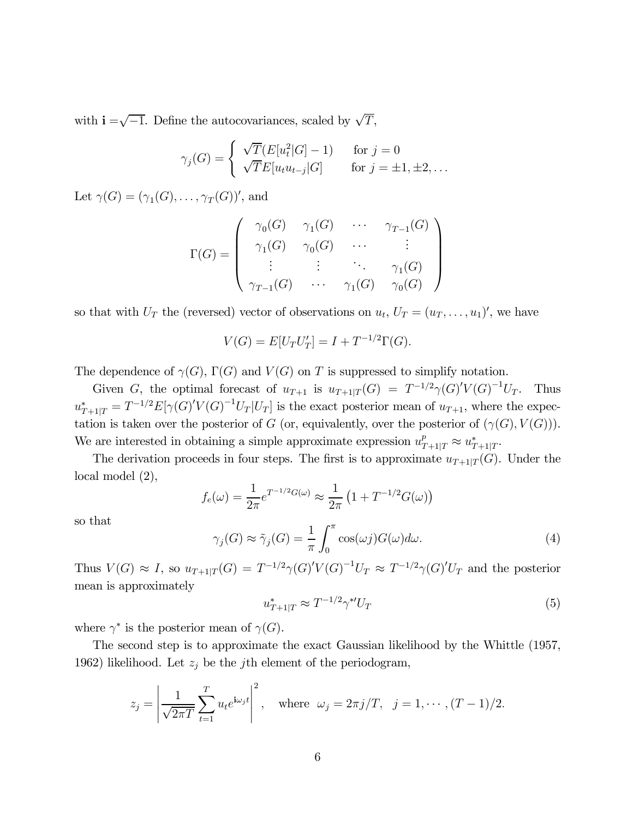with  $\mathbf{i} = \sqrt{-1}$ . Define the autocovariances, scaled by  $\sqrt{T}$ ,

$$
\gamma_j(G) = \begin{cases} \sqrt{T}(E[u_t^2|G] - 1) & \text{for } j = 0\\ \sqrt{T}E[u_t u_{t-j}|G] & \text{for } j = \pm 1, \pm 2, \dots \end{cases}
$$

Let  $\gamma(G) = (\gamma_1(G), \ldots, \gamma_T(G))'$ , and

$$
\Gamma(G) = \left( \begin{array}{cccc} \gamma_0(G) & \gamma_1(G) & \cdots & \gamma_{T-1}(G) \\ \gamma_1(G) & \gamma_0(G) & \cdots & \vdots \\ \vdots & \vdots & \ddots & \gamma_1(G) \\ \gamma_{T-1}(G) & \cdots & \gamma_1(G) & \gamma_0(G) \end{array} \right)
$$

so that with  $U_T$  the (reversed) vector of observations on  $u_t$ ,  $U_T = (u_T, \ldots, u_1)'$ , we have

$$
V(G) = E[U_T U'_T] = I + T^{-1/2} \Gamma(G).
$$

The dependence of  $\gamma(G)$ ,  $\Gamma(G)$  and  $V(G)$  on T is suppressed to simplify notation.

Given G, the optimal forecast of  $u_{T+1}$  is  $u_{T+1|T}(G) = T^{-1/2}\gamma(G)'V(G)^{-1}U_T$ . Thus  $u_{T+1|T}^* = T^{-1/2} E[\gamma(G)'V(G)^{-1}U_T]U_T$  is the exact posterior mean of  $u_{T+1}$ , where the expectation is taken over the posterior of G (or, equivalently, over the posterior of  $(\gamma(G), V(G))$ ). We are interested in obtaining a simple approximate expression  $u_{T+1|T}^p \approx u_{T+1|T}^*$ .

The derivation proceeds in four steps. The first is to approximate  $u_{T+1|T}(G)$ . Under the local model (2),

$$
f_e(\omega) = \frac{1}{2\pi} e^{T^{-1/2}G(\omega)} \approx \frac{1}{2\pi} (1 + T^{-1/2}G(\omega))
$$

so that

$$
\gamma_j(G) \approx \tilde{\gamma}_j(G) = \frac{1}{\pi} \int_0^{\pi} \cos(\omega j) G(\omega) d\omega.
$$
 (4)

Thus  $V(G) \approx I$ , so  $u_{T+1|T}(G) = T^{-1/2}\gamma(G)'V(G)^{-1}U_T \approx T^{-1/2}\gamma(G)'U_T$  and the posterior mean is approximately

$$
u_{T+1|T}^* \approx T^{-1/2} \gamma^{*'} U_T \tag{5}
$$

where  $\gamma^*$  is the posterior mean of  $\gamma(G)$ .

The second step is to approximate the exact Gaussian likelihood by the Whittle (1957, 1962) likelihood. Let  $z_j$  be the j<sup>th</sup> element of the periodogram,

$$
z_j = \left| \frac{1}{\sqrt{2\pi T}} \sum_{t=1}^T u_t e^{i\omega_j t} \right|^2
$$
, where  $\omega_j = 2\pi j/T$ ,  $j = 1, \dots, (T-1)/2$ .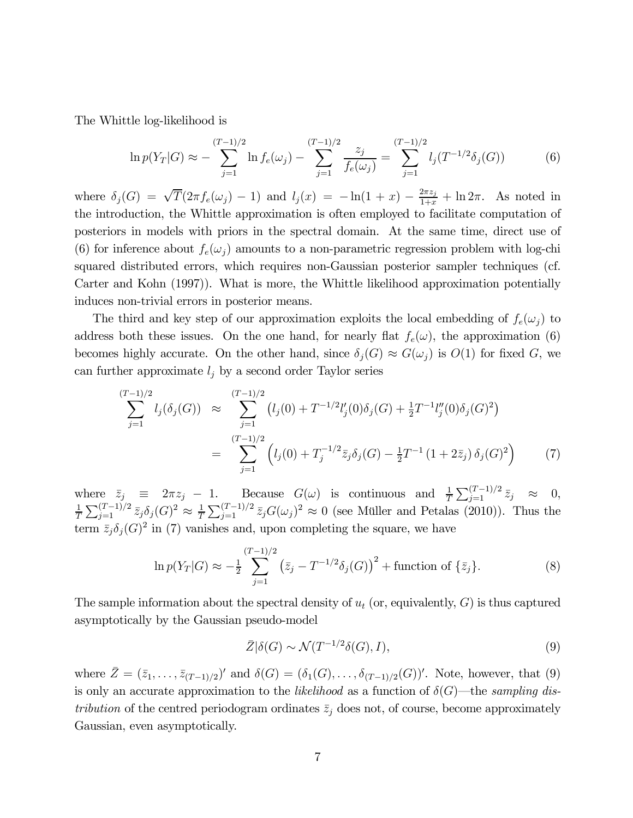The Whittle log-likelihood is

$$
\ln p(Y_T|G) \approx -\sum_{j=1}^{(T-1)/2} \ln f_e(\omega_j) - \sum_{j=1}^{(T-1)/2} \frac{z_j}{f_e(\omega_j)} = \sum_{j=1}^{(T-1)/2} l_j(T^{-1/2}\delta_j(G)) \tag{6}
$$

where  $\delta_j(G) = \sqrt{T}(2\pi f_e(\omega_j) - 1)$  and  $l_j(x) = -\ln(1+x) - \frac{2\pi z_j}{1+x} + \ln 2\pi$ . As noted in the introduction, the Whittle approximation is often employed to facilitate computation of posteriors in models with priors in the spectral domain. At the same time, direct use of (6) for inference about  $f_e(\omega_i)$  amounts to a non-parametric regression problem with log-chi squared distributed errors, which requires non-Gaussian posterior sampler techniques (cf. Carter and Kohn (1997)). What is more, the Whittle likelihood approximation potentially induces non-trivial errors in posterior means.

The third and key step of our approximation exploits the local embedding of  $f_e(\omega_j)$  to address both these issues. On the one hand, for nearly flat  $f_e(\omega)$ , the approximation (6) becomes highly accurate. On the other hand, since  $\delta_j(G) \approx G(\omega_j)$  is  $O(1)$  for fixed G, we can further approximate  $l_j$  by a second order Taylor series

$$
\sum_{j=1}^{(T-1)/2} l_j(\delta_j(G)) \approx \sum_{j=1}^{(T-1)/2} \left( l_j(0) + T^{-1/2} l'_j(0) \delta_j(G) + \frac{1}{2} T^{-1} l''_j(0) \delta_j(G)^2 \right)
$$
  

$$
= \sum_{j=1}^{(T-1)/2} \left( l_j(0) + T_j^{-1/2} \bar{z}_j \delta_j(G) - \frac{1}{2} T^{-1} (1 + 2 \bar{z}_j) \delta_j(G)^2 \right)
$$
(7)

where  $\bar{z}_j \equiv 2\pi z_j - 1$ . Because  $G(\omega)$  is continuous and  $\frac{1}{T} \sum_{j=1}^{(T-1)/2} \bar{z}_j \approx 0$ ,<br>  $\frac{1}{T} \sum_{j=1}^{(T-1)/2} \bar{z}_j \approx 0$ ,<br>  $\frac{1}{T} \sum_{j=1}^{(T-1)/2} \bar{z}_j \approx 0$ ,  $\frac{1}{T}\sum_{j=1}^{(T-1)/2}\bar{z}_j\delta_j(G)^2 \approx \frac{1}{T}\sum_{j=1}^{(T-1)/2}\bar{z}_jG(\omega_j)^2 \approx 0$  (see Müller and Petalas (2010)). Thus the term  $\bar{z}_j \delta_j(G)^2$  in (7) vanishes and, upon completing the square, we have

$$
\ln p(Y_T|G) \approx -\frac{1}{2} \sum_{j=1}^{(T-1)/2} \left(\bar{z}_j - T^{-1/2} \delta_j(G)\right)^2 + \text{function of } \{\bar{z}_j\}. \tag{8}
$$

The sample information about the spectral density of  $u_t$  (or, equivalently,  $G$ ) is thus captured asymptotically by the Gaussian pseudo-model

$$
\bar{Z}|\delta(G) \sim \mathcal{N}(T^{-1/2}\delta(G), I),\tag{9}
$$

where  $\bar{Z} = (\bar{z}_1, \ldots, \bar{z}_{(T-1)/2})'$  and  $\delta(G) = (\delta_1(G), \ldots, \delta_{(T-1)/2}(G))'$ . Note, however, that (9) is only an accurate approximation to the *likelihood* as a function of  $\delta(G)$ —the sampling distribution of the centred periodogram ordinates  $\bar{z}_i$  does not, of course, become approximately Gaussian, even asymptotically.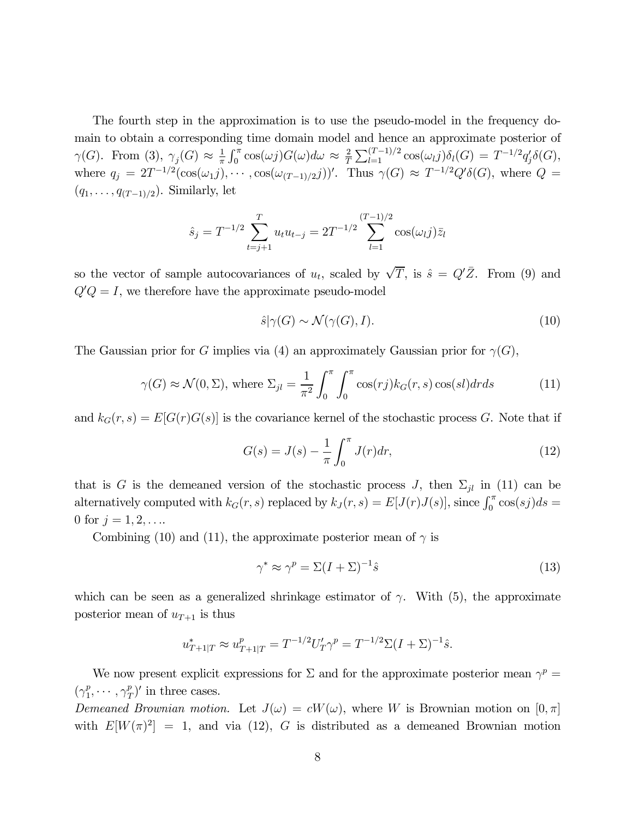The fourth step in the approximation is to use the pseudo-model in the frequency domain to obtain a corresponding time domain model and hence an approximate posterior of  $\gamma(G)$ . From (3),  $\gamma_j(G) \approx \frac{1}{\pi} \int_0^{\pi} \cos(\omega j) G(\omega) d\omega \approx \frac{2}{T} \sum_{l=1}^{(T-1)/2} \cos(\omega_l j) \delta_l(G) = T^{-1/2} q'_j \delta(G)$ , where  $q_j = 2T^{-1/2}(\cos(\omega_1 j), \cdots, \cos(\omega_{(T-1)/2} j))'$ . Thus  $\gamma(G) \approx T^{-1/2}Q'\delta(G)$ , where  $Q =$  $(q_1,\ldots,q_{(T-1)/2})$ . Similarly, let

$$
\hat{s}_j = T^{-1/2} \sum_{t=j+1}^T u_t u_{t-j} = 2T^{-1/2} \sum_{l=1}^{(T-1)/2} \cos(\omega_l j) \bar{z}_l
$$

so the vector of sample autocovariances of  $u_t$ , scaled by  $\sqrt{T}$ , is  $\hat{s} = Q'\overline{Z}$ . From (9) and  $Q'Q = I$ , we therefore have the approximate pseudo-model

$$
\hat{s}|\gamma(G) \sim \mathcal{N}(\gamma(G), I). \tag{10}
$$

The Gaussian prior for G implies via (4) an approximately Gaussian prior for  $\gamma(G)$ ,

$$
\gamma(G) \approx \mathcal{N}(0, \Sigma)
$$
, where  $\Sigma_{jl} = \frac{1}{\pi^2} \int_0^{\pi} \int_0^{\pi} \cos(rj) k_G(r, s) \cos(sl) dr ds$  (11)

and  $k_G(r, s) = E[G(r)G(s)]$  is the covariance kernel of the stochastic process G. Note that if

$$
G(s) = J(s) - \frac{1}{\pi} \int_0^{\pi} J(r) dr,
$$
\n(12)

that is G is the demeaned version of the stochastic process J, then  $\Sigma_{jl}$  in (11) can be alternatively computed with  $k_G(r, s)$  replaced by  $k_J(r, s) = E[J(r)J(s)]$ , since  $\int_0^{\pi} \cos(sj)ds =$ 0 for  $j = 1, 2, \ldots$ 

Combining (10) and (11), the approximate posterior mean of  $\gamma$  is

$$
\gamma^* \approx \gamma^p = \Sigma (I + \Sigma)^{-1} \hat{s} \tag{13}
$$

which can be seen as a generalized shrinkage estimator of  $\gamma$ . With (5), the approximate posterior mean of  $u_{T+1}$  is thus

$$
u_{T+1|T}^* \approx u_{T+1|T}^p = T^{-1/2} U_T' \gamma^p = T^{-1/2} \Sigma (I + \Sigma)^{-1} \hat{s}.
$$

We now present explicit expressions for  $\Sigma$  and for the approximate posterior mean  $\gamma^p =$  $(\gamma_1^p, \cdots, \gamma_T^p)'$  in three cases.

Demeaned Brownian motion. Let  $J(\omega) = cW(\omega)$ , where W is Brownian motion on  $[0, \pi]$ with  $E[W(\pi)^2]=1$ , and via (12), G is distributed as a demeaned Brownian motion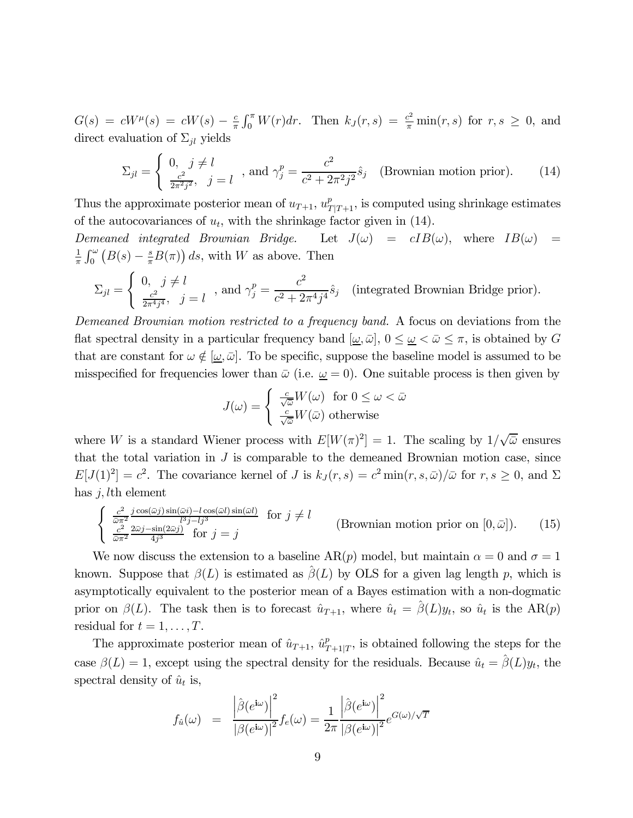$G(s) = cW^{\mu}(s) = cW(s) - \frac{c}{\pi} \int_0^{\pi} W(r) dr$ . Then  $k_J(r, s) = \frac{c^2}{\pi} \min(r, s)$  for  $r, s \ge 0$ , and direct evaluation of  $\Sigma_{jl}$  yields

$$
\Sigma_{jl} = \begin{cases} 0, \quad j \neq l \\ \frac{c^2}{2\pi^2 j^2}, \quad j = l \end{cases}, \text{ and } \gamma_j^p = \frac{c^2}{c^2 + 2\pi^2 j^2} \hat{s}_j \quad \text{(Brownian motion prior)}. \tag{14}
$$

Thus the approximate posterior mean of  $u_{T+1}$ ,  $u_{T|T+1}^p$ , is computed using shrinkage estimates of the autocovariances of  $u_t$ , with the shrinkage factor given in (14).

Demeaned integrated Brownian Bridge. Let  $J(\omega) = cIB(\omega)$ , where  $IB(\omega) = cIB(\omega)$ 1  $\frac{1}{\pi} \int_0^{\omega} (B(s) - \frac{s}{\pi} B(\pi)) ds$ , with W as above. Then

$$
\Sigma_{jl} = \left\{ \begin{array}{ll} 0, \;\; j \neq l \\ \frac{c^2}{2\pi^4 j^4}, \ \ j = l \end{array} \right. \, \text{, and } \gamma_j^p = \frac{c^2}{c^2 + 2\pi^4 j^4} \hat{s}_j \quad \text{(integrated Brownian Bridge prior)}.
$$

Demeaned Brownian motion restricted to a frequency band. A focus on deviations from the flat spectral density in a particular frequency band  $[\omega, \bar{\omega}]$ ,  $0 \leq \omega < \bar{\omega} \leq \pi$ , is obtained by G that are constant for  $\omega \notin [\underline{\omega}, \overline{\omega}]$ . To be specific, suppose the baseline model is assumed to be misspecified for frequencies lower than  $\bar{\omega}$  (i.e.  $\underline{\omega} = 0$ ). One suitable process is then given by

$$
J(\omega) = \begin{cases} \frac{c}{\sqrt{\bar{\omega}}} W(\omega) & \text{for } 0 \le \omega < \bar{\omega} \\ \frac{c}{\sqrt{\bar{\omega}}} W(\bar{\omega}) & \text{otherwise} \end{cases}
$$

where W is a standard Wiener process with  $E[W(\pi)^2]=1$ . The scaling by  $1/\sqrt{\bar{\omega}}$  ensures that the total variation in  $J$  is comparable to the demeaned Brownian motion case, since  $E[J(1)^2] = c^2$ . The covariance kernel of J is  $k_J(r, s) = c^2 \min(r, s, \bar{\omega})/\bar{\omega}$  for  $r, s \geq 0$ , and  $\Sigma$ has  $j, l$ th element

$$
\begin{cases}\n\frac{c^2}{\bar{\omega}\pi^2} \frac{j\cos(\bar{\omega}j)\sin(\bar{\omega}i) - l\cos(\bar{\omega}l)\sin(\bar{\omega}l)}{l^3 j - l j^3} & \text{for } j \neq l \\
\frac{c^2}{\bar{\omega}\pi^2} \frac{2\bar{\omega}j - \sin(2\bar{\omega}j)}{4j^3} & \text{for } j = j\n\end{cases}
$$
\n(Brownian motion prior on  $[0, \bar{\omega}])$ . (15)

We now discuss the extension to a baseline AR(p) model, but maintain  $\alpha = 0$  and  $\sigma = 1$ known. Suppose that  $\beta(L)$  is estimated as  $\beta(L)$  by OLS for a given lag length p, which is asymptotically equivalent to the posterior mean of a Bayes estimation with a non-dogmatic prior on  $\beta(L)$ . The task then is to forecast  $\hat{u}_{T+1}$ , where  $\hat{u}_t = \hat{\beta}(L)y_t$ , so  $\hat{u}_t$  is the AR(p) residual for  $t = 1, \ldots, T$ .

The approximate posterior mean of  $\hat{u}_{T+1}$ ,  $\hat{u}_{T+1|T}^p$ , is obtained following the steps for the case  $\beta(L)=1$ , except using the spectral density for the residuals. Because  $\hat{u}_t = \hat{\beta}(L)y_t$ , the spectral density of  $\hat{u}_t$  is,

$$
f_{\hat{u}}(\omega) = \frac{\left|\hat{\beta}(e^{\mathrm{i}\omega})\right|^2}{\left|\beta(e^{\mathrm{i}\omega})\right|^2} f_e(\omega) = \frac{1}{2\pi} \frac{\left|\hat{\beta}(e^{\mathrm{i}\omega})\right|^2}{\left|\beta(e^{\mathrm{i}\omega})\right|^2} e^{G(\omega)/\sqrt{T}}
$$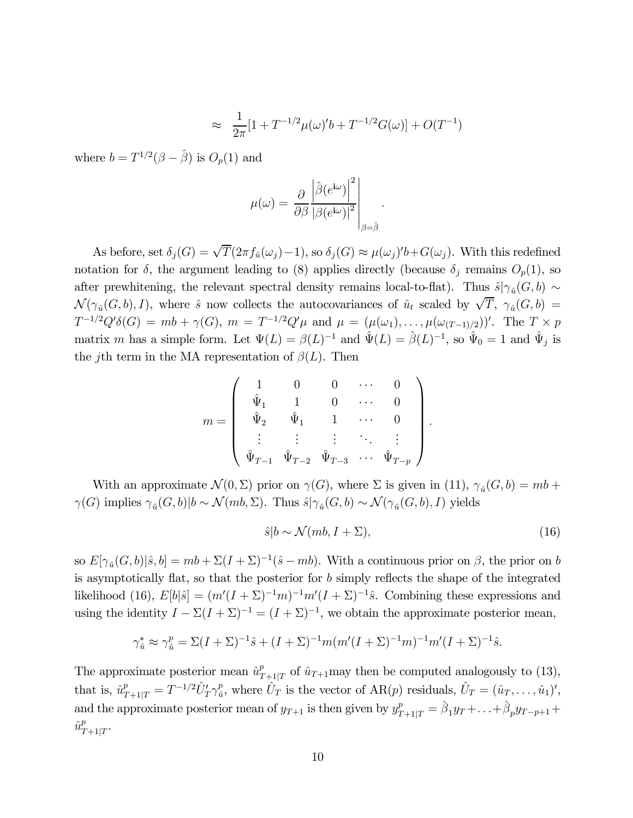$$
\approx \frac{1}{2\pi} [1 + T^{-1/2} \mu(\omega)' b + T^{-1/2} G(\omega)] + O(T^{-1})
$$

.

where  $b = T^{1/2}(\beta - \hat{\beta})$  is  $O_p(1)$  and

$$
\mu(\omega) = \left. \frac{\partial}{\partial \beta} \frac{\left| \hat{\beta} (e^{\mathrm{i} \omega}) \right|^2}{\left| \beta (e^{\mathrm{i} \omega}) \right|^2} \right|_{\beta = \hat{\beta}}
$$

As before, set  $\delta_j(G) = \sqrt{T}(2\pi f_{\hat{u}}(\omega_j) - 1)$ , so  $\delta_j(G) \approx \mu(\omega_j)' b + G(\omega_j)$ . With this redefined notation for  $\delta$ , the argument leading to (8) applies directly (because  $\delta_j$  remains  $O_p(1)$ , so after prewhitening, the relevant spectral density remains local-to-flat). Thus  $\hat{s}|\gamma_{\hat{u}}(G, b) \sim$  $\mathcal{N}(\gamma_{\hat{u}}(G,b), I)$ , where  $\hat{s}$  now collects the autocovariances of  $\hat{u}_t$  scaled by  $\sqrt{T}$ ,  $\gamma_{\hat{u}}(G,b)$  =  $T^{-1/2}Q'\delta(G) = mb + \gamma(G), m = T^{-1/2}Q'\mu$  and  $\mu = (\mu(\omega_1), \ldots, \mu(\omega_{(T-1)/2}))'$ . The  $T \times p$ matrix m has a simple form. Let  $\Psi(L) = \beta(L)^{-1}$  and  $\hat{\Psi}(L) = \hat{\beta}(L)^{-1}$ , so  $\hat{\Psi}_0 = 1$  and  $\hat{\Psi}_j$  is the j<sup>th</sup> term in the MA representation of  $\beta(L)$ . Then

$$
m = \left( \begin{array}{ccccc} 1 & 0 & 0 & \cdots & 0 \\ \hat{\Psi}_1 & 1 & 0 & \cdots & 0 \\ \hat{\Psi}_2 & \hat{\Psi}_1 & 1 & \cdots & 0 \\ \vdots & \vdots & \vdots & \ddots & \vdots \\ \hat{\Psi}_{T-1} & \hat{\Psi}_{T-2} & \hat{\Psi}_{T-3} & \cdots & \hat{\Psi}_{T-p} \end{array} \right)
$$

With an approximate  $\mathcal{N}(0, \Sigma)$  prior on  $\gamma(G)$ , where  $\Sigma$  is given in (11),  $\gamma_{\hat{u}}(G, b) = mb +$  $\gamma(G)$  implies  $\gamma_{\hat{u}}(G, b)|b \sim \mathcal{N}(mb, \Sigma)$ . Thus  $\hat{s}|\gamma_{\hat{u}}(G, b) \sim \mathcal{N}(\gamma_{\hat{u}}(G, b), I)$  yields

$$
\hat{s}|b \sim \mathcal{N}(mb, I + \Sigma),\tag{16}
$$

.

so  $E[\gamma_{\hat{u}}(G, b)|\hat{s}, b] = mb + \Sigma(I + \Sigma)^{-1}(\hat{s} - mb)$ . With a continuous prior on  $\beta$ , the prior on b is asymptotically flat, so that the posterior for  $b$  simply reflects the shape of the integrated likelihood (16),  $E[b|\hat{s}] = (m'(I + \Sigma)^{-1}m)^{-1}m'(I + \Sigma)^{-1}\hat{s}$ . Combining these expressions and using the identity  $I - \Sigma (I + \Sigma)^{-1} = (I + \Sigma)^{-1}$ , we obtain the approximate posterior mean,

$$
\gamma_{\hat{u}}^* \approx \gamma_{\hat{u}}^p = \Sigma (I + \Sigma)^{-1} \hat{s} + (I + \Sigma)^{-1} m (m'(I + \Sigma)^{-1} m)' (I + \Sigma)^{-1} \hat{s}.
$$

The approximate posterior mean  $\hat{u}_{T+1|T}^p$  of  $\hat{u}_{T+1}$  may then be computed analogously to (13), that is,  $\hat{u}_{T+1|T}^p = T^{-1/2} \hat{U}_T' \gamma_{\hat{u}}^p$ , where  $\hat{U}_T$  is the vector of  $AR(p)$  residuals,  $\hat{U}_T = (\hat{u}_T, \dots, \hat{u}_1)'$ , and the approximate posterior mean of  $y_{T+1}$  is then given by  $y_{T+1|T}^p = \hat{\beta}_1 y_T + \ldots + \hat{\beta}_p y_{T-p+1} +$  $\hat{u}_{T+1|T}^p$ .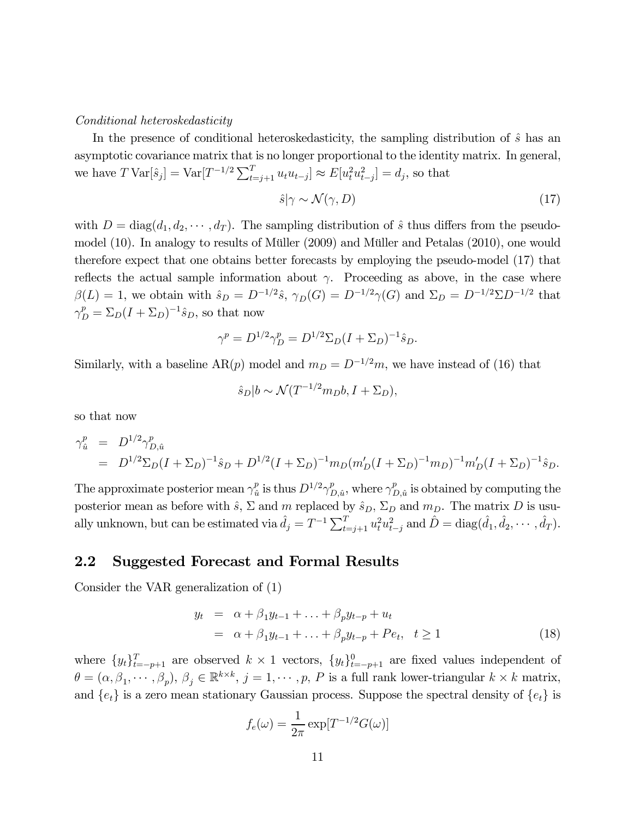#### Conditional heteroskedasticity

In the presence of conditional heteroskedasticity, the sampling distribution of  $\hat{s}$  has an asymptotic covariance matrix that is no longer proportional to the identity matrix. In general, we have  $T \text{Var}[\hat{s}_j] = \text{Var}[T^{-1/2} \sum_{t=j+1}^T u_t u_{t-j}] \approx E[u_t^2 u_{t-j}^2] = d_j$ , so that

$$
\hat{s}|\gamma \sim \mathcal{N}(\gamma, D) \tag{17}
$$

with  $D = diag(d_1, d_2, \dots, d_T)$ . The sampling distribution of  $\hat{s}$  thus differs from the pseudomodel (10). In analogy to results of Müller (2009) and Müller and Petalas (2010), one would therefore expect that one obtains better forecasts by employing the pseudo-model (17) that reflects the actual sample information about  $\gamma$ . Proceeding as above, in the case where  $\beta(L)=1$ , we obtain with  $\hat{s}_D = D^{-1/2}\hat{s}$ ,  $\gamma_D(G) = D^{-1/2}\gamma(G)$  and  $\Sigma_D = D^{-1/2}\Sigma D^{-1/2}$  that  $\gamma_D^p = \Sigma_D (I + \Sigma_D)^{-1} \hat{s}_D$ , so that now

$$
\gamma^{p} = D^{1/2} \gamma_{D}^{p} = D^{1/2} \Sigma_{D} (I + \Sigma_{D})^{-1} \hat{s}_{D}.
$$

Similarly, with a baseline AR(p) model and  $m_D = D^{-1/2}m$ , we have instead of (16) that

$$
\hat{s}_D | b \sim \mathcal{N}(T^{-1/2}m_D b, I + \Sigma_D),
$$

so that now

$$
\gamma_{\hat{u}}^p = D^{1/2} \gamma_{D, \hat{u}}^p
$$
  
= 
$$
D^{1/2} \Sigma_D (I + \Sigma_D)^{-1} \hat{s}_D + D^{1/2} (I + \Sigma_D)^{-1} m_D (m'_D (I + \Sigma_D)^{-1} m_D)^{-1} m'_D (I + \Sigma_D)^{-1} \hat{s}_D.
$$

The approximate posterior mean  $\gamma_{\hat{u}}^p$  is thus  $D^{1/2}\gamma_{D,\hat{u}}^p$ , where  $\gamma_{D,\hat{u}}^p$  is obtained by computing the posterior mean as before with  $\hat{s}$ ,  $\Sigma$  and  $m$  replaced by  $\hat{s}_D$ ,  $\Sigma_D$  and  $m_D$ . The matrix  $D$  is usually unknown, but can be estimated via  $\hat{d}_j = T^{-1} \sum_{t=j+1}^T u_t^2 u_{t-j}^2$  and  $\hat{D} = \text{diag}(\hat{d}_1, \hat{d}_2, \dots, \hat{d}_T)$ .

### 2.2 Suggested Forecast and Formal Results

Consider the VAR generalization of (1)

$$
y_t = \alpha + \beta_1 y_{t-1} + \ldots + \beta_p y_{t-p} + u_t
$$
  
=  $\alpha + \beta_1 y_{t-1} + \ldots + \beta_p y_{t-p} + Pe_t, t \ge 1$  (18)

where  $\{y_t\}_{t=-p+1}^T$  are observed  $k \times 1$  vectors,  $\{y_t\}_{t=-p+1}^0$  are fixed values independent of  $\theta = (\alpha, \beta_1, \cdots, \beta_p), \beta_j \in \mathbb{R}^{k \times k}, j = 1, \cdots, p, P$  is a full rank lower-triangular  $k \times k$  matrix, and  $\{e_t\}$  is a zero mean stationary Gaussian process. Suppose the spectral density of  $\{e_t\}$  is

$$
f_e(\omega) = \frac{1}{2\pi} \exp[T^{-1/2} G(\omega)]
$$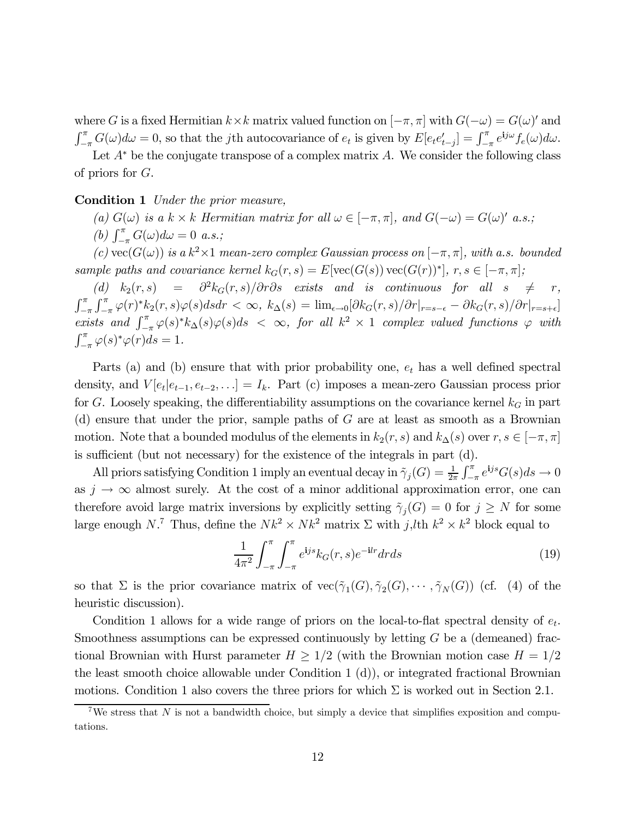where G is a fixed Hermitian  $k \times k$  matrix valued function on  $[-\pi, \pi]$  with  $G(-\omega) = G(\omega)'$  and  $\int_{-\pi}^{\pi} G(\omega) d\omega = 0$ , so that the jth autocovariance of  $e_t$  is given by  $E[e_t e'_{t-j}] = \int_{-\pi}^{\pi} e^{ij\omega} f_e(\omega) d\omega$ .

Let  $A^*$  be the conjugate transpose of a complex matrix A. We consider the following class of priors for G.

#### Condition 1 Under the prior measure,

(a)  $G(\omega)$  is a k × k Hermitian matrix for all  $\omega \in [-\pi, \pi]$ , and  $G(-\omega) = G(\omega)'$  a.s.;

(b)  $\int_{-\pi}^{\pi} G(\omega) d\omega = 0$  a.s.;

(c) vec( $G(\omega)$ ) is a k<sup>2</sup>×1 mean-zero complex Gaussian process on  $[-\pi, \pi]$ , with a.s. bounded sample paths and covariance kernel  $k_G(r, s) = E[\text{vec}(G(s)) \text{vec}(G(r))^*], r, s \in [-\pi, \pi];$ <br>
(d)  $k_2(r, s) = \frac{\partial^2 k_G(r, s)}{\partial r \partial s}$  exists and is continuous for all  $s \neq r$ ,

(d)  $k_2(r, s) = \frac{\partial^2 k_G(r, s)}{\partial r \partial s}$  exists and is continuous for all  $s \neq r$ ,<br>  $\int_{r}^{\pi} \int_{r}^{\pi} \varphi(r) * k_2(r, s) \varphi(s) ds dr < \infty$ .  $k_1(s) = \lim_{\epsilon \to 0} \left[ \frac{\partial k_G(r, s)}{\partial r} \right]_{r = s - \epsilon}^{\epsilon} - \frac{\partial k_G(r, s)}{\partial r} \left| \frac{\partial r}{\partial r} \right|_{r = s + \epsilon}$  $-\pi$  $\int_{-\pi}^{\pi} \varphi(r)^* k_2(r,s) \varphi(s) ds dr < \infty$ ,  $k_{\Delta}(s) = \lim_{\epsilon \to 0} [\partial k_G(r,s) / \partial r|_{r=s-\epsilon} - \partial k_G(r,s) / \partial r|_{r=s+\epsilon}]$ exists and  $\int_{-\pi}^{\pi} \varphi(s)^* k_{\Delta}(s) \varphi(s) ds < \infty$ , for all  $k^2 \times 1$  complex valued functions  $\varphi$  with  $\int_{-\pi}^{\pi} \varphi(s)^* \varphi(r) ds = 1.$ 

Parts (a) and (b) ensure that with prior probability one,  $e_t$  has a well defined spectral density, and  $V[e_t|e_{t-1}, e_{t-2}, \ldots] = I_k$ . Part (c) imposes a mean-zero Gaussian process prior for G. Loosely speaking, the differentiability assumptions on the covariance kernel  $k_G$  in part (d) ensure that under the prior, sample paths of G are at least as smooth as a Brownian motion. Note that a bounded modulus of the elements in  $k_2(r, s)$  and  $k_\Delta(s)$  over  $r, s \in [-\pi, \pi]$ is sufficient (but not necessary) for the existence of the integrals in part (d).

All priors satisfying Condition 1 imply an eventual decay in  $\tilde{\gamma}_j(G) = \frac{1}{2\pi} \int_{-\pi}^{\pi} e^{ijs} G(s) ds \to 0$ as  $j \to \infty$  almost surely. At the cost of a minor additional approximation error, one can therefore avoid large matrix inversions by explicitly setting  $\tilde{\gamma}_i(G)=0$  for  $j \geq N$  for some large enough N.<sup>7</sup> Thus, define the  $Nk^2 \times Nk^2$  matrix  $\Sigma$  with  $j,l$ th  $k^2 \times k^2$  block equal to

$$
\frac{1}{4\pi^2} \int_{-\pi}^{\pi} \int_{-\pi}^{\pi} e^{ijs} k_G(r,s) e^{-ilr} dr ds
$$
 (19)

so that  $\Sigma$  is the prior covariance matrix of  $vec(\gamma_1(G), \gamma_2(G), \cdots, \gamma_N(G))$  (cf. (4) of the heuristic discussion).

Condition 1 allows for a wide range of priors on the local-to-flat spectral density of  $e_t$ . Smoothness assumptions can be expressed continuously by letting  $G$  be a (demeaned) fractional Brownian with Hurst parameter  $H \geq 1/2$  (with the Brownian motion case  $H = 1/2$ the least smooth choice allowable under Condition 1 (d)), or integrated fractional Brownian motions. Condition 1 also covers the three priors for which  $\Sigma$  is worked out in Section 2.1.

<sup>&</sup>lt;sup>7</sup>We stress that N is not a bandwidth choice, but simply a device that simplifies exposition and computations.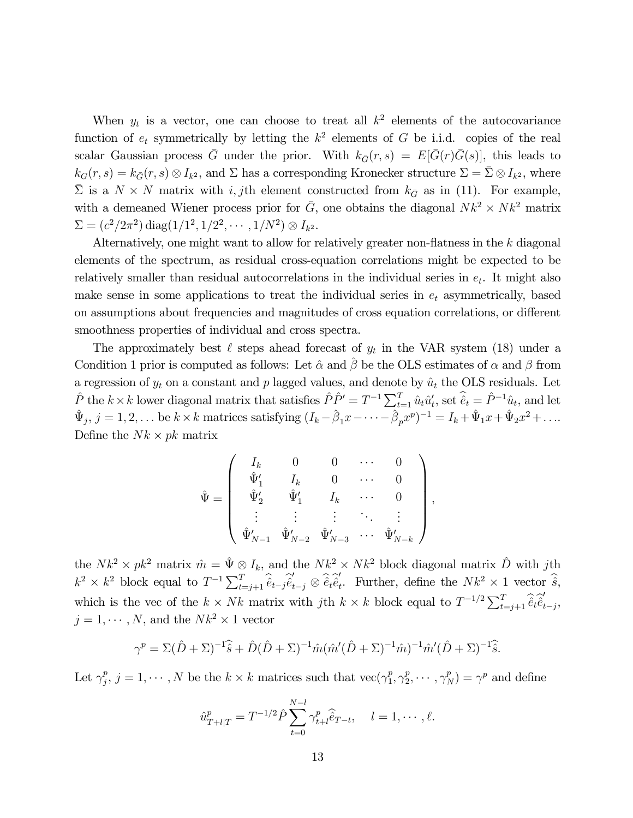When  $y_t$  is a vector, one can choose to treat all  $k^2$  elements of the autocovariance function of  $e_t$  symmetrically by letting the  $k^2$  elements of G be i.i.d. copies of the real scalar Gaussian process  $\bar{G}$  under the prior. With  $k_{\bar{G}}(r, s) = E[\bar{G}(r)\bar{G}(s)]$ , this leads to  $k_G(r, s) = k_{\bar{G}}(r, s) \otimes I_{k^2}$ , and  $\Sigma$  has a corresponding Kronecker structure  $\Sigma = \bar{\Sigma} \otimes I_{k^2}$ , where  $\bar{\Sigma}$  is a  $N \times N$  matrix with i, jth element constructed from  $k_{\bar{G}}$  as in (11). For example, with a demeaned Wiener process prior for  $\bar{G}$ , one obtains the diagonal  $Nk^2 \times Nk^2$  matrix  $\Sigma = (c^2/2\pi^2) \text{ diag}(1/1^2, 1/2^2, \cdots, 1/N^2) \otimes I_{k^2}.$ 

Alternatively, one might want to allow for relatively greater non-flatness in the k diagonal elements of the spectrum, as residual cross-equation correlations might be expected to be relatively smaller than residual autocorrelations in the individual series in  $e_t$ . It might also make sense in some applications to treat the individual series in  $e_t$  asymmetrically, based on assumptions about frequencies and magnitudes of cross equation correlations, or different smoothness properties of individual and cross spectra.

The approximately best  $\ell$  steps ahead forecast of  $y_t$  in the VAR system (18) under a Condition 1 prior is computed as follows: Let  $\hat{\alpha}$  and  $\hat{\beta}$  be the OLS estimates of  $\alpha$  and  $\beta$  from a regression of  $y_t$  on a constant and p lagged values, and denote by  $\hat{u}_t$  the OLS residuals. Let  $\hat{P}$  the  $k \times k$  lower diagonal matrix that satisfies  $\hat{P}\hat{P}' = T^{-1} \sum_{t=1}^{T} \hat{u}_t \hat{u}'_t$ , set  $\hat{e}_t = \hat{P}^{-1} \hat{u}_t$ , and let  $\hat{\Psi}_j, j = 1, 2, \ldots$  be  $k \times k$  matrices satisfying  $(I_k - \hat{\beta}_1 x - \cdots - \hat{\beta}_p x^p)^{-1} = I_k + \hat{\Psi}_1 x + \hat{\Psi}_2 x^2 + \ldots$ Define the  $Nk \times pk$  matrix

$$
\hat{\Psi} = \begin{pmatrix}\nI_k & 0 & 0 & \cdots & 0 \\
\hat{\Psi}'_1 & I_k & 0 & \cdots & 0 \\
\hat{\Psi}'_2 & \hat{\Psi}'_1 & I_k & \cdots & 0 \\
\vdots & \vdots & \vdots & \ddots & \vdots \\
\hat{\Psi}'_{N-1} & \hat{\Psi}'_{N-2} & \hat{\Psi}'_{N-3} & \cdots & \hat{\Psi}'_{N-k}\n\end{pmatrix},
$$

the  $Nk^2 \times pk^2$  matrix  $\hat{m} = \hat{\Psi} \otimes I_k$ , and the  $Nk^2 \times Nk^2$  block diagonal matrix  $\hat{D}$  with jth  $k^2 \times k^2$  block equal to  $T^{-1} \sum_{t=j+1}^T \hat{e}_{t-j} \hat{e}_{t-j} \otimes \hat{e}_t \hat{e}_t'$ . Further, define the  $Nk^2 \times 1$  vector  $\hat{s}$ , which is the vec of the  $k \times Nk$  matrix with jth  $k \times k$  block equal to  $T^{-1/2} \sum_{t=j+1}^{T} \hat{\hat{e}}_t \hat{\hat{e}}_{t-j}^{\hat{e}},$  $j = 1, \cdots, N$ , and the  $Nk^2 \times 1$  vector

$$
\gamma^{p} = \Sigma(\hat{D} + \Sigma)^{-1}\hat{\hat{s}} + \hat{D}(\hat{D} + \Sigma)^{-1}\hat{m}(\hat{m}'(\hat{D} + \Sigma)^{-1}\hat{m})^{-1}\hat{m}'(\hat{D} + \Sigma)^{-1}\hat{\hat{s}}.
$$

Let  $\gamma_j^p$ ,  $j = 1, \dots, N$  be the  $k \times k$  matrices such that  $\text{vec}(\gamma_1^p, \gamma_2^p, \dots, \gamma_N^p) = \gamma^p$  and define

$$
\hat{u}_{T+l|T}^p = T^{-1/2} \hat{P} \sum_{t=0}^{N-l} \gamma_{t+l}^p \hat{e}_{T-t}, \quad l = 1, \cdots, \ell.
$$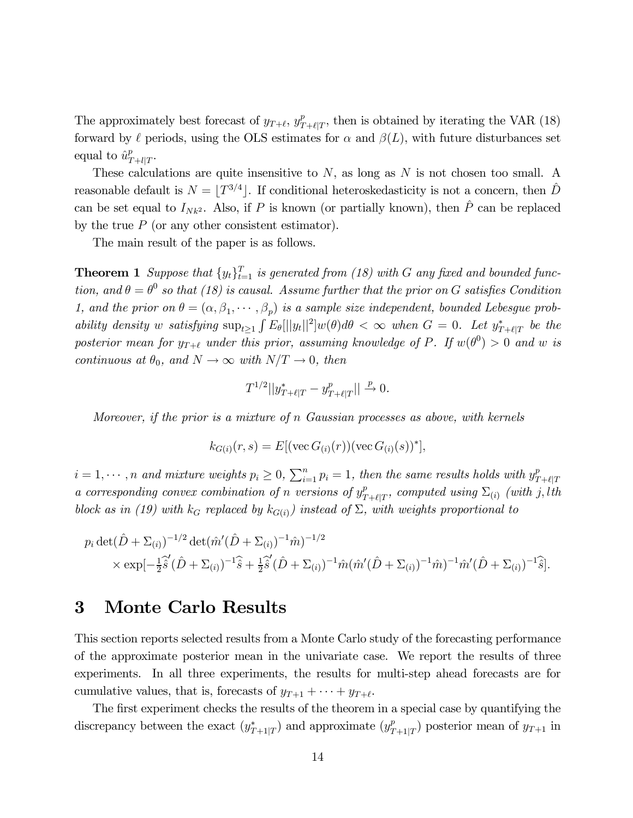The approximately best forecast of  $y_{T+\ell}, y_{T+\ell|T}^p$ , then is obtained by iterating the VAR (18) forward by  $\ell$  periods, using the OLS estimates for  $\alpha$  and  $\beta(L)$ , with future disturbances set equal to  $\hat{u}_{T+l|T}^p$ .

These calculations are quite insensitive to  $N$ , as long as  $N$  is not chosen too small. A reasonable default is  $N = |T^{3/4}|$ . If conditional heteroskedasticity is not a concern, then  $\hat{D}$ can be set equal to  $I_{Nk^2}$ . Also, if P is known (or partially known), then  $\hat{P}$  can be replaced by the true  $P$  (or any other consistent estimator).

The main result of the paper is as follows.

**Theorem 1** Suppose that  $\{y_t\}_{t=1}^T$  is generated from (18) with G any fixed and bounded function, and  $\theta = \theta^0$  so that (18) is causal. Assume further that the prior on G satisfies Condition 1, and the prior on  $\theta = (\alpha, \beta_1, \dots, \beta_p)$  is a sample size independent, bounded Lebesgue probability density w satisfying  $\sup_{t\geq 1} \int E_{\theta}[||y_t||^2] w(\theta) d\theta < \infty$  when  $G = 0$ . Let  $y^*_{T+\ell|T}$  be the posterior mean for  $y_{T+\ell}$  under this prior, assuming knowledge of P. If  $w(\theta^0) > 0$  and w is continuous at  $\theta_0$ , and  $N \to \infty$  with  $N/T \to 0$ , then

$$
T^{1/2}||y^*_{T+\ell|T} - y^p_{T+\ell|T}|| \xrightarrow{p} 0.
$$

Moreover, if the prior is a mixture of n Gaussian processes as above, with kernels

$$
k_{G(i)}(r,s) = E[(\text{vec } G_{(i)}(r))(\text{vec } G_{(i)}(s))^*],
$$

 $i = 1, \dots, n$  and mixture weights  $p_i \geq 0$ ,  $\sum_{i=1}^n p_i = 1$ , then the same results holds with  $y_{T+\ell|T}^p$ a corresponding convex combination of n versions of  $y^p_{T+\ell|T}$ , computed using  $\Sigma_{(i)}$  (with j, lth block as in (19) with  $k_G$  replaced by  $k_{G(i)}$  instead of  $\Sigma$ , with weights proportional to

$$
p_i \det(\hat{D} + \Sigma_{(i)})^{-1/2} \det(\hat{m}'(\hat{D} + \Sigma_{(i)})^{-1}\hat{m})^{-1/2} \times \exp[-\frac{1}{2}\hat{s}(\hat{D} + \Sigma_{(i)})^{-1}\hat{s} + \frac{1}{2}\hat{s}'(\hat{D} + \Sigma_{(i)})^{-1}\hat{m}(\hat{m}'(\hat{D} + \Sigma_{(i)})^{-1}\hat{m}')^{-1}\hat{m}'(\hat{D} + \Sigma_{(i)})^{-1}\hat{s}].
$$

# 3 Monte Carlo Results

This section reports selected results from a Monte Carlo study of the forecasting performance of the approximate posterior mean in the univariate case. We report the results of three experiments. In all three experiments, the results for multi-step ahead forecasts are for cumulative values, that is, forecasts of  $y_{T+1} + \cdots + y_{T+\ell}$ .

The first experiment checks the results of the theorem in a special case by quantifying the discrepancy between the exact  $(y^*_{T+1|T})$  and approximate  $(y^p_{T+1|T})$  posterior mean of  $y_{T+1}$  in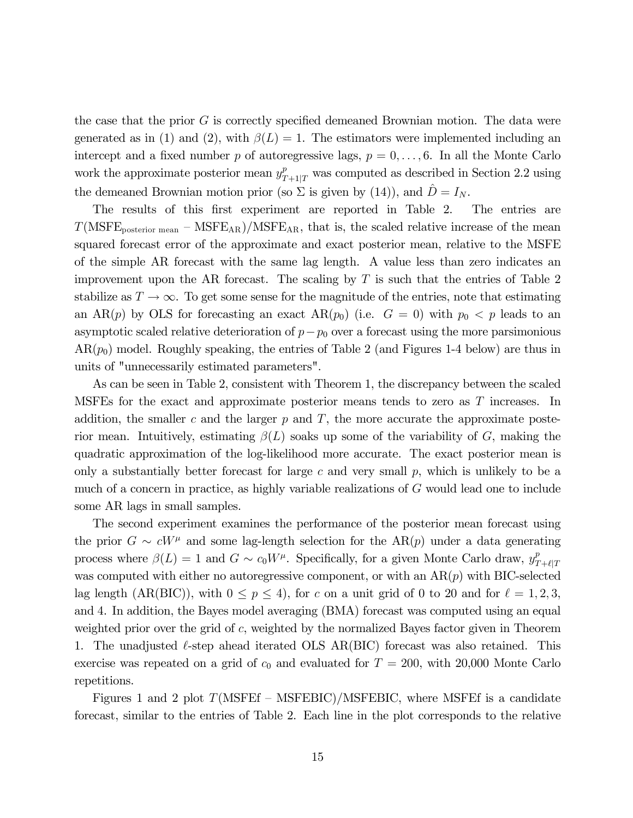the case that the prior  $G$  is correctly specified demeaned Brownian motion. The data were generated as in (1) and (2), with  $\beta(L)=1$ . The estimators were implemented including an intercept and a fixed number p of autoregressive lags,  $p = 0, \ldots, 6$ . In all the Monte Carlo work the approximate posterior mean  $y_{T+1|T}^p$  was computed as described in Section 2.2 using the demeaned Brownian motion prior (so  $\Sigma$  is given by (14)), and  $D = I_N$ .

The results of this first experiment are reported in Table 2. The entries are  $T(MSFE_{posterior mean} - MSFE_{AR})/MSFE_{AR}$ , that is, the scaled relative increase of the mean squared forecast error of the approximate and exact posterior mean, relative to the MSFE of the simple AR forecast with the same lag length. A value less than zero indicates an improvement upon the AR forecast. The scaling by  $T$  is such that the entries of Table 2 stabilize as  $T \to \infty$ . To get some sense for the magnitude of the entries, note that estimating an AR(p) by OLS for forecasting an exact AR(p<sub>0</sub>) (i.e.  $G = 0$ ) with  $p_0 < p$  leads to an asymptotic scaled relative deterioration of  $p-p_0$  over a forecast using the more parsimonious  $AR(p_0)$  model. Roughly speaking, the entries of Table 2 (and Figures 1-4 below) are thus in units of "unnecessarily estimated parameters".

As can be seen in Table 2, consistent with Theorem 1, the discrepancy between the scaled MSFEs for the exact and approximate posterior means tends to zero as T increases. In addition, the smaller c and the larger  $p$  and  $T$ , the more accurate the approximate posterior mean. Intuitively, estimating  $\beta(L)$  soaks up some of the variability of G, making the quadratic approximation of the log-likelihood more accurate. The exact posterior mean is only a substantially better forecast for large c and very small  $p$ , which is unlikely to be a much of a concern in practice, as highly variable realizations of G would lead one to include some AR lags in small samples.

The second experiment examines the performance of the posterior mean forecast using the prior  $G \sim cW^{\mu}$  and some lag-length selection for the AR(p) under a data generating process where  $\beta(L)=1$  and  $G \sim c_0 W^{\mu}$ . Specifically, for a given Monte Carlo draw,  $y_{T+\ell|T}^p$ was computed with either no autoregressive component, or with an  $AR(p)$  with BIC-selected lag length (AR(BIC)), with  $0 \le p \le 4$ ), for c on a unit grid of 0 to 20 and for  $\ell = 1, 2, 3$ , and 4. In addition, the Bayes model averaging (BMA) forecast was computed using an equal weighted prior over the grid of c, weighted by the normalized Bayes factor given in Theorem 1. The unadjusted  $\ell$ -step ahead iterated OLS AR(BIC) forecast was also retained. This exercise was repeated on a grid of  $c_0$  and evaluated for  $T = 200$ , with 20,000 Monte Carlo repetitions.

Figures 1 and 2 plot  $T(MSFEF - MSFEBIC)/MSFEBIC$ , where MSFEf is a candidate forecast, similar to the entries of Table 2. Each line in the plot corresponds to the relative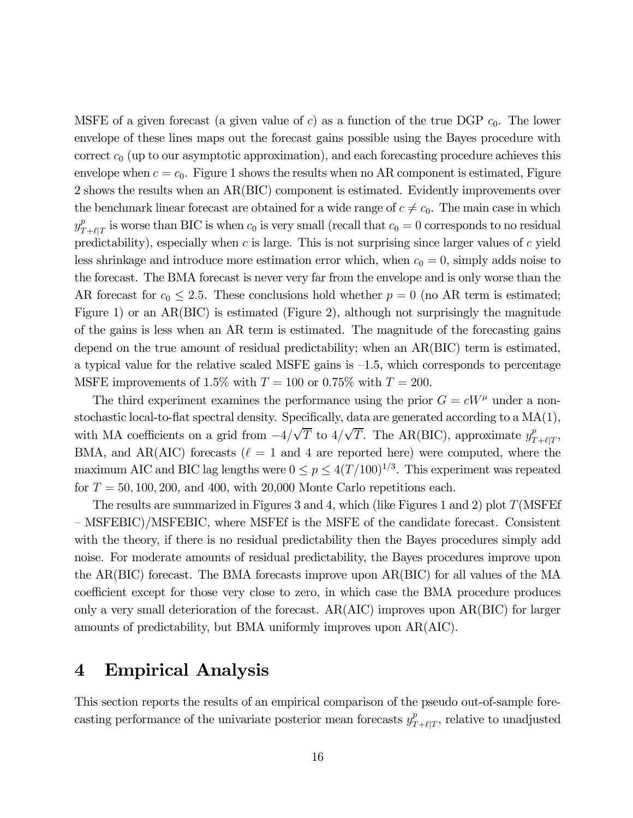MSFE of a given forecast (a given value of c) as a function of the true DGP  $c_0$ . The lower envelope of these lines maps out the forecast gains possible using the Bayes procedure with correct  $c_0$  (up to our asymptotic approximation), and each forecasting procedure achieves this envelope when  $c = c_0$ . Figure 1 shows the results when no AR component is estimated, Figure 2 shows the results when an AR(BIC) component is estimated. Evidently improvements over the benchmark linear forecast are obtained for a wide range of  $c \neq c_0$ . The main case in which  $y_{T+\ell|T}^p$  is worse than BIC is when  $c_0$  is very small (recall that  $c_0 = 0$  corresponds to no residual predictability), especially when  $c$  is large. This is not surprising since larger values of  $c$  yield less shrinkage and introduce more estimation error which, when  $c_0 = 0$ , simply adds noise to the forecast. The BMA forecast is never very far from the envelope and is only worse than the AR forecast for  $c_0 \leq 2.5$ . These conclusions hold whether  $p = 0$  (no AR term is estimated; Figure 1) or an AR(BIC) is estimated (Figure 2), although not surprisingly the magnitude of the gains is less when an AR term is estimated. The magnitude of the forecasting gains depend on the true amount of residual predictability; when an AR(BIC) term is estimated, a typical value for the relative scaled MSFE gains is  $-1.5$ , which corresponds to percentage MSFE improvements of 1.5% with  $T = 100$  or 0.75% with  $T = 200$ .

The third experiment examines the performance using the prior  $G = cW^{\mu}$  under a nonstochastic local-to-flat spectral density. Specifically, data are generated according to a MA(1), with MA coefficients on a grid from  $-4/\sqrt{T}$  to  $4/\sqrt{T}$ . The AR(BIC), approximate  $y_{T+\ell|T}^p$ , BMA, and AR(AIC) forecasts ( $\ell = 1$  and 4 are reported here) were computed, where the maximum AIC and BIC lag lengths were  $0 \le p \le 4(T/100)^{1/3}$ . This experiment was repeated for  $T = 50, 100, 200,$  and 400, with 20,000 Monte Carlo repetitions each.

The results are summarized in Figures 3 and 4, which (like Figures 1 and 2) plot  $T(MSFEf)$ — MSFEBIC)/MSFEBIC, where MSFEf is the MSFE of the candidate forecast. Consistent with the theory, if there is no residual predictability then the Bayes procedures simply add noise. For moderate amounts of residual predictability, the Bayes procedures improve upon the AR(BIC) forecast. The BMA forecasts improve upon AR(BIC) for all values of the MA coefficient except for those very close to zero, in which case the BMA procedure produces only a very small deterioration of the forecast. AR(AIC) improves upon AR(BIC) for larger amounts of predictability, but BMA uniformly improves upon AR(AIC).

# 4 Empirical Analysis

This section reports the results of an empirical comparison of the pseudo out-of-sample forecasting performance of the univariate posterior mean forecasts  $y_{T+\ell|T}^p$ , relative to unadjusted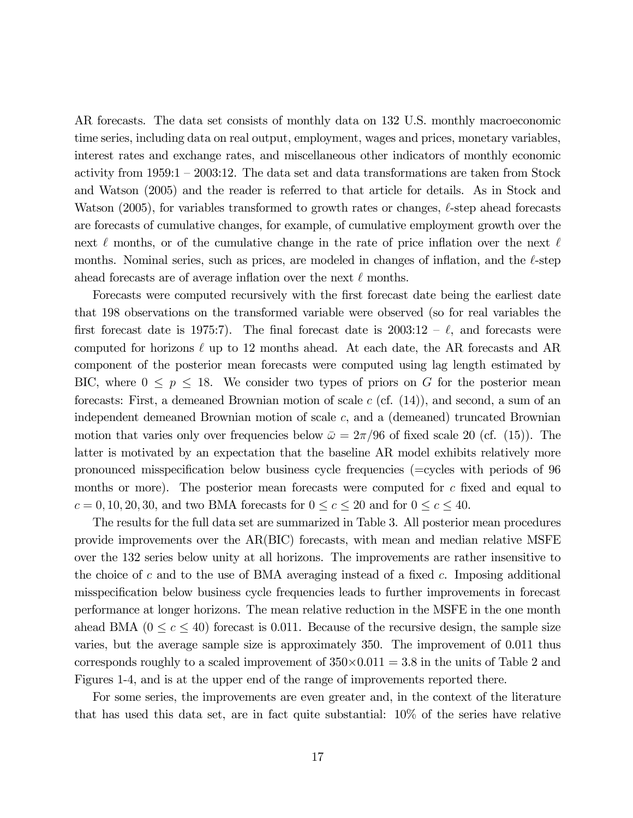AR forecasts. The data set consists of monthly data on 132 U.S. monthly macroeconomic time series, including data on real output, employment, wages and prices, monetary variables, interest rates and exchange rates, and miscellaneous other indicators of monthly economic activity from 1959:1 — 2003:12. The data set and data transformations are taken from Stock and Watson (2005) and the reader is referred to that article for details. As in Stock and Watson (2005), for variables transformed to growth rates or changes,  $\ell$ -step ahead forecasts are forecasts of cumulative changes, for example, of cumulative employment growth over the next  $\ell$  months, or of the cumulative change in the rate of price inflation over the next  $\ell$ months. Nominal series, such as prices, are modeled in changes of inflation, and the  $\ell$ -step ahead forecasts are of average inflation over the next  $\ell$  months.

Forecasts were computed recursively with the first forecast date being the earliest date that 198 observations on the transformed variable were observed (so for real variables the first forecast date is 1975:7). The final forecast date is  $2003:12 - \ell$ , and forecasts were computed for horizons  $\ell$  up to 12 months ahead. At each date, the AR forecasts and AR component of the posterior mean forecasts were computed using lag length estimated by BIC, where  $0 \leq p \leq 18$ . We consider two types of priors on G for the posterior mean forecasts: First, a demeaned Brownian motion of scale  $c$  (cf.  $(14)$ ), and second, a sum of an independent demeaned Brownian motion of scale  $c$ , and a (demeaned) truncated Brownian motion that varies only over frequencies below  $\bar{\omega} = 2\pi/96$  of fixed scale 20 (cf. (15)). The latter is motivated by an expectation that the baseline AR model exhibits relatively more pronounced misspecification below business cycle frequencies (=cycles with periods of 96 months or more). The posterior mean forecasts were computed for  $c$  fixed and equal to  $c = 0, 10, 20, 30$ , and two BMA forecasts for  $0 \le c \le 20$  and for  $0 \le c \le 40$ .

The results for the full data set are summarized in Table 3. All posterior mean procedures provide improvements over the AR(BIC) forecasts, with mean and median relative MSFE over the 132 series below unity at all horizons. The improvements are rather insensitive to the choice of c and to the use of BMA averaging instead of a fixed c. Imposing additional misspecification below business cycle frequencies leads to further improvements in forecast performance at longer horizons. The mean relative reduction in the MSFE in the one month ahead BMA ( $0 \leq c \leq 40$ ) forecast is 0.011. Because of the recursive design, the sample size varies, but the average sample size is approximately 350. The improvement of 0.011 thus corresponds roughly to a scaled improvement of  $350\times0.011 = 3.8$  in the units of Table 2 and Figures 1-4, and is at the upper end of the range of improvements reported there.

For some series, the improvements are even greater and, in the context of the literature that has used this data set, are in fact quite substantial: 10% of the series have relative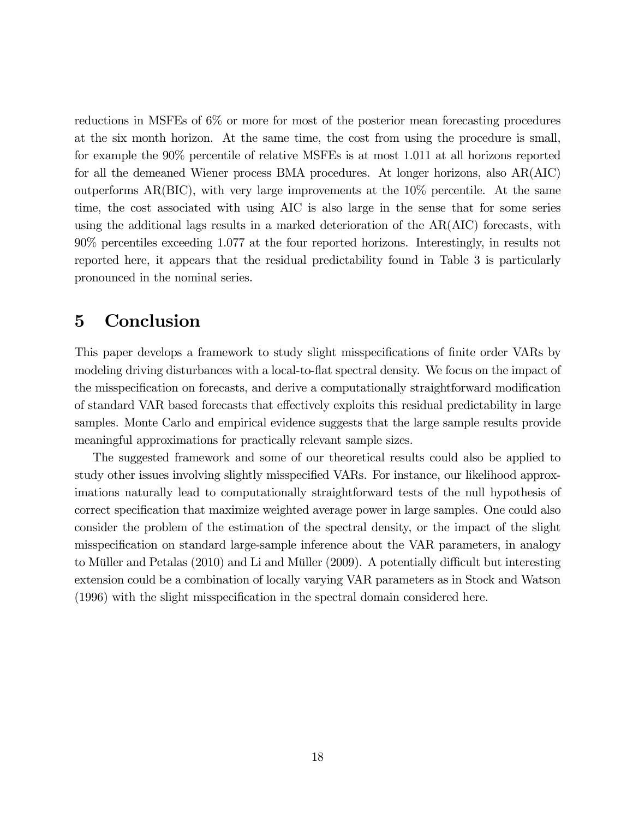reductions in MSFEs of 6% or more for most of the posterior mean forecasting procedures at the six month horizon. At the same time, the cost from using the procedure is small, for example the 90% percentile of relative MSFEs is at most 1.011 at all horizons reported for all the demeaned Wiener process BMA procedures. At longer horizons, also AR(AIC) outperforms  $AR(BIC)$ , with very large improvements at the  $10\%$  percentile. At the same time, the cost associated with using AIC is also large in the sense that for some series using the additional lags results in a marked deterioration of the AR(AIC) forecasts, with 90% percentiles exceeding 1.077 at the four reported horizons. Interestingly, in results not reported here, it appears that the residual predictability found in Table 3 is particularly pronounced in the nominal series.

# 5 Conclusion

This paper develops a framework to study slight misspecifications of finite order VARs by modeling driving disturbances with a local-to-flat spectral density. We focus on the impact of the misspecification on forecasts, and derive a computationally straightforward modification of standard VAR based forecasts that effectively exploits this residual predictability in large samples. Monte Carlo and empirical evidence suggests that the large sample results provide meaningful approximations for practically relevant sample sizes.

The suggested framework and some of our theoretical results could also be applied to study other issues involving slightly misspecified VARs. For instance, our likelihood approximations naturally lead to computationally straightforward tests of the null hypothesis of correct specification that maximize weighted average power in large samples. One could also consider the problem of the estimation of the spectral density, or the impact of the slight misspecification on standard large-sample inference about the VAR parameters, in analogy to Müller and Petalas (2010) and Li and Müller (2009). A potentially difficult but interesting extension could be a combination of locally varying VAR parameters as in Stock and Watson (1996) with the slight misspecification in the spectral domain considered here.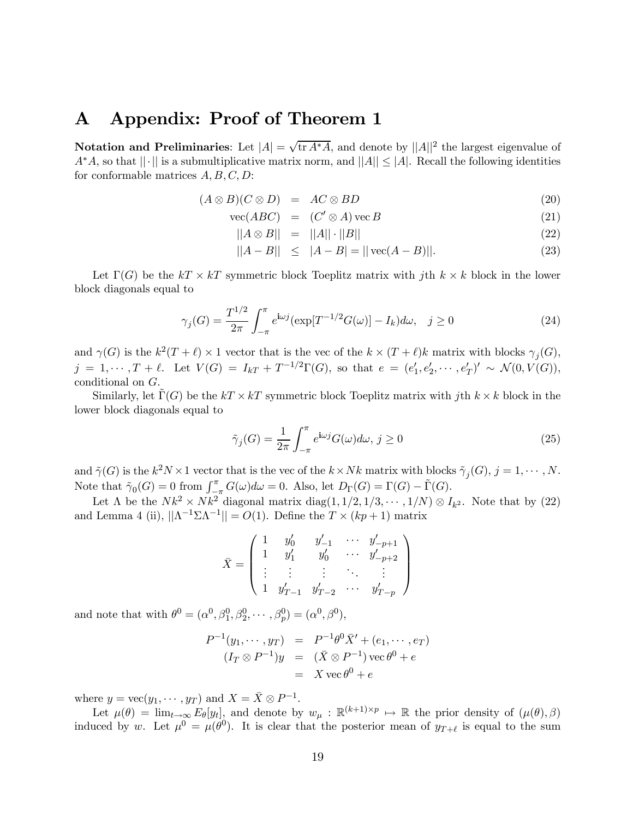# A Appendix: Proof of Theorem 1

Notation and Preliminaries: Let  $|A| = \sqrt{\text{tr } A^* A}$ , and denote by  $||A||^2$  the largest eigenvalue of  $A^*A$ , so that  $||\cdot||$  is a submultiplicative matrix norm, and  $||A|| \leq |A|$ . Recall the following identities for conformable matrices  $A, B, C, D$ :

$$
(A \otimes B)(C \otimes D) = AC \otimes BD \tag{20}
$$

$$
\text{vec}(ABC) = (C' \otimes A)\,\text{vec}\,B\tag{21}
$$

$$
||A \otimes B|| = ||A|| \cdot ||B|| \tag{22}
$$

$$
||A - B|| \le |A - B| = ||\text{vec}(A - B)||. \tag{23}
$$

Let  $\Gamma(G)$  be the  $kT \times kT$  symmetric block Toeplitz matrix with jth  $k \times k$  block in the lower block diagonals equal to

$$
\gamma_j(G) = \frac{T^{1/2}}{2\pi} \int_{-\pi}^{\pi} e^{i\omega j} (\exp[T^{-1/2}G(\omega)] - I_k) d\omega, \quad j \ge 0
$$
\n(24)

and  $\gamma(G)$  is the  $k^2(T + \ell) \times 1$  vector that is the vec of the  $k \times (T + \ell)k$  matrix with blocks  $\gamma_j(G)$ ,  $j = 1, \dots, T + \ell$ . Let  $V(G) = I_{kT} + T^{-1/2}\Gamma(G)$ , so that  $e = (e'_1, e'_2, \dots, e'_T)' \sim \mathcal{N}(0, V(G)),$ conditional on G.

Similarly, let  $\Gamma(G)$  be the  $kT \times kT$  symmetric block Toeplitz matrix with jth  $k \times k$  block in the lower block diagonals equal to

$$
\tilde{\gamma}_j(G) = \frac{1}{2\pi} \int_{-\pi}^{\pi} e^{i\omega j} G(\omega) d\omega, \ j \ge 0
$$
\n(25)

and  $\tilde{\gamma}(G)$  is the  $k^2N \times 1$  vector that is the vec of the  $k \times Nk$  matrix with blocks  $\tilde{\gamma}_j(G), j = 1, \cdots, N$ . Note that  $\tilde{\gamma}_0(G) = 0$  from  $\int_{-\pi}^{\pi} G(\omega) d\omega = 0$ . Also, let  $D_{\Gamma}(G) = \Gamma(G) - \tilde{\Gamma}(G)$ .

Let  $\Lambda$  be the  $Nk^2 \times Nk^2$  diagonal matrix diag(1, 1/2, 1/3,  $\cdots$ , 1/N)  $\otimes I_{k^2}$ . Note that by (22) and Lemma 4 (ii),  $||\Lambda^{-1}\Sigma\Lambda^{-1}|| = O(1)$ . Define the  $T \times (kp+1)$  matrix

$$
\bar{X} = \left(\begin{array}{ccccc} 1 & y'_0 & y'_{-1} & \cdots & y'_{-p+1} \\ 1 & y'_1 & y'_0 & \cdots & y'_{-p+2} \\ \vdots & \vdots & \vdots & \ddots & \vdots \\ 1 & y'_{T-1} & y'_{T-2} & \cdots & y'_{T-p} \end{array}\right)
$$

and note that with  $\theta^0 = (\alpha^0, \beta_1^0, \beta_2^0, \cdots, \beta_p^0) = (\alpha^0, \beta^0),$ 

$$
P^{-1}(y_1, \dots, y_T) = P^{-1}\theta^0 \bar{X}' + (e_1, \dots, e_T)
$$
  

$$
(I_T \otimes P^{-1})y = (\bar{X} \otimes P^{-1}) \operatorname{vec} \theta^0 + e
$$
  

$$
= X \operatorname{vec} \theta^0 + e
$$

where  $y = \text{vec}(y_1, \dots, y_T)$  and  $X = \overline{X} \otimes P^{-1}$ .

Let  $\mu(\theta) = \lim_{t \to \infty} E_{\theta}[y_t]$ , and denote by  $w_{\mu}: \mathbb{R}^{(k+1)\times p} \mapsto \mathbb{R}$  the prior density of  $(\mu(\theta), \beta)$ induced by w. Let  $\mu^0 = \mu(\theta^0)$ . It is clear that the posterior mean of  $y_{T+\ell}$  is equal to the sum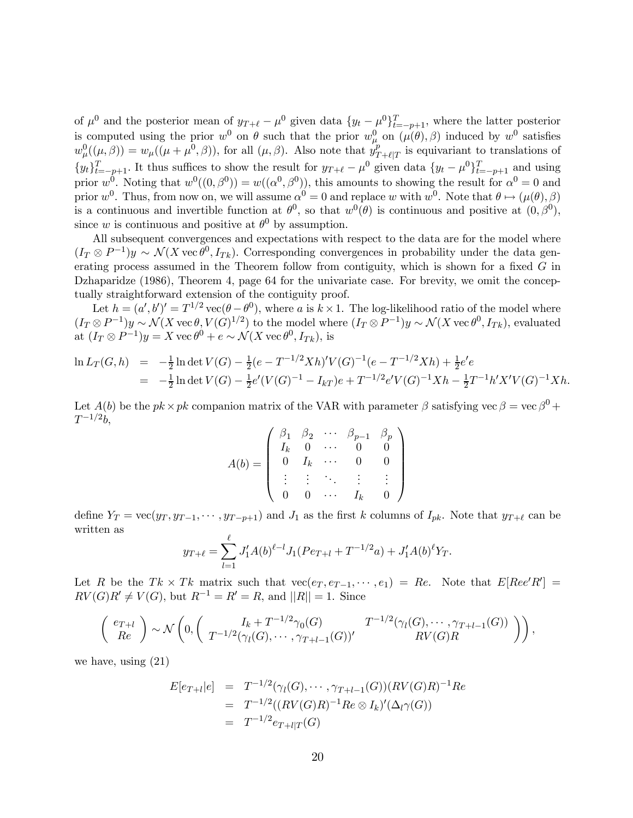of  $\mu^0$  and the posterior mean of  $y_{T+\ell} - \mu^0$  given data  $\{y_t - \mu^0\}_{t=-p+1}^T$ , where the latter posterior is computed using the prior  $w^0$  on  $\theta$  such that the prior  $w^0_\mu$  on  $(\mu(\theta), \beta)$  induced by  $w^0$  satisfies  $w^0_\mu((\mu,\beta)) = w_\mu((\mu+\mu^0,\beta))$ , for all  $(\mu,\beta)$ . Also note that  $y^p_{T+\ell|T}$  is equivariant to translations of  ${y_t}_{t=-p+1}^T$ . It thus suffices to show the result for  $y_{T+\ell} - \mu^0$  given data  ${y_t - \mu^0}_{t=-p+1}^T$  and using prior  $w^0$ . Noting that  $w^0((0, \beta^0)) = w((\alpha^0, \beta^0))$ , this amounts to showing the result for  $\alpha^0 = 0$  and prior w<sup>0</sup>. Thus, from now on, we will assume  $\alpha^{0} = 0$  and replace w with  $w^{0}$ . Note that  $\theta \mapsto (\mu(\theta), \beta)$ is a continuous and invertible function at  $\theta^0$ , so that  $w^0(\theta)$  is continuous and positive at  $(0, \beta^0)$ , since w is continuous and positive at  $\theta^0$  by assumption.

All subsequent convergences and expectations with respect to the data are for the model where  $(I_T \otimes P^{-1})y \sim \mathcal{N}(X \operatorname{vec} \theta^0, I_{Tk})$ . Corresponding convergences in probability under the data generating process assumed in the Theorem follow from contiguity, which is shown for a fixed  $G$  in Dzhaparidze (1986), Theorem 4, page 64 for the univariate case. For brevity, we omit the conceptually straightforward extension of the contiguity proof.

Let  $h = (a', b')' = T^{1/2} \text{vec}(\theta - \theta^0)$ , where a is  $k \times 1$ . The log-likelihood ratio of the model where  $(I_T \otimes P^{-1})y \sim \mathcal{N}(X \operatorname{vec} \theta, V(\hat{G})^{1/2})$  to the model where  $(I_T \otimes P^{-1})y \sim \mathcal{N}(X \operatorname{vec} \theta^0, I_{Tk})$ , evaluated at  $(I_T \otimes P^{-1})y = X$  vec  $\theta^0 + e \sim \mathcal{N}(X \operatorname{vec} \theta^0, I_{Tk}),$  is

$$
\ln L_T(G, h) = -\frac{1}{2} \ln \det V(G) - \frac{1}{2} (e - T^{-1/2} X h)' V(G)^{-1} (e - T^{-1/2} X h) + \frac{1}{2} e' e
$$
  
=  $-\frac{1}{2} \ln \det V(G) - \frac{1}{2} e' (V(G)^{-1} - I_{kT}) e + T^{-1/2} e' V(G)^{-1} X h - \frac{1}{2} T^{-1} h' X' V(G)^{-1} X h.$ 

Let  $A(b)$  be the  $pk \times pk$  companion matrix of the VAR with parameter  $\beta$  satisfying vec  $\beta = \text{vec } \beta^0 +$  $T^{-1/2}b$ ,

$$
A(b) = \left( \begin{array}{cccc} \beta_1 & \beta_2 & \cdots & \beta_{p-1} & \beta_p \\ I_k & 0 & \cdots & 0 & 0 \\ 0 & I_k & \cdots & 0 & 0 \\ \vdots & \vdots & \ddots & \vdots & \vdots \\ 0 & 0 & \cdots & I_k & 0 \end{array} \right)
$$

define  $Y_T = \text{vec}(y_T, y_{T-1}, \dots, y_{T-p+1})$  and  $J_1$  as the first k columns of  $I_{pk}$ . Note that  $y_{T+\ell}$  can be written as

$$
y_{T+\ell} = \sum_{l=1}^{\ell} J'_1 A(b)^{\ell-l} J_1 (Pe_{T+l} + T^{-1/2} a) + J'_1 A(b)^{\ell} Y_T.
$$

Let R be the  $Tk \times Tk$  matrix such that  $vec(e_T, e_{T-1}, \dots, e_1) = Re$ . Note that  $E[Ree'R'] =$  $RV(G)R' \neq V(G)$ , but  $R^{-1} = R' = R$ , and  $||R|| = 1$ . Since

$$
\begin{pmatrix} e_{T+l} \\ Re \end{pmatrix} \sim \mathcal{N} \left( 0, \begin{pmatrix} I_k + T^{-1/2} \gamma_0(G) & T^{-1/2} (\gamma_l(G), \cdots, \gamma_{T+l-1}(G)) \\ T^{-1/2} (\gamma_l(G), \cdots, \gamma_{T+l-1}(G))' & RV(G)R \end{pmatrix} \right),
$$

we have, using (21)

$$
E[e_{T+l}|e] = T^{-1/2}(\gamma_l(G), \cdots, \gamma_{T+l-1}(G))(RV(G)R)^{-1}Re
$$
  
= 
$$
T^{-1/2}((RV(G)R)^{-1}Re \otimes I_k)'(\Delta_l \gamma(G))
$$
  
= 
$$
T^{-1/2}e_{T+l|T}(G)
$$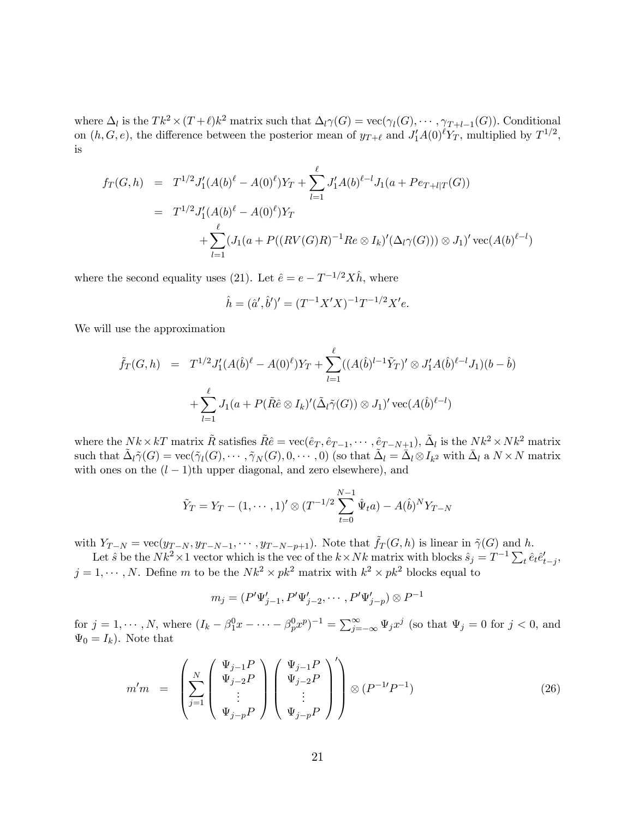where  $\Delta_l$  is the  $Tk^2 \times (T + \ell)k^2$  matrix such that  $\Delta_l \gamma(G) = \text{vec}(\gamma_l(G), \cdots, \gamma_{T+l-1}(G))$ . Conditional on  $(h, G, e)$ , the difference between the posterior mean of  $y_{T+\ell}$  and  $J'_1A(0)^{\ell}Y_T$ , multiplied by  $T^{1/2}$ , is

$$
f_T(G, h) = T^{1/2} J'_1(A(b)^{\ell} - A(0)^{\ell}) Y_T + \sum_{l=1}^{\ell} J'_1 A(b)^{\ell-l} J_1(a + Pe_{T+l|T}(G))
$$
  

$$
= T^{1/2} J'_1(A(b)^{\ell} - A(0)^{\ell}) Y_T + \sum_{l=1}^{\ell} (J_1(a + P((RV(G)R)^{-1} Re \otimes I_k)'(\Delta_l \gamma(G))) \otimes J_1)' \operatorname{vec}(A(b)^{\ell-l})
$$

where the second equality uses (21). Let  $\hat{e} = e - T^{-1/2} X \hat{h}$ , where

$$
\hat{h} = (\hat{a}', \hat{b}')' = (T^{-1}X'X)^{-1}T^{-1/2}X'e.
$$

We will use the approximation

$$
\tilde{f}_T(G, h) = T^{1/2} J'_1(A(\hat{b})^{\ell} - A(0)^{\ell}) Y_T + \sum_{l=1}^{\ell} ((A(\hat{b})^{l-1} \tilde{Y}_T)' \otimes J'_1 A(\hat{b})^{\ell-l} J_1)(b - \hat{b})
$$
  
+ 
$$
\sum_{l=1}^{\ell} J_1(a + P(\tilde{R}\hat{e} \otimes I_k)'(\tilde{\Delta}_l \tilde{\gamma}(G)) \otimes J_1)' \operatorname{vec}(A(\hat{b})^{\ell-l})
$$

where the  $Nk \times kT$  matrix  $\tilde{R}$  satisfies  $\tilde{R}\tilde{e} = \text{vec}(\hat{e}_T, \hat{e}_{T-1}, \cdots, \hat{e}_{T-N+1}), \tilde{\Delta}_l$  is the  $Nk^2 \times Nk^2$  matrix such that  $\tilde{\Delta}_l \tilde{\gamma}(G) = \text{vec}(\tilde{\gamma}_l(G), \cdots, \tilde{\gamma}_N(G), 0, \cdots, 0)$  (so that  $\tilde{\Delta}_l = \tilde{\Delta}_l \otimes I_{k^2}$  with  $\bar{\Delta}_l$  a  $N \times N$  matrix with ones on the  $(l-1)$ th upper diagonal, and zero elsewhere), and

$$
\tilde{Y}_T = Y_T - (1, \dots, 1)' \otimes (T^{-1/2} \sum_{t=0}^{N-1} \hat{\Psi}_t a) - A(\hat{b})^N Y_{T-N}
$$

with  $Y_{T-N} = \text{vec}(y_{T-N}, y_{T-N-1}, \dots, y_{T-N-p+1})$ . Note that  $\tilde{f}_T(G, h)$  is linear in  $\tilde{\gamma}(G)$  and h.

Let  $\hat{s}$  be the  $Nk^2 \times 1$  vector which is the vec of the  $k \times Nk$  matrix with blocks  $\hat{s}_j = T^{-1} \sum_t \hat{e}_t \hat{e}'_{t-j}$ ,  $j = 1, \dots, N$ . Define m to be the  $Nk^2 \times pk^2$  matrix with  $k^2 \times pk^2$  blocks equal to

$$
m_j = (P'\Psi'_{j-1}, P'\Psi'_{j-2}, \cdots, P'\Psi'_{j-p}) \otimes P^{-1}
$$

for  $j = 1, \dots, N$ , where  $(I_k - \beta_1^0 x - \dots - \beta_p^0 x^p)^{-1} = \sum_{j=-\infty}^{\infty} \Psi_j x^j$  (so that  $\Psi_j = 0$  for  $j < 0$ , and  $\Psi_0 = I_k$ ). Note that

$$
m'm = \left(\sum_{j=1}^{N} \begin{pmatrix} \Psi_{j-1}P \\ \Psi_{j-2}P \\ \vdots \\ \Psi_{j-p}P \end{pmatrix} \begin{pmatrix} \Psi_{j-1}P \\ \Psi_{j-2}P \\ \vdots \\ \Psi_{j-p}P \end{pmatrix}'\right) \otimes (P^{-1}P^{-1})
$$
(26)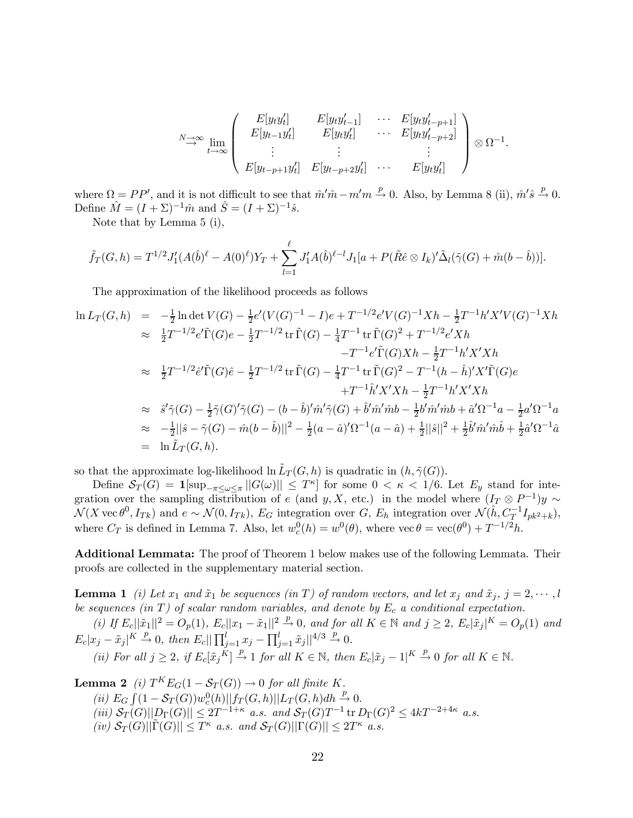$$
\stackrel{N\to\infty}{\to} \lim_{t\to\infty} \left( \begin{array}{cccc} E[y_t y_t'] & E[y_t y_{t-1}'] & \cdots & E[y_t y_{t-p+1}'] \\ E[y_{t-1} y_t'] & E[y_t y_t'] & \cdots & E[y_t y_{t-p+2}'] \\ \vdots & \vdots & & \vdots \\ E[y_{t-p+1} y_t'] & E[y_{t-p+2} y_t'] & \cdots & E[y_t y_t'] \end{array} \right) \otimes \Omega^{-1}.
$$

where  $\Omega = PP'$ , and it is not difficult to see that  $\hat{m}'\hat{m} - m'm \stackrel{p}{\rightarrow} 0$ . Also, by Lemma 8 (ii),  $\hat{m}'\hat{s} \stackrel{p}{\rightarrow} 0$ . Define  $\hat{M} = (I + \Sigma)^{-1} \hat{m}$  and  $\hat{S} = (I + \Sigma)^{-1} \hat{s}$ .

Note that by Lemma 5 (i),

$$
\tilde{f}_T(G,h) = T^{1/2} J'_1(A(\hat{b})^{\ell} - A(0)^{\ell}) Y_T + \sum_{l=1}^{\ell} J'_1 A(\hat{b})^{\ell-l} J_1[a + P(\tilde{R}\hat{e} \otimes I_k)'\tilde{\Delta}_l(\tilde{\gamma}(G) + \hat{m}(b - \hat{b}))].
$$

The approximation of the likelihood proceeds as follows

$$
\ln L_T(G, h) = -\frac{1}{2} \ln \det V(G) - \frac{1}{2} e'(V(G)^{-1} - I)e + T^{-1/2} e'V(G)^{-1} Xh - \frac{1}{2} T^{-1} h' X' V(G)^{-1} Xh
$$
  
\n
$$
\approx \frac{1}{2} T^{-1/2} e' \tilde{\Gamma}(G) e - \frac{1}{2} T^{-1/2} \operatorname{tr} \tilde{\Gamma}(G) - \frac{1}{4} T^{-1} \operatorname{tr} \tilde{\Gamma}(G)^2 + T^{-1/2} e' Xh
$$
  
\n
$$
-T^{-1} e' \tilde{\Gamma}(G) Xh - \frac{1}{2} T^{-1} h' X' Xh
$$
  
\n
$$
\approx \frac{1}{2} T^{-1/2} \tilde{e}' \tilde{\Gamma}(G) \hat{e} - \frac{1}{2} T^{-1/2} \operatorname{tr} \tilde{\Gamma}(G) - \frac{1}{4} T^{-1} \operatorname{tr} \tilde{\Gamma}(G)^2 - T^{-1} (h - \hat{h})' X' \tilde{\Gamma}(G) e
$$
  
\n
$$
+T^{-1} \hat{h}' X' Xh - \frac{1}{2} T^{-1} h' X' Xh
$$
  
\n
$$
\approx \hat{s}' \tilde{\gamma}(G) - \frac{1}{2} \tilde{\gamma}(G)' \tilde{\gamma}(G) - (b - \hat{b})' \hat{m}' \tilde{\gamma}(G) + \hat{b}' \hat{m}' \hat{m} b - \frac{1}{2} b' \hat{m}' \hat{m} b + \hat{a}' \Omega^{-1} a - \frac{1}{2} a' \Omega^{-1} a
$$
  
\n
$$
\approx -\frac{1}{2} ||\hat{s} - \tilde{\gamma}(G) - \hat{m}(b - \hat{b})||^2 - \frac{1}{2} (a - \hat{a})' \Omega^{-1} (a - \hat{a}) + \frac{1}{2} ||\hat{s}||^2 + \frac{1}{2} \hat{b}' \hat{m}' \hat{m} \hat{b} + \frac{1}{2} \hat{a}' \Omega^{-1} \hat{a}
$$
  
\n
$$
= \ln \tilde{L}_T(G, h).
$$

so that the approximate log-likelihood ln  $\tilde{L}_T(G, h)$  is quadratic in  $(h, \tilde{\gamma}(G))$ .

Define  $S_T(G) = 1[\sup_{-\pi \le \omega \le \pi} ||G(\omega)|| \le T^{\kappa}]$  for some  $0 < \kappa < 1/6$ . Let  $E_y$  stand for integration over the sampling distribution of e (and y, X, etc.) in the model where  $(I_T \otimes P^{-1})y \sim$  $\mathcal{N}(X \text{ vec } \theta^0, I_{Tk})$  and  $e \sim \mathcal{N}(0, I_{Tk}), E_G$  integration over  $G, E_h$  integration over  $\mathcal{N}(\hat{h}, C_T^{-1}I_{pk^2+k}),$ where  $C_T$  is defined in Lemma 7. Also, let  $w_c^0(h) = w^0(\theta)$ , where  $\text{vec } \theta = \text{vec}(\theta^0) + T^{-1/2}h$ .

Additional Lemmata: The proof of Theorem 1 below makes use of the following Lemmata. Their proofs are collected in the supplementary material section.

**Lemma 1** (i) Let  $x_1$  and  $\tilde{x}_1$  be sequences (in T) of random vectors, and let  $x_j$  and  $\tilde{x}_j$ ,  $j = 2, \dots, l$ be sequences (in T) of scalar random variables, and denote by  $E_c$  a conditional expectation.

(i) If  $E_c||\tilde{x}_1||^2 = O_p(1)$ ,  $E_c||x_1 - \tilde{x}_1||^2 \stackrel{p}{\rightarrow} 0$ , and for all  $K \in \mathbb{N}$  and  $j \geq 2$ ,  $E_c|\tilde{x}_j|^K = O_p(1)$  and  $E_c|x_j - \tilde{x}_j|^K \stackrel{p}{\to} 0$ , then  $E_c||\prod_{j=1}^l x_j - \prod_{j=1}^l \tilde{x}_j||^{4/3} \stackrel{p}{\to} 0$ .

(ii) For all 
$$
j \ge 2
$$
, if  $E_c[\tilde{x}_j \overset{\tilde{K}}{\rightarrow} 1]$  for all  $K \in \mathbb{N}$ , then  $E_c[\tilde{x}_j - 1]^{K} \overset{p}{\rightarrow} 0$  for all  $K \in \mathbb{N}$ .

**Lemma 2** (i)  $T^{K}E_{G}(1 - S_{T}(G)) \rightarrow 0$  for all finite K. (ii)  $E_G \int (1 - \mathcal{S}_T(G)) w_c^0(h) ||f_T(G, h)|| L_T(G, h) dh \to 0.$  $(iii)$   $S_T(G)||D_{\Gamma}(G)|| \leq 2T^{-1+\kappa}$  a.s. and  $S_T(G)T^{-1}$  tr  $D_{\Gamma}(G)^2 \leq 4kT^{-2+4\kappa}$  a.s.  $(iv)$   $S_T(G)||\tilde{\Gamma}(G)|| \leq T^{\kappa}$  a.s. and  $S_T(G)||\Gamma(G)|| \leq 2T^{\kappa}$  a.s.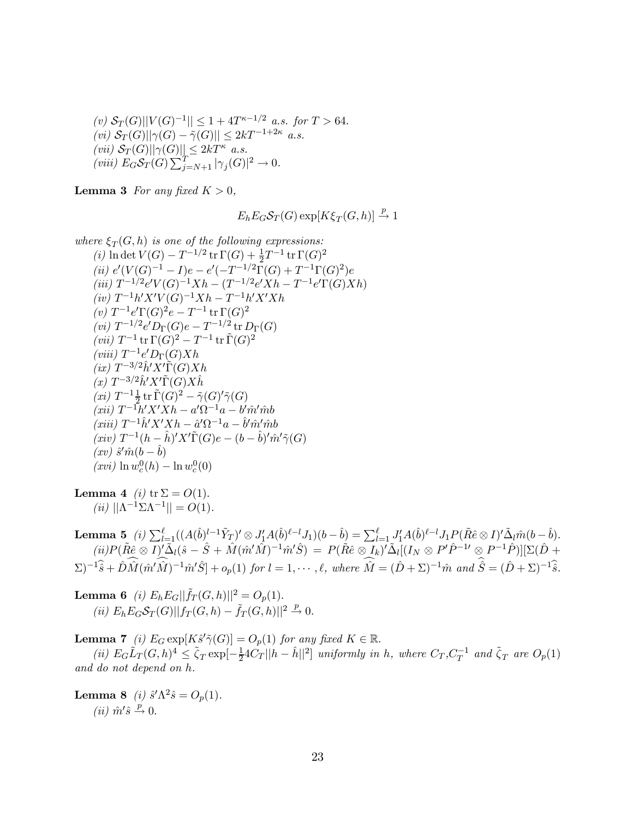(v)  $S_T(G) ||V(G)^{-1}|| \leq 1 + 4T^{\kappa-1/2}$  a.s. for  $T > 64$ .  $(v_i)$   $S_T(G)$ || $\gamma(G) - \tilde{\gamma}(G)$ ||  $\leq 2kT^{-1+2\kappa}$  a.s.  $(vii)$   $S_T(G)||\gamma(G)|| \leq 2kT^{\kappa}$  a.s. (viii)  $E_GS_T(G)\sum_{j=N+1}^T|\gamma_j(G)|^2\to 0.$ 

**Lemma 3** For any fixed  $K > 0$ ,

$$
E_h E_G S_T(G) \exp[K\xi_T(G,h)] \xrightarrow{p} 1
$$

where 
$$
\xi_T(G, h)
$$
 is one of the following expressions:  
\n(i)  $\ln \det V(G) - T^{-1/2} \operatorname{tr} \Gamma(G) + \frac{1}{2}T^{-1} \operatorname{tr} \Gamma(G)^2$   
\n(ii)  $e'(V(G)^{-1} - I)e - e'(-T^{-1/2}\Gamma(G) + T^{-1}\Gamma(G)^2)e$   
\n(iii)  $T^{-1/2}e'V(G)^{-1}Xh - (T^{-1/2}e'Xh - T^{-1}e'\Gamma(G)Xh)$   
\n(iv)  $T^{-1}h'X'V(G)^{-1}Xh - T^{-1}h'X'Xh$   
\n(v)  $T^{-1}e'\Gamma(G)^2e - T^{-1} \operatorname{tr} \Gamma(G)^2$   
\n(vi)  $T^{-1/2}e'D_{\Gamma}(G)e - T^{-1/2} \operatorname{tr} D_{\Gamma}(G)$   
\n(vii)  $T^{-1} \operatorname{tr} \Gamma(G)^2 - T^{-1} \operatorname{tr} \Gamma(G)^2$   
\n(viii)  $T^{-1}e'D_{\Gamma}(G)Xh$   
\n(ix)  $T^{-3/2}h'X'\Gamma(G)Xh$   
\n(x)  $T^{-3/2}h'X'\Gamma(G)X\hat{h}$   
\n(xi)  $T^{-1}\frac{1}{2}\operatorname{tr} \Gamma(G)^2 - \tilde{\gamma}(G)'\tilde{\gamma}(G)$   
\n(xii)  $T^{-1}h'X'Xh - a'\Omega^{-1}a - b'm'mb$   
\n(xiii)  $T^{-1}h'X'Xh - \hat{a}'\Omega^{-1}a - \hat{b}'m'mb$   
\n(xiv)  $T^{-1}(h - \hat{h})'X'\Gamma(G)e - (b - \hat{b})'m'\tilde{\gamma}(G)$   
\n(xv)  $\hat{s}'\hat{m}(b - \hat{b})$   
\n(xvi)  $\ln w_c^0(h) - \ln w_c^0(0)$ 

**Lemma 4** (*i*) tr  $\Sigma = O(1)$ . (ii)  $||\Lambda^{-1}\Sigma\Lambda^{-1}|| = O(1)$ .

Lemma  $\mathbf{5}_{\bullet}(i) \sum_{l=1}^{\ell} ((A(\hat{b})^{l-1}\tilde{Y}_T)^{\prime} \otimes J_{1}^{\prime}A(\hat{b})^{\ell-l}J_{1})(b - \hat{b}) = \sum_{l=1}^{\ell} J_{1}^{\prime}A(\hat{b})^{\ell-l}J_{1}P(\tilde{R}\hat{e} \otimes I)^{\prime}\tilde{\Delta}_{l}\hat{m}(b - \hat{b}).$  $(iii)P(\tilde{R}\hat{e}\otimes I)'$  $(\hat{\Delta}_l(\hat{s}-\hat{S}+\hat{M}(\hat{m}'\hat{M})^{-1}\hat{m}'\hat{S}) = P(\tilde{R}\hat{e}\otimes I_k)'\tilde{\Delta}_l[(I_N\otimes P'\hat{P}^{-1}\hat{S})\otimes (I_N\hat{D})]\tilde{E}(\hat{D}+\hat{S})$  $(\Sigma)^{-1}\widehat{s}+\widehat{D}\widehat{M}(\widehat{m}'\widehat{M})^{-1}\widehat{m}'\widehat{S}]+o_p(1)$  for  $l=1,\cdots,\ell$ , where  $\widehat{M}=(\widehat{D}+\Sigma)^{-1}\widehat{m}$  and  $\widehat{S}=(\widehat{D}+\Sigma)^{-1}\widehat{\widehat{s}}$ .

**Lemma 6** (i)  $E_h E_G || \tilde{f}_T(G, h) ||^2 = O_p(1)$ . (*ii*)  $E_h E_G S_T(G) ||f_T(G, h) - \tilde{f}_T(G, h)||^2 \xrightarrow{p} 0.$ 

**Lemma 7** (i)  $E_G \exp[K_s^s \tilde{\gamma}(G)] = O_p(1)$  for any fixed  $K \in \mathbb{R}$ . (ii)  $E_G \tilde{L}_T(G, h)^4 \leq \tilde{\zeta}_T \exp[-\frac{1}{2}4C_T ||h - \hat{h}||^2]$  uniformly in h, where  $C_T$ ,  $C_T^{-1}$  and  $\tilde{\zeta}_T$  are  $O_p(1)$ and do not depend on h.

**Lemma 8** (i)  $\hat{s}' \Lambda^2 \hat{s} = O_p(1)$ . (*ii*)  $\hat{m}'\hat{s} \stackrel{p}{\rightarrow} 0$ .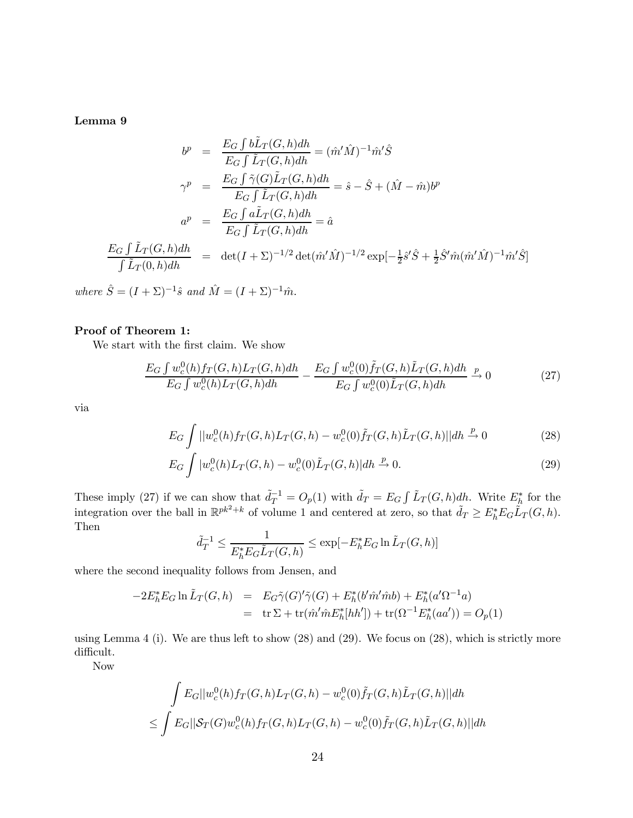Lemma 9

$$
b^{p} = \frac{E_{G} \int b\tilde{L}_{T}(G,h)dh}{E_{G} \int \tilde{L}_{T}(G,h)dh} = (\hat{m}'\hat{M})^{-1}\hat{m}'\hat{S}
$$
  

$$
\gamma^{p} = \frac{E_{G} \int \tilde{\gamma}(G)\tilde{L}_{T}(G,h)dh}{E_{G} \int \tilde{L}_{T}(G,h)dh} = \hat{s} - \hat{S} + (\hat{M} - \hat{m})b^{p}
$$
  

$$
a^{p} = \frac{E_{G} \int a\tilde{L}_{T}(G,h)dh}{E_{G} \int \tilde{L}_{T}(G,h)dh} = \hat{a}
$$
  

$$
\frac{E_{G} \int \tilde{L}_{T}(G,h)dh}{\int \tilde{L}_{T}(0,h)dh} = \det(I + \Sigma)^{-1/2} \det(\hat{m}'\hat{M})^{-1/2} \exp[-\frac{1}{2}\hat{s}'\hat{S} + \frac{1}{2}\hat{S}'\hat{m}(\hat{m}'\hat{M})^{-1}\hat{m}'\hat{S}]
$$

where  $\hat{S} = (I + \Sigma)^{-1}\hat{s}$  and  $\hat{M} = (I + \Sigma)^{-1}\hat{m}$ .

#### Proof of Theorem 1:

We start with the first claim. We show

$$
\frac{E_G \int w_c^0(h) f_T(G, h) L_T(G, h) dh}{E_G \int w_c^0(h) L_T(G, h) dh} - \frac{E_G \int w_c^0(0) \tilde{f}_T(G, h) \tilde{L}_T(G, h) dh}{E_G \int w_c^0(0) \tilde{L}_T(G, h) dh} \xrightarrow{p} 0
$$
\n(27)

via

$$
E_G \int ||w_c^0(h) f_T(G, h) L_T(G, h) - w_c^0(0) \tilde{f}_T(G, h) \tilde{L}_T(G, h) || dh \xrightarrow{p} 0
$$
 (28)

$$
E_G \int |w_c^0(h)L_T(G,h) - w_c^0(0)\tilde{L}_T(G,h)| dh \xrightarrow{p} 0.
$$
\n(29)

These imply (27) if we can show that  $\tilde{d}_T^{-1} = O_p(1)$  with  $\tilde{d}_T = E_G \int \tilde{L}_T(G, h) dh$ . Write  $E_h^*$  for the integration over the ball in  $\mathbb{R}^{pk^2+k}$  of volume 1 and centered at zero, so that  $\tilde{d}_T \geq E_h^* E_G \tilde{L}_T(G, h)$ . Then

$$
\tilde{d}_T^{-1} \le \frac{1}{E_h^* E_G \tilde{L}_T(G, h)} \le \exp[-E_h^* E_G \ln \tilde{L}_T(G, h)]
$$

where the second inequality follows from Jensen, and

$$
-2E_h^* E_G \ln \tilde{L}_T(G, h) = E_G \tilde{\gamma}(G)'\tilde{\gamma}(G) + E_h^*(b'\hat{m}'\hat{m}b) + E_h^*(a'\Omega^{-1}a)
$$
  
= tr  $\Sigma + \text{tr}(\hat{m}'\hat{m}E_h^*[hh']) + \text{tr}(\Omega^{-1}E_h^*(aa')) = O_p(1)$ 

using Lemma 4 (i). We are thus left to show (28) and (29). We focus on (28), which is strictly more difficult.

Now

$$
\int E_G||w_c^0(h)f_T(G,h)L_T(G,h) - w_c^0(0)\tilde{f}_T(G,h)\tilde{L}_T(G,h)||dh
$$
  

$$
\leq \int E_G||\mathcal{S}_T(G)w_c^0(h)f_T(G,h)L_T(G,h) - w_c^0(0)\tilde{f}_T(G,h)\tilde{L}_T(G,h)||dh
$$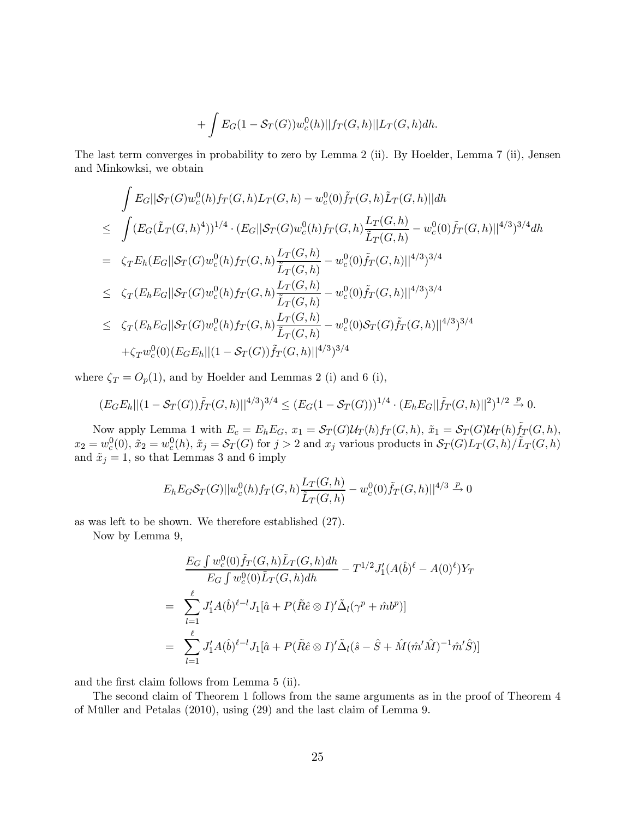$$
+ \int E_G(1 - S_T(G))w_c^0(h)||f_T(G,h)||L_T(G,h)dh.
$$

The last term converges in probability to zero by Lemma 2 (ii). By Hoelder, Lemma 7 (ii), Jensen and Minkowksi, we obtain

$$
\int E_G||S_T(G)w_c^0(h)f_T(G,h)L_T(G,h) - w_c^0(0)\tilde{f}_T(G,h)\tilde{L}_T(G,h)||dh
$$
\n
$$
\leq \int (E_G(\tilde{L}_T(G,h)^4))^{1/4} \cdot (E_G||S_T(G)w_c^0(h)f_T(G,h)\frac{L_T(G,h)}{\tilde{L}_T(G,h)} - w_c^0(0)\tilde{f}_T(G,h)||^{4/3})^{3/4}dh
$$
\n
$$
= \zeta_T E_h(E_G||S_T(G)w_c^0(h)f_T(G,h)\frac{L_T(G,h)}{\tilde{L}_T(G,h)} - w_c^0(0)\tilde{f}_T(G,h)||^{4/3})^{3/4}
$$
\n
$$
\leq \zeta_T(E_hE_G||S_T(G)w_c^0(h)f_T(G,h)\frac{L_T(G,h)}{\tilde{L}_T(G,h)} - w_c^0(0)\tilde{f}_T(G,h)||^{4/3})^{3/4}
$$
\n
$$
\leq \zeta_T(E_hE_G||S_T(G)w_c^0(h)f_T(G,h)\frac{L_T(G,h)}{\tilde{L}_T(G,h)} - w_c^0(0)S_T(G)\tilde{f}_T(G,h)||^{4/3})^{3/4}
$$
\n
$$
+ \zeta_T w_c^0(0)(E_GE_h||(1 - S_T(G))\tilde{f}_T(G,h)||^{4/3})^{3/4}
$$

where  $\zeta_T = O_p(1)$ , and by Hoelder and Lemmas 2 (i) and 6 (i),

$$
(E_G E_h || (1 - S_T(G)) \tilde{f}_T(G, h) ||^{4/3})^{3/4} \leq (E_G (1 - S_T(G)))^{1/4} \cdot (E_h E_G || \tilde{f}_T(G, h) ||^2)^{1/2} \xrightarrow{p} 0.
$$

Now apply Lemma 1 with  $E_c = E_h E_G$ ,  $x_1 = \mathcal{S}_T(G)\mathcal{U}_T(h)f_T(G,h)$ ,  $\tilde{x}_1 = \mathcal{S}_T(G)\mathcal{U}_T(h)\tilde{f}_T(G,h)$ ,  $x_2 = w_c^0(0), \, \tilde{x}_2 = w_c^0(h), \, \tilde{x}_j = \mathcal{S}_T(G)$  for  $j > 2$  and  $x_j$  various products in  $\mathcal{S}_T(G) L_T(G, h) / L_T(G, h)$ and  $\tilde{x}_j = 1$ , so that Lemmas 3 and 6 imply

$$
E_h E_G \mathcal{S}_T(G) ||w_c^0(h) f_T(G, h) \frac{L_T(G, h)}{\tilde{L}_T(G, h)} - w_c^0(0) \tilde{f}_T(G, h) ||^{4/3} \xrightarrow{p} 0
$$

as was left to be shown. We therefore established (27).

Now by Lemma 9,

$$
\frac{E_G \int w_c^0(0) \tilde{f}_T(G, h) \tilde{L}_T(G, h) dh}{E_G \int w_c^0(0) \tilde{L}_T(G, h) dh} - T^{1/2} J'_1(A(\hat{b})^{\ell} - A(0)^{\ell}) Y_T
$$
\n
$$
= \sum_{l=1}^{\ell} J'_1 A(\hat{b})^{\ell-l} J_1[\hat{a} + P(\tilde{R}\hat{e} \otimes I)' \tilde{\Delta}_l(\gamma^p + \hat{m}b^p)]
$$
\n
$$
= \sum_{l=1}^{\ell} J'_1 A(\hat{b})^{\ell-l} J_1[\hat{a} + P(\tilde{R}\hat{e} \otimes I)' \tilde{\Delta}_l(\hat{s} - \hat{S} + \hat{M}(\hat{m}'\hat{M})^{-1}\hat{m}'\hat{S})]
$$

and the first claim follows from Lemma 5 (ii).

The second claim of Theorem 1 follows from the same arguments as in the proof of Theorem 4 of Müller and Petalas (2010), using (29) and the last claim of Lemma 9.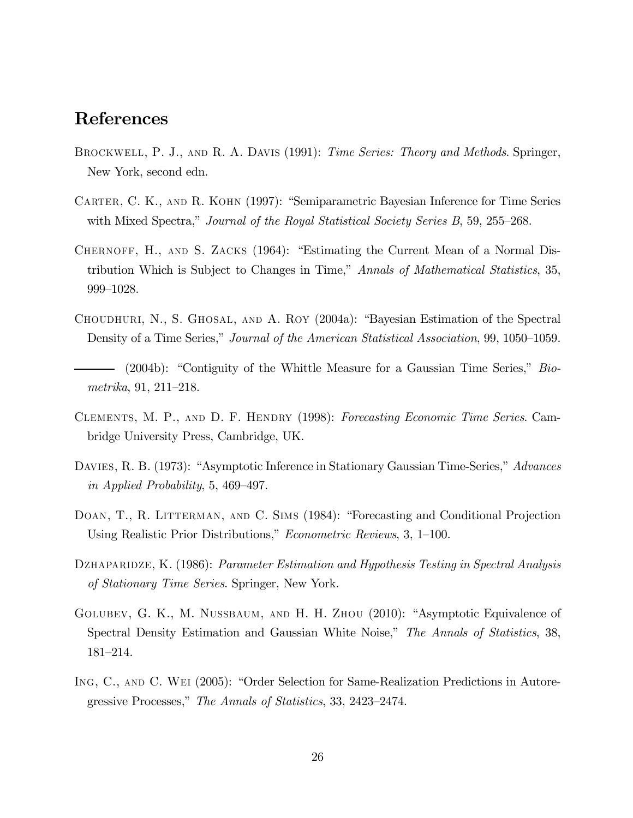# References

- BROCKWELL, P. J., AND R. A. DAVIS (1991): Time Series: Theory and Methods. Springer, New York, second edn.
- Carter, C. K., and R. Kohn (1997): "Semiparametric Bayesian Inference for Time Series with Mixed Spectra," Journal of the Royal Statistical Society Series B, 59, 255–268.
- CHERNOFF, H., AND S. ZACKS (1964): "Estimating the Current Mean of a Normal Distribution Which is Subject to Changes in Time," Annals of Mathematical Statistics, 35, 999—1028.
- Choudhuri, N., S. Ghosal, and A. Roy (2004a): "Bayesian Estimation of the Spectral Density of a Time Series," Journal of the American Statistical Association, 99, 1050—1059.
- (2004b): "Contiguity of the Whittle Measure for a Gaussian Time Series," Biometrika, 91, 211—218.
- Clements, M. P., and D. F. Hendry (1998): Forecasting Economic Time Series. Cambridge University Press, Cambridge, UK.
- DAVIES, R. B. (1973): "Asymptotic Inference in Stationary Gaussian Time-Series," Advances in Applied Probability, 5, 469—497.
- DOAN, T., R. LITTERMAN, AND C. SIMS (1984): "Forecasting and Conditional Projection Using Realistic Prior Distributions," Econometric Reviews, 3, 1—100.
- DZHAPARIDZE, K. (1986): Parameter Estimation and Hypothesis Testing in Spectral Analysis of Stationary Time Series. Springer, New York.
- GOLUBEV, G. K., M. NUSSBAUM, AND H. H. ZHOU (2010): "Asymptotic Equivalence of Spectral Density Estimation and Gaussian White Noise," The Annals of Statistics, 38, 181—214.
- Ing, C., and C. Wei (2005): "Order Selection for Same-Realization Predictions in Autoregressive Processes," The Annals of Statistics, 33, 2423—2474.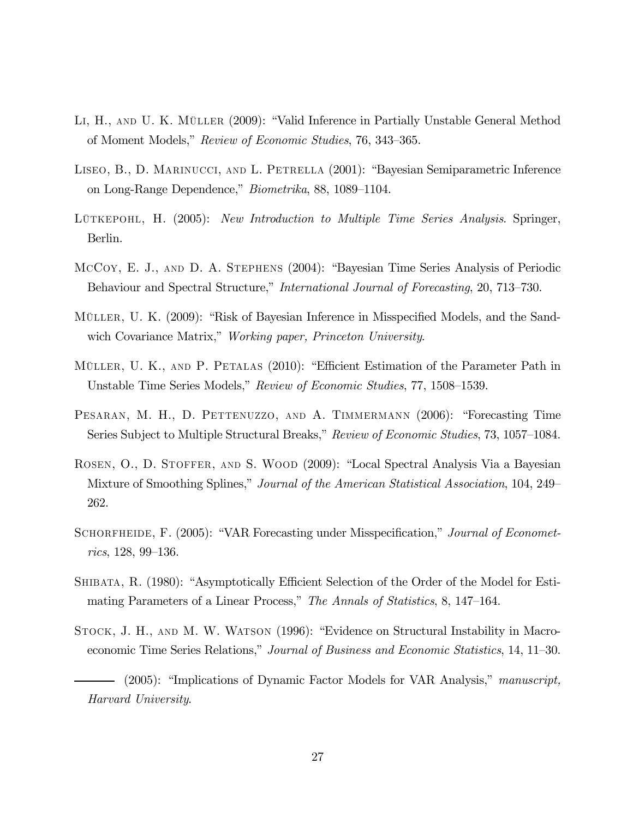- Li, H., and U. K. Müller (2009): "Valid Inference in Partially Unstable General Method of Moment Models," Review of Economic Studies, 76, 343—365.
- Liseo, B., D. Marinucci, and L. Petrella (2001): "Bayesian Semiparametric Inference on Long-Range Dependence," Biometrika, 88, 1089—1104.
- LÜTKEPOHL, H. (2005): New Introduction to Multiple Time Series Analysis. Springer, Berlin.
- McCoy, E. J., and D. A. Stephens (2004): "Bayesian Time Series Analysis of Periodic Behaviour and Spectral Structure," International Journal of Forecasting, 20, 713—730.
- Müller, U. K. (2009): "Risk of Bayesian Inference in Misspecified Models, and the Sandwich Covariance Matrix," *Working paper, Princeton University.*
- Müller, U. K., and P. Petalas (2010): "Efficient Estimation of the Parameter Path in Unstable Time Series Models," Review of Economic Studies, 77, 1508—1539.
- PESARAN, M. H., D. PETTENUZZO, AND A. TIMMERMANN (2006): "Forecasting Time Series Subject to Multiple Structural Breaks," Review of Economic Studies, 73, 1057—1084.
- Rosen, O., D. Stoffer, and S. Wood (2009): "Local Spectral Analysis Via a Bayesian Mixture of Smoothing Splines," Journal of the American Statistical Association, 104, 249— 262.
- SCHORFHEIDE, F. (2005): "VAR Forecasting under Misspecification," Journal of Econometrics, 128, 99—136.
- Shibata, R. (1980): "Asymptotically Efficient Selection of the Order of the Model for Estimating Parameters of a Linear Process," The Annals of Statistics, 8, 147—164.
- Stock, J. H., and M. W. Watson (1996): "Evidence on Structural Instability in Macroeconomic Time Series Relations," Journal of Business and Economic Statistics, 14, 11—30.

<sup>(2005): &</sup>quot;Implications of Dynamic Factor Models for VAR Analysis," manuscript, Harvard University.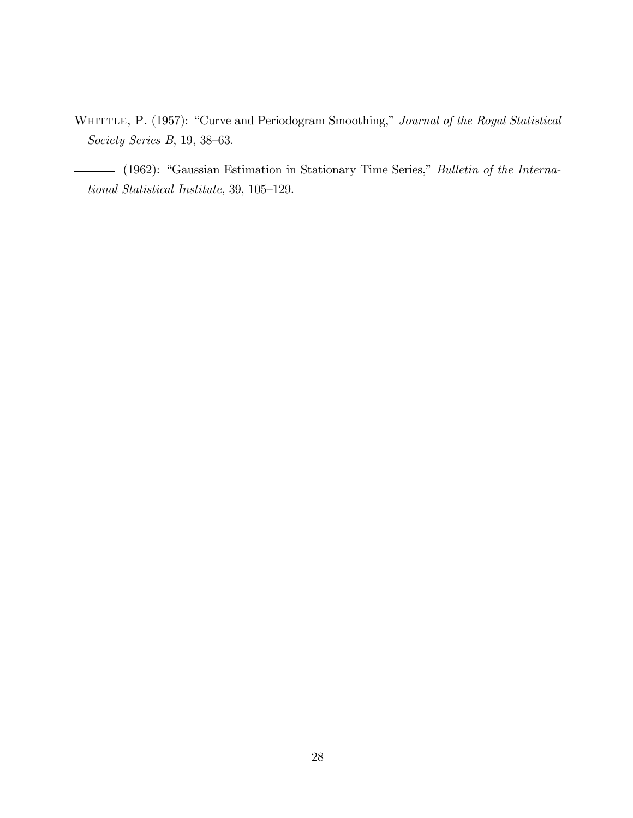WHITTLE, P. (1957): "Curve and Periodogram Smoothing," Journal of the Royal Statistical Society Series B, 19, 38—63.

(1962): "Gaussian Estimation in Stationary Time Series," Bulletin of the International Statistical Institute, 39, 105—129.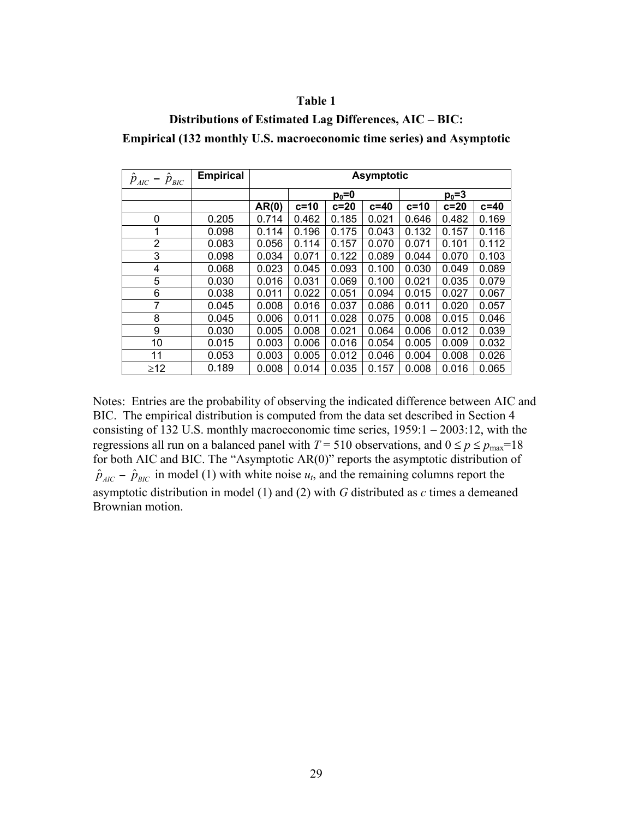### **Table 1**

### **Distributions of Estimated Lag Differences, AIC – BIC:**

**Empirical (132 monthly U.S. macroeconomic time series) and Asymptotic** 

| $\hat{p}_{AIC}$ – $\hat{p}_{BIC}$ | <b>Empirical</b> | <b>Asymptotic</b> |        |        |           |        |        |        |
|-----------------------------------|------------------|-------------------|--------|--------|-----------|--------|--------|--------|
|                                   |                  | $p_0 = 0$         |        |        | $p_0 = 3$ |        |        |        |
|                                   |                  | AR(0)             | $c=10$ | $c=20$ | $c = 40$  | $c=10$ | $c=20$ | $c=40$ |
| 0                                 | 0.205            | 0.714             | 0.462  | 0.185  | 0.021     | 0.646  | 0.482  | 0.169  |
| 1                                 | 0.098            | 0.114             | 0.196  | 0.175  | 0.043     | 0.132  | 0.157  | 0.116  |
| 2                                 | 0.083            | 0.056             | 0.114  | 0.157  | 0.070     | 0.071  | 0.101  | 0.112  |
| 3                                 | 0.098            | 0.034             | 0.071  | 0.122  | 0.089     | 0.044  | 0.070  | 0.103  |
| 4                                 | 0.068            | 0.023             | 0.045  | 0.093  | 0.100     | 0.030  | 0.049  | 0.089  |
| 5                                 | 0.030            | 0.016             | 0.031  | 0.069  | 0.100     | 0.021  | 0.035  | 0.079  |
| 6                                 | 0.038            | 0.011             | 0.022  | 0.051  | 0.094     | 0.015  | 0.027  | 0.067  |
| 7                                 | 0.045            | 0.008             | 0.016  | 0.037  | 0.086     | 0.011  | 0.020  | 0.057  |
| 8                                 | 0.045            | 0.006             | 0.011  | 0.028  | 0.075     | 0.008  | 0.015  | 0.046  |
| 9                                 | 0.030            | 0.005             | 0.008  | 0.021  | 0.064     | 0.006  | 0.012  | 0.039  |
| 10                                | 0.015            | 0.003             | 0.006  | 0.016  | 0.054     | 0.005  | 0.009  | 0.032  |
| 11                                | 0.053            | 0.003             | 0.005  | 0.012  | 0.046     | 0.004  | 0.008  | 0.026  |
| $\geq$ 12                         | 0.189            | 0.008             | 0.014  | 0.035  | 0.157     | 0.008  | 0.016  | 0.065  |

Notes: Entries are the probability of observing the indicated difference between AIC and BIC. The empirical distribution is computed from the data set described in Section 4 consisting of 132 U.S. monthly macroeconomic time series, 1959:1 – 2003:12, with the regressions all run on a balanced panel with  $T = 510$  observations, and  $0 \le p \le p_{\text{max}} = 18$ for both AIC and BIC. The "Asymptotic AR(0)" reports the asymptotic distribution of  $\hat{p}_{AIC}$  –  $\hat{p}_{BIC}$  in model (1) with white noise  $u_t$ , and the remaining columns report the asymptotic distribution in model (1) and (2) with *G* distributed as *c* times a demeaned Brownian motion.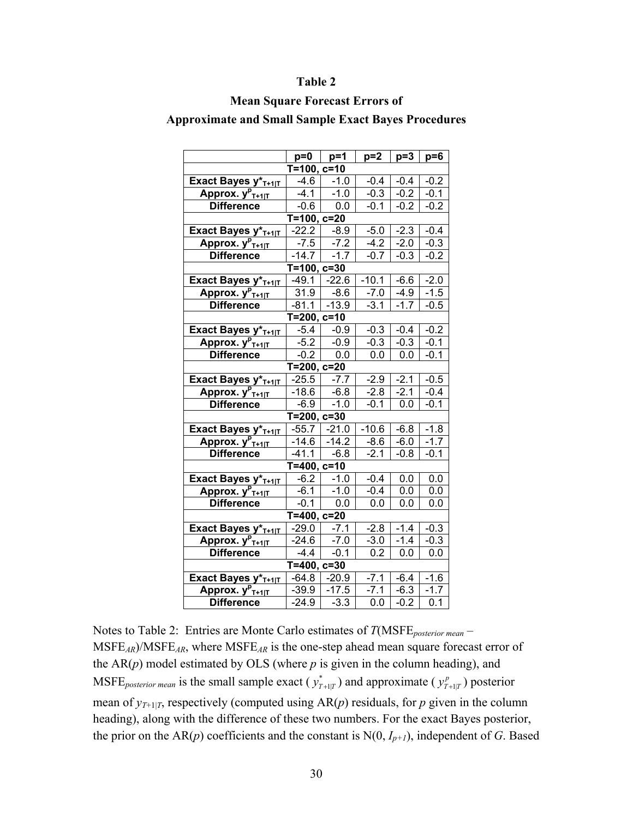#### **Table 2**

#### **Mean Square Forecast Errors of**

**Approximate and Small Sample Exact Bayes Procedures** 

|                                         | $p=0$                     | $p=1$   | $p=2$   | $p=3$  | $p=6$             |  |  |  |  |
|-----------------------------------------|---------------------------|---------|---------|--------|-------------------|--|--|--|--|
| $T=100, c=10$                           |                           |         |         |        |                   |  |  |  |  |
| Exact Bayes y* <sub>T+1 T</sub>         | $-4.6$                    | $-1.0$  | $-0.4$  | $-0.4$ | $-0.2$            |  |  |  |  |
| Approx. y <sup>p</sup> <sub>T+1 T</sub> | $-4.1$                    | $-1.0$  | $-0.3$  | $-0.2$ | $-0.1$            |  |  |  |  |
| <b>Difference</b>                       | $-0.6$                    | 0.0     | $-0.1$  | $-0.2$ | $-0.2$            |  |  |  |  |
| $T=100, c=20$                           |                           |         |         |        |                   |  |  |  |  |
| Exact Bayes y* <sub>T+1 T</sub>         | $-22.2$                   | $-8.9$  | $-5.0$  | $-2.3$ | $-0.4$            |  |  |  |  |
| Approx. y <sup>p</sup> <sub>T+1 T</sub> | $-7.5$                    | $-7.2$  | $-4.2$  | $-2.0$ | $-0.3$            |  |  |  |  |
| <b>Difference</b>                       | $-14.7$                   | $-1.7$  | $-0.7$  | $-0.3$ | $-0.2$            |  |  |  |  |
| $T=100, c=30$                           |                           |         |         |        |                   |  |  |  |  |
| Exact Bayes y*T+1 T                     | $-49.1$                   | $-22.6$ | $-10.1$ | $-6.6$ | $-2.0$            |  |  |  |  |
| Approx. y <sup>p</sup> <sub>T+1 T</sub> | 31.9                      | $-8.6$  | $-7.0$  | $-4.9$ | $-1.5$            |  |  |  |  |
| <b>Difference</b>                       | $-81.1$                   | $-13.9$ | $-3.1$  | $-1.7$ | $-0.5$            |  |  |  |  |
| $T=200, c=10$                           |                           |         |         |        |                   |  |  |  |  |
| Exact Bayes y* <sub>T+1 T</sub>         | $-5.4$                    | $-0.9$  | $-0.3$  | $-0.4$ | $-0.2$            |  |  |  |  |
| Approx. y <sup>p</sup> <sub>T+1 T</sub> | $-5.2$                    | $-0.9$  | $-0.3$  | $-0.3$ | $-0.\overline{1}$ |  |  |  |  |
| <b>Difference</b>                       | $-0.2$                    | 0.0     | 0.0     | 0.0    | $-0.1$            |  |  |  |  |
|                                         | $\overline{T=200}$ , c=20 |         |         |        |                   |  |  |  |  |
| Exact Bayes y* <sub>T+1 T</sub>         | $-25.5$                   | $-7.7$  | $-2.9$  | $-2.1$ | $-0.5$            |  |  |  |  |
| Approx. $y_{T+1 T}^p$                   | $-18.6$                   | $-6.8$  | $-2.8$  | $-2.1$ | $-0.4$            |  |  |  |  |
| <b>Difference</b>                       | $-6.9$                    | $-1.0$  | $-0.1$  | 0.0    | $-0.1$            |  |  |  |  |
|                                         | $T=200, c=30$             |         |         |        |                   |  |  |  |  |
| Exact Bayes y*T+1 T                     | $-55.7$                   | $-21.0$ | $-10.6$ | $-6.8$ | $-1.8$            |  |  |  |  |
| Approx. $y_{T+1 T}^p$                   | $-14.6$                   | $-14.2$ | $-8.6$  | $-6.0$ | $-1.7$            |  |  |  |  |
| <b>Difference</b>                       | $-41.1$                   | $-6.8$  | $-2.1$  | $-0.8$ | $-0.1$            |  |  |  |  |
|                                         | $T = 400, c = 10$         |         |         |        |                   |  |  |  |  |
| Exact Bayes y* <sub>T+1 T</sub>         | $-6.2$                    | $-1.0$  | $-0.4$  | 0.0    | 0.0               |  |  |  |  |
| Approx. y <sup>p</sup> <sub>T+1 T</sub> | $-6.1$                    | $-1.0$  | $-0.4$  | 0.0    | 0.0               |  |  |  |  |
| <b>Difference</b>                       | $-0.1$                    | 0.0     | 0.0     | 0.0    | 0.0               |  |  |  |  |
| $T = 400, c = 20$                       |                           |         |         |        |                   |  |  |  |  |
| Exact Bayes y*T+1 T                     | $-29.0$                   | $-7.1$  | $-2.8$  | $-1.4$ | $-0.3$            |  |  |  |  |
| Approx. $y_{T+1 T}^p$                   | $-24.6$                   | $-7.0$  | $-3.0$  | $-1.4$ | $-0.3$            |  |  |  |  |
| <b>Difference</b>                       | $-4.4$                    | $-0.1$  | 0.2     | 0.0    | 0.0               |  |  |  |  |
| $\overline{T=400}$ , c=30               |                           |         |         |        |                   |  |  |  |  |
| Exact Bayes y* <sub>T+1 T</sub>         | $-64.8$                   | $-20.9$ | $-7.1$  | $-6.4$ | $-1.6$            |  |  |  |  |
| Approx. y <sup>p</sup> <sub>T+1 T</sub> | $-39.9$                   | $-17.5$ | $-7.1$  | $-6.3$ | $-1.7$            |  |  |  |  |
| <b>Difference</b>                       | $-24.9$                   | $-3.3$  | 0.0     | $-0.2$ | 0.1               |  |  |  |  |

Notes to Table 2: Entries are Monte Carlo estimates of *T*(MSFE*posterior mean* – MSFE*AR*)/MSFE*AR*, where MSFE*AR* is the one-step ahead mean square forecast error of the  $AR(p)$  model estimated by OLS (where  $p$  is given in the column heading), and MSFE<sub>posterior mean is the small sample exact ( $y_{T+1|T}^*$ ) and approximate ( $y_{T+1|T}^p$ ) posterior</sub> mean of  $y_{T+1|T}$ , respectively (computed using  $AR(p)$  residuals, for p given in the column heading), along with the difference of these two numbers. For the exact Bayes posterior, the prior on the AR( $p$ ) coefficients and the constant is  $N(0, I_{p+1})$ , independent of *G*. Based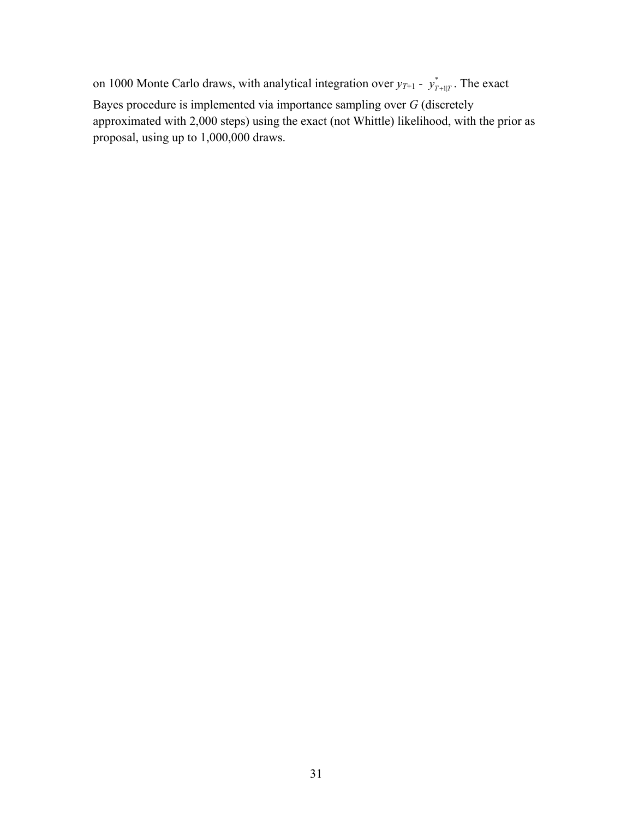on 1000 Monte Carlo draws, with analytical integration over  $y_{T+1}$  -  $y_{T+1|T}^*$ . The exact Bayes procedure is implemented via importance sampling over *G* (discretely approximated with 2,000 steps) using the exact (not Whittle) likelihood, with the prior as proposal, using up to 1,000,000 draws.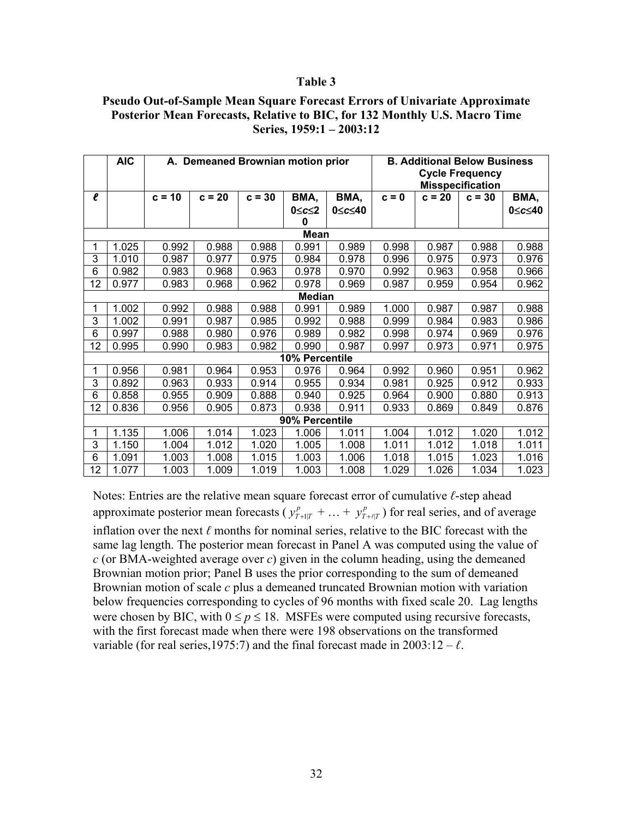#### **Table 3**

### **Pseudo Out-of-Sample Mean Square Forecast Errors of Univariate Approximate Posterior Mean Forecasts, Relative to BIC, for 132 Monthly U.S. Macro Time Series, 1959:1 – 2003:12**

|                     | <b>AIC</b>                                                                                     | A. Demeaned Brownian motion prior |          |          |       |        | <b>B. Additional Below Business</b><br><b>Cycle Frequency</b><br><b>Misspecification</b> |          |          |        |
|---------------------|------------------------------------------------------------------------------------------------|-----------------------------------|----------|----------|-------|--------|------------------------------------------------------------------------------------------|----------|----------|--------|
| $\boldsymbol{\ell}$ |                                                                                                | $c = 10$                          | $c = 20$ | $c = 30$ | BMA,  | BMA,   | $c = 0$                                                                                  | $c = 20$ | $c = 30$ | BMA,   |
|                     |                                                                                                |                                   |          |          | 0≤c≤2 | 0≤c≤40 |                                                                                          |          |          | 0≤c≤40 |
|                     |                                                                                                |                                   |          |          | 0     |        |                                                                                          |          |          |        |
|                     | Mean<br>1.025<br>0.992<br>0.988<br>0.988<br>0.989<br>0.998<br>0.987<br>0.988<br>0.988<br>0.991 |                                   |          |          |       |        |                                                                                          |          |          |        |
| 3                   | 1.010                                                                                          | 0.987                             | 0.977    | 0.975    | 0.984 | 0.978  | 0.996                                                                                    | 0.975    | 0.973    | 0.976  |
| 6                   | 0.982                                                                                          | 0.983                             | 0.968    | 0.963    | 0.978 | 0.970  | 0.992                                                                                    | 0.963    | 0.958    | 0.966  |
| 12                  | 0.977                                                                                          | 0.983                             | 0.968    | 0.962    | 0.978 | 0.969  | 0.987                                                                                    | 0.959    | 0.954    | 0.962  |
|                     | <b>Median</b>                                                                                  |                                   |          |          |       |        |                                                                                          |          |          |        |
| 1                   | 1.002                                                                                          | 0.992                             | 0.988    | 0.988    | 0.991 | 0.989  | 1.000                                                                                    | 0.987    | 0.987    | 0.988  |
| 3                   | 1.002                                                                                          | 0.991                             | 0.987    | 0.985    | 0.992 | 0.988  | 0.999                                                                                    | 0.984    | 0.983    | 0.986  |
| 6                   | 0.997                                                                                          | 0.988                             | 0.980    | 0.976    | 0.989 | 0.982  | 0.998                                                                                    | 0.974    | 0.969    | 0.976  |
| 12                  | 0.995                                                                                          | 0.990                             | 0.983    | 0.982    | 0.990 | 0.987  | 0.997                                                                                    | 0.973    | 0.971    | 0.975  |
| 10% Percentile      |                                                                                                |                                   |          |          |       |        |                                                                                          |          |          |        |
|                     | 0.956                                                                                          | 0.981                             | 0.964    | 0.953    | 0.976 | 0.964  | 0.992                                                                                    | 0.960    | 0.951    | 0.962  |
| 3                   | 0.892                                                                                          | 0.963                             | 0.933    | 0.914    | 0.955 | 0.934  | 0.981                                                                                    | 0.925    | 0.912    | 0.933  |
| 6                   | 0.858                                                                                          | 0.955                             | 0.909    | 0.888    | 0.940 | 0.925  | 0.964                                                                                    | 0.900    | 0.880    | 0.913  |
| 12                  | 0.836                                                                                          | 0.956                             | 0.905    | 0.873    | 0.938 | 0.911  | 0.933                                                                                    | 0.869    | 0.849    | 0.876  |
| 90% Percentile      |                                                                                                |                                   |          |          |       |        |                                                                                          |          |          |        |
| 1                   | 1.135                                                                                          | 1.006                             | 1.014    | 1.023    | 1.006 | 1.011  | 1.004                                                                                    | 1.012    | 1.020    | 1.012  |
| 3                   | 1.150                                                                                          | 1.004                             | 1.012    | 1.020    | 1.005 | 1.008  | 1.011                                                                                    | 1.012    | 1.018    | 1.011  |
| 6                   | 1.091                                                                                          | 1.003                             | 1.008    | 1.015    | 1.003 | 1.006  | 1.018                                                                                    | 1.015    | 1.023    | 1.016  |
| 12                  | 1.077                                                                                          | 1.003                             | 1.009    | 1.019    | 1.003 | 1.008  | 1.029                                                                                    | 1.026    | 1.034    | 1.023  |

Notes: Entries are the relative mean square forecast error of cumulative *ℓ*-step ahead approximate posterior mean forecasts ( $y_{T+1|T}^p + ... + y_{T+\ell|T}^p$ ) for real series, and of average inflation over the next *ℓ* months for nominal series, relative to the BIC forecast with the same lag length. The posterior mean forecast in Panel A was computed using the value of *c* (or BMA-weighted average over *c*) given in the column heading, using the demeaned Brownian motion prior; Panel B uses the prior corresponding to the sum of demeaned Brownian motion of scale *c* plus a demeaned truncated Brownian motion with variation below frequencies corresponding to cycles of 96 months with fixed scale 20. Lag lengths were chosen by BIC, with  $0 \le p \le 18$ . MSFEs were computed using recursive forecasts, with the first forecast made when there were 198 observations on the transformed variable (for real series, 1975:7) and the final forecast made in  $2003:12 - \ell$ .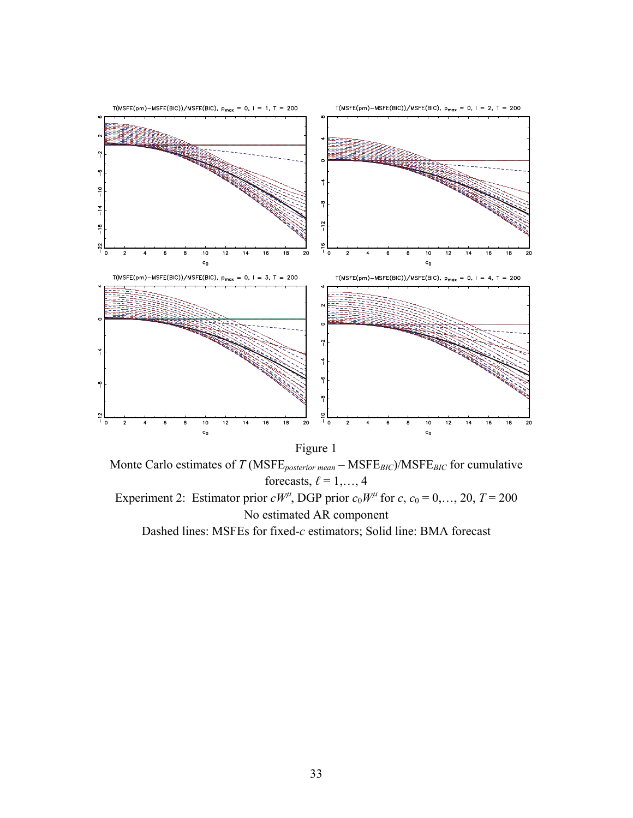

Monte Carlo estimates of *T* (MSFE*posterior mean* – MSFE*BIC*)/MSFE*BIC* for cumulative forecasts,  $\ell = 1, \ldots, 4$ Experiment 2: Estimator prior  $cW^{\mu}$ , DGP prior  $c_0W^{\mu}$  for  $c, c_0 = 0, ..., 20, T = 200$ No estimated AR component Dashed lines: MSFEs for fixed-*c* estimators; Solid line: BMA forecast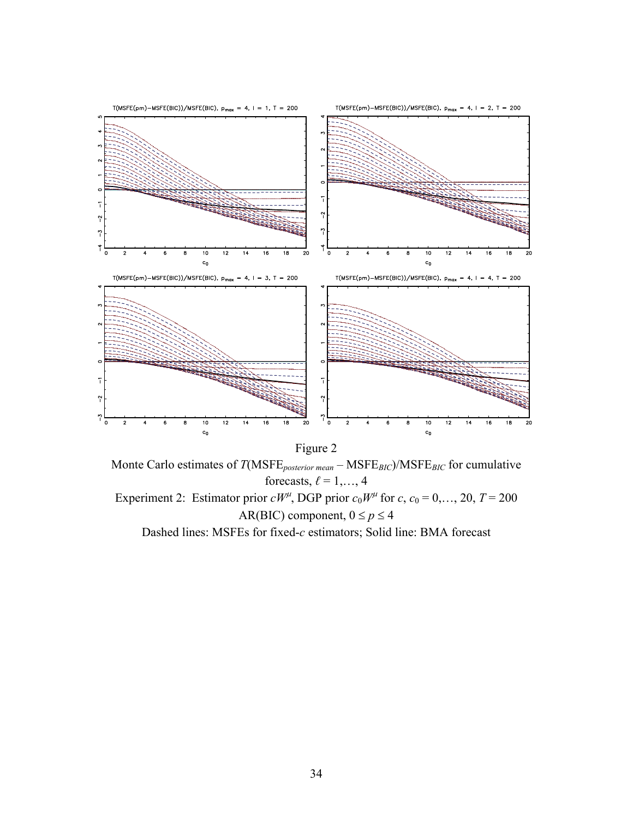

Figure 2

Monte Carlo estimates of *T*(MSFE*posterior mean* – MSFE*BIC*)/MSFE*BIC* for cumulative forecasts,  $\ell = 1, \ldots, 4$ Experiment 2: Estimator prior  $cW^{\mu}$ , DGP prior  $c_0W^{\mu}$  for  $c, c_0 = 0, ..., 20, T = 200$ AR(BIC) component,  $0 \le p \le 4$ 

Dashed lines: MSFEs for fixed-*c* estimators; Solid line: BMA forecast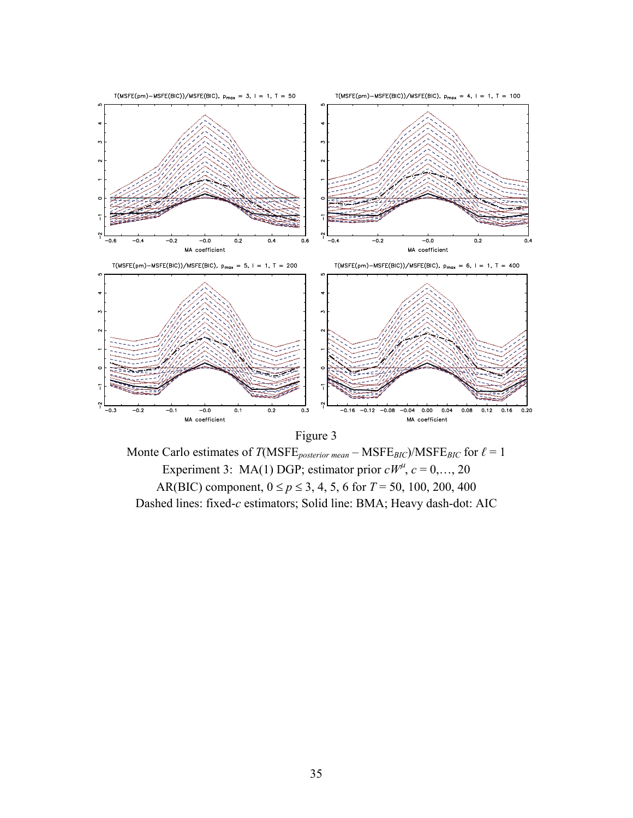



Monte Carlo estimates of  $T(MSFE_{posterior \: mean} - MSFE_{BIC})/MSFE_{BIC}$  for  $\ell = 1$ Experiment 3: MA(1) DGP; estimator prior  $cW^{\mu}$ ,  $c = 0,..., 20$ AR(BIC) component,  $0 \le p \le 3, 4, 5, 6$  for  $T = 50, 100, 200, 400$ Dashed lines: fixed-*c* estimators; Solid line: BMA; Heavy dash-dot: AIC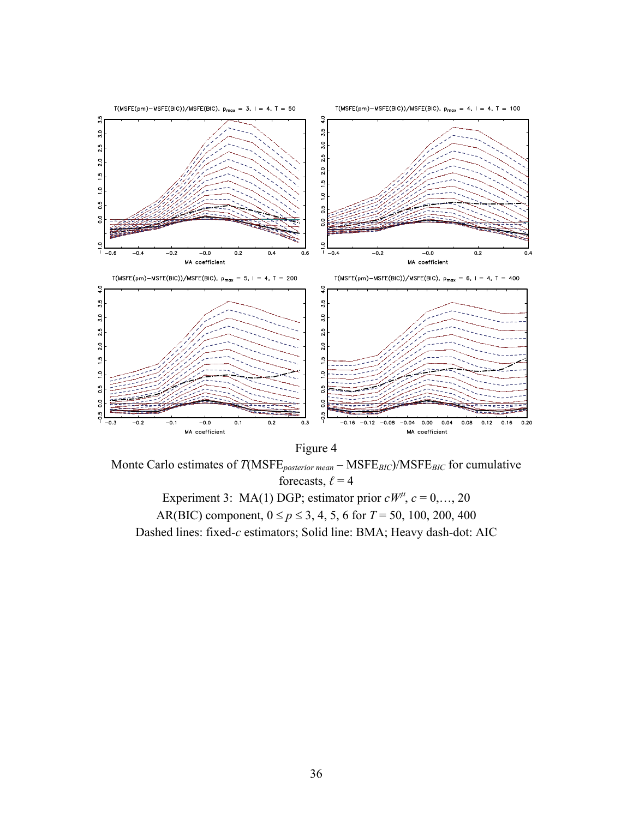

Monte Carlo estimates of *T*(MSFE*posterior mean* – MSFE*BIC*)/MSFE*BIC* for cumulative forecasts,  $\ell = 4$ Experiment 3: MA(1) DGP; estimator prior  $cW^{\mu}$ ,  $c = 0,..., 20$ 

AR(BIC) component,  $0 \le p \le 3, 4, 5, 6$  for  $T = 50, 100, 200, 400$ Dashed lines: fixed-*c* estimators; Solid line: BMA; Heavy dash-dot: AIC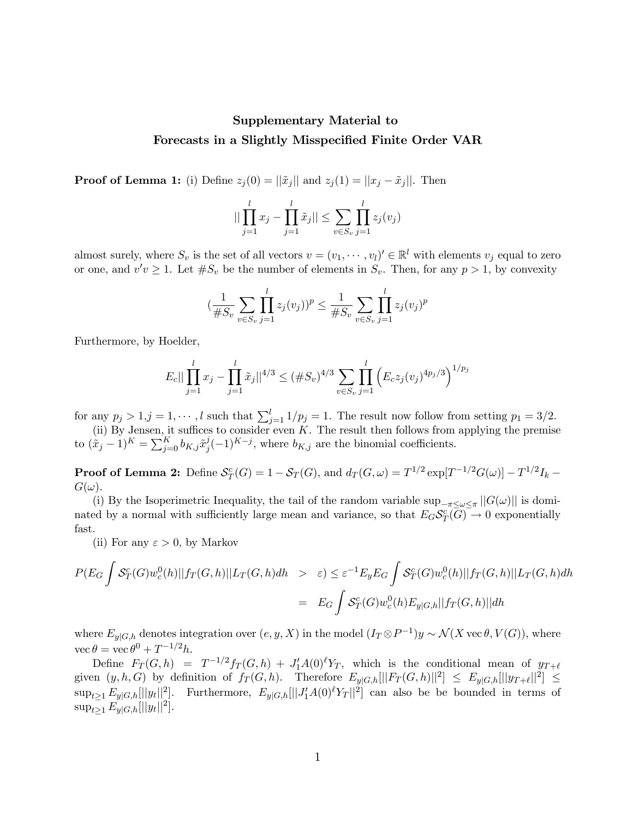# Supplementary Material to Forecasts in a Slightly Misspecified Finite Order VAR

**Proof of Lemma 1:** (i) Define  $z_j(0) = ||\tilde{x}_j||$  and  $z_j(1) = ||x_j - \tilde{x}_j||$ . Then

$$
\|\prod_{j=1}^{l} x_j - \prod_{j=1}^{l} \tilde{x}_j\| \le \sum_{v \in S_v} \prod_{j=1}^{l} z_j(v_j)
$$

almost surely, where  $S_v$  is the set of all vectors  $v = (v_1, \dots, v_l)' \in \mathbb{R}^l$  with elements  $v_j$  equal to zero or one, and  $v'v \geq 1$ . Let  $\#S_v$  be the number of elements in  $S_v$ . Then, for any  $p > 1$ , by convexity

$$
(\frac{1}{\#S_v} \sum_{v \in S_v} \prod_{j=1}^l z_j(v_j))^p \le \frac{1}{\#S_v} \sum_{v \in S_v} \prod_{j=1}^l z_j(v_j)^p
$$

Furthermore, by Hoelder,

$$
E_c||\prod_{j=1}^l x_j - \prod_{j=1}^l \tilde{x}_j||^{4/3} \leq (\#S_v)^{4/3} \sum_{v \in S_v} \prod_{j=1}^l \left( E_c z_j (v_j)^{4p_j/3} \right)^{1/p_j}
$$

for any  $p_j > 1, j = 1, \dots, l$  such that  $\sum_{j=1}^l 1/p_j = 1$ . The result now follow from setting  $p_1 = 3/2$ .

(ii) By Jensen, it suffices to consider even  $K$ . The result then follows from applying the premise to  $(\tilde{x}_j - 1)^K = \sum_{j=0}^K b_{K,j} \tilde{x}_j^j (-1)^{K-j}$ , where  $b_{K,j}$  are the binomial coefficients.

**Proof of Lemma 2:** Define  $S_T^c(G) = 1 - S_T(G)$ , and  $d_T(G, \omega) = T^{1/2} \exp[T^{-1/2}G(\omega)] - T^{1/2}I_k$  $G(\omega)$ .

(i) By the Isoperimetric Inequality, the tail of the random variable  $\sup_{-\pi \leq \omega \leq \pi} ||G(\omega)||$  is dominated by a normal with sufficiently large mean and variance, so that  $E_G \mathcal{S}_T^c(\overline{G}) \to 0$  exponentially fast.

(ii) For any  $\varepsilon > 0$ , by Markov

$$
P(E_G \int \mathcal{S}_T^c(G) w_c^0(h) ||f_T(G,h)||L_T(G,h)dh \geq \varepsilon) \leq \varepsilon^{-1} E_y E_G \int \mathcal{S}_T^c(G) w_c^0(h) ||f_T(G,h)||L_T(G,h)dh
$$
  
= 
$$
E_G \int \mathcal{S}_T^c(G) w_c^0(h) E_{y|G,h} ||f_T(G,h)||dh
$$

where  $E_{y|G,h}$  denotes integration over  $(e, y, X)$  in the model  $(I_T \otimes P^{-1})y \sim \mathcal{N}(X \operatorname{vec} \theta, V(G))$ , where  $\operatorname{vec} \theta = \operatorname{vec} \theta^0 + T^{-1/2} h.$ 

Define  $F_T(G, h) = T^{-1/2} f_T(G, h) + J'_1 A(0) \ell Y_T$ , which is the conditional mean of  $y_{T+\ell}$ given  $(y, h, G)$  by definition of  $f_T(G, h)$ . Therefore  $E_{y|G,h}[||F_T(G, h)||^2] \le E_{y|G,h}[||y_{T+\ell}||^2] \le$  $\sup_{t\geq 1} E_{y|G,h}[[|y_t||^2].$  Furthermore,  $E_{y|G,h}[||J'_1A(0)^{\ell}Y_T||^2]$  can also be be bounded in terms of  $\sup_{t\geq 1} E_{y|G,h}[||y_t||^2].$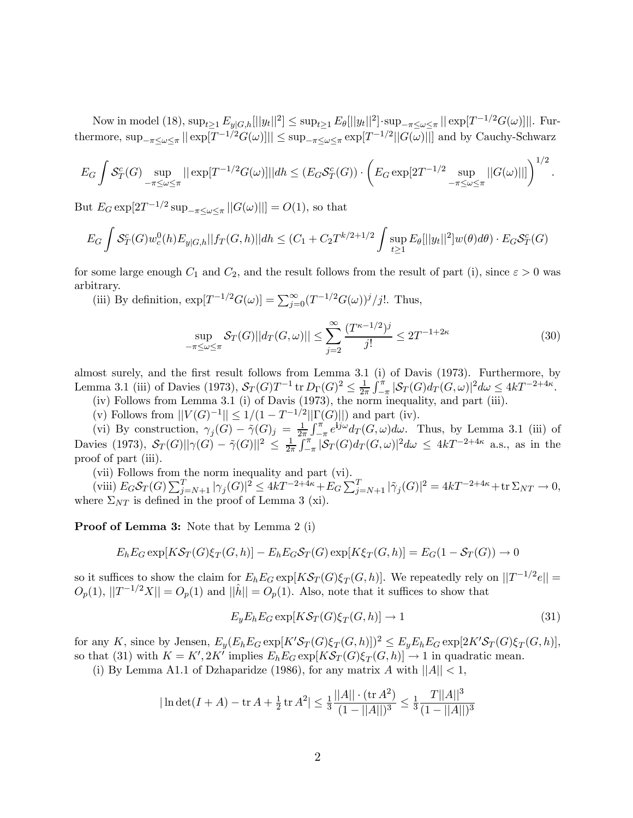Now in model (18),  $\sup_{t\geq 1} E_{y|G,h}[||y_t||^2] \leq \sup_{t\geq 1} E_{\theta}[||y_t||^2] \cdot \sup_{-\pi \leq \omega \leq \pi} ||\exp[T^{-1/2}G(\omega)]||$ . Furthermore,  $\sup_{-\pi \leq \omega \leq \pi} || \exp[T^{-1/2}G(\omega)] || \leq \sup_{-\pi \leq \omega \leq \pi} \exp[T^{-1/2}||G(\omega)||]$  and by Cauchy-Schwarz

$$
E_G \int S_T^c(G) \sup_{-\pi \le \omega \le \pi} ||\exp[T^{-1/2}G(\omega)]|| dh \le (E_G S_T^c(G)) \cdot \left( E_G \exp[2T^{-1/2} \sup_{-\pi \le \omega \le \pi} ||G(\omega)||] \right)^{1/2}.
$$

But  $E_G \exp[2T^{-1/2} \sup_{-\pi \le \omega \le \pi} ||G(\omega)||] = O(1)$ , so that

$$
E_G \int S_T^c(G) w_c^0(h) E_{y|G,h} || f_T(G,h) || dh \le (C_1 + C_2 T^{k/2+1/2} \int \sup_{t \ge 1} E_\theta[||y_t||^2] w(\theta) d\theta) \cdot E_G S_T^c(G)
$$

for some large enough  $C_1$  and  $C_2$ , and the result follows from the result of part (i), since  $\varepsilon > 0$  was arbitrary.

(iii) By definition,  $\exp[T^{-1/2}G(\omega)] = \sum_{j=0}^{\infty} (T^{-1/2}G(\omega))^j/j!$ . Thus,

$$
\sup_{-\pi \le \omega \le \pi} \mathcal{S}_T(G) ||d_T(G, \omega)|| \le \sum_{j=2}^{\infty} \frac{(T^{\kappa - 1/2})^j}{j!} \le 2T^{-1+2\kappa}
$$
(30)

almost surely, and the first result follows from Lemma 3.1 (i) of Davis (1973). Furthermore, by Lemma 3.1 (iii) of Davies (1973),  $S_T(G)T^{-1}$  tr  $D_\Gamma(G)^2 \le \frac{1}{2\pi} \int_{-\pi}^{\pi} |\mathcal{S}_T(G)d_T(G,\omega)|^2 d\omega \le 4kT^{-2+4\kappa}$ .

- (iv) Follows from Lemma 3.1 (i) of Davis (1973), the norm inequality, and part (iii).
- (v) Follows from  $||V(G)^{-1}|| \leq 1/(1 T^{-1/2}||\Gamma(G)||)$  and part (iv).

(vi) By construction,  $\gamma_j(G) - \tilde{\gamma}(G)_j = \frac{1}{2\pi} \int_{-\pi}^{\pi} e^{ij\omega} d_T(G, \omega) d\omega$ . Thus, by Lemma 3.1 (iii) of Davies (1973),  $S_T(G)||\gamma(G) - \tilde{\gamma}(G)||^2 \leq \frac{1}{2\pi} \int_{-\pi}^{\pi} |\mathcal{S}_T(G)d_T(G,\omega)|^2 d\omega \leq 4kT^{-2+4\kappa}$  a.s., as in the proof of part (iii).

(vii) Follows from the norm inequality and part (vi).

 $\sum_{j=N+1}^{T} |\gamma_j(G)|^2 \leq 4kT^{-2+4\kappa} + E_G \sum_{j=N+1}^{T} |\tilde{\gamma}_j(G)|^2 = 4kT^{-2+4\kappa} + \text{tr} \Sigma_{NT} \to 0,$ where  $\Sigma_{NT}$  is defined in the proof of Lemma 3 (xi).

Proof of Lemma 3: Note that by Lemma 2 (i)

$$
E_h E_G \exp[K\mathcal{S}_T(G)\xi_T(G,h)] - E_h E_G \mathcal{S}_T(G) \exp[K\xi_T(G,h)] = E_G(1 - \mathcal{S}_T(G)) \to 0
$$

so it suffices to show the claim for  $E_hE_G\exp[K\mathcal{S}_T(G)\xi_T(G,h)]$ . We repeatedly rely on  $||T^{-1/2}e|| =$  $O_p(1),$   $||T^{-1/2}X|| = O_p(1)$  and  $||\hat{h}|| = O_p(1)$ . Also, note that it suffices to show that

$$
E_y E_h E_G \exp[K\mathcal{S}_T(G)\xi_T(G,h)] \to 1 \tag{31}
$$

for any K, since by Jensen,  $E_y(E_h E_G \exp[K'\mathcal{S}_T(G)\xi_T(G,h)])^2 \le E_y E_h E_G \exp[2K'\mathcal{S}_T(G)\xi_T(G,h)],$ so that (31) with  $K = K', 2K'$  implies  $E_h E_G \exp[KS_T(G, k)] \to 1$  in quadratic mean.

(i) By Lemma A1.1 of Dzhaparidze (1986), for any matrix A with  $||A|| < 1$ ,

$$
|\ln \det(I+A) - \operatorname{tr} A + \frac{1}{2} \operatorname{tr} A^2| \le \frac{1}{3} \frac{||A|| \cdot (\operatorname{tr} A^2)}{(1 - ||A||)^3} \le \frac{1}{3} \frac{|I||A||^3}{(1 - ||A||)^3}
$$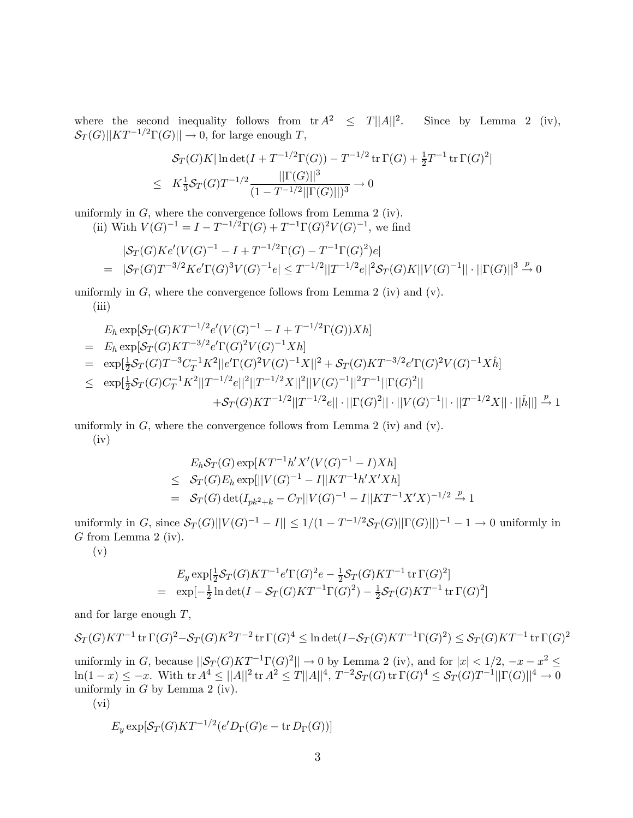where the second inequality follows from  $tr A^2 \leq T ||A||^2$ . Since by Lemma 2 (iv),  $S_T(G)||KT^{-1/2}\Gamma(G)|| \to 0$ , for large enough T,

$$
S_T(G)K|\ln \det(I + T^{-1/2}\Gamma(G)) - T^{-1/2} \operatorname{tr} \Gamma(G) + \frac{1}{2}T^{-1} \operatorname{tr} \Gamma(G)^2|
$$
  
 
$$
\leq K\frac{1}{3}S_T(G)T^{-1/2}\frac{||\Gamma(G)||^3}{(1 - T^{-1/2}||\Gamma(G)||)^3} \to 0
$$

uniformly in  $G$ , where the convergence follows from Lemma 2 (iv).

(ii) With  $V(G)^{-1} = I - T^{-1/2}\Gamma(G) + T^{-1}\Gamma(G)^2V(G)^{-1}$ , we find

$$
|\mathcal{S}_T(G)Ke'(V(G)^{-1} - I + T^{-1/2}\Gamma(G) - T^{-1}\Gamma(G)^2)e|
$$
  
=  $|\mathcal{S}_T(G)T^{-3/2}Ke'\Gamma(G)^3V(G)^{-1}e| \le T^{-1/2}||T^{-1/2}e||^2\mathcal{S}_T(G)K||V(G)^{-1}|| \cdot ||\Gamma(G)||^3 \xrightarrow{p} 0$ 

uniformly in  $G$ , where the convergence follows from Lemma 2 (iv) and (v). (iii)

$$
E_h \exp[\mathcal{S}_T(G)KT^{-1/2}e'(V(G)^{-1} - I + T^{-1/2}\Gamma(G))Xh]
$$
  
\n
$$
= E_h \exp[\mathcal{S}_T(G)KT^{-3/2}e'\Gamma(G)^2V(G)^{-1}Xh]
$$
  
\n
$$
= \exp[\frac{1}{2}\mathcal{S}_T(G)T^{-3}C_T^{-1}K^2||e'\Gamma(G)^2V(G)^{-1}X||^2 + \mathcal{S}_T(G)KT^{-3/2}e'\Gamma(G)^2V(G)^{-1}X\hat{h}]
$$
  
\n
$$
\leq \exp[\frac{1}{2}\mathcal{S}_T(G)C_T^{-1}K^2||T^{-1/2}e||^2||T^{-1/2}X||^2||V(G)^{-1}||^2T^{-1}||\Gamma(G)^2||
$$
  
\n
$$
+ \mathcal{S}_T(G)KT^{-1/2}||T^{-1/2}e|| \cdot ||\Gamma(G)^2|| \cdot ||V(G)^{-1}|| \cdot ||T^{-1/2}X|| \cdot ||\hat{h}||] \xrightarrow{p} 1
$$

uniformly in  $G$ , where the convergence follows from Lemma 2 (iv) and (v). (iv)

$$
E_h S_T(G) \exp[KT^{-1}h'X'(V(G)^{-1} - I)Xh]
$$
  
\n
$$
\leq S_T(G)E_h \exp[||V(G)^{-1} - I||KT^{-1}h'X'Xh]
$$
  
\n
$$
= S_T(G) \det(I_{pk^2+k} - C_T||V(G)^{-1} - I||KT^{-1}X'X)^{-1/2} \xrightarrow{p} 1
$$

uniformly in G, since  $S_T(G)||V(G)^{-1} - I|| \leq 1/(1 - T^{-1/2}S_T(G)||\Gamma(G)||)^{-1} - 1 \rightarrow 0$  uniformly in G from Lemma 2 (iv).

(v)

$$
E_y \exp[\frac{1}{2}S_T(G)KT^{-1}e'\Gamma(G)^2e - \frac{1}{2}S_T(G)KT^{-1}\operatorname{tr}\Gamma(G)^2]
$$
  
=  $\exp[-\frac{1}{2}\ln\det(I - S_T(G)KT^{-1}\Gamma(G)^2) - \frac{1}{2}S_T(G)KT^{-1}\operatorname{tr}\Gamma(G)^2]$ 

and for large enough T,

$$
\mathcal{S}_T(G)KT^{-1}\operatorname{tr}\Gamma(G)^2-\mathcal{S}_T(G)K^2T^{-2}\operatorname{tr}\Gamma(G)^4\leq\ln\det(I-\mathcal{S}_T(G)KT^{-1}\Gamma(G)^2)\leq\mathcal{S}_T(G)KT^{-1}\operatorname{tr}\Gamma(G)^2
$$
 uniformly in  $G$ , because  $||\mathcal{S}_T(G)KT^{-1}\Gamma(G)^2||\to 0$  by Lemma 2 (iv), and for  $|x| < 1/2$ ,  $-x - x^2 \leq \ln(1-x) \leq -x$ . With  $\operatorname{tr} A^4 \leq ||A||^2 \operatorname{tr} A^2 \leq T||A||^4$ ,  $T^{-2}\mathcal{S}_T(G) \operatorname{tr}\Gamma(G)^4 \leq \mathcal{S}_T(G)T^{-1}||\Gamma(G)||^4 \to 0$  uniformly in  $G$  by Lemma 2 (iv).

(vi)

$$
E_y \exp[\mathcal{S}_T(G)KT^{-1/2}(e'D_{\Gamma}(G)e - \operatorname{tr} D_{\Gamma}(G))]
$$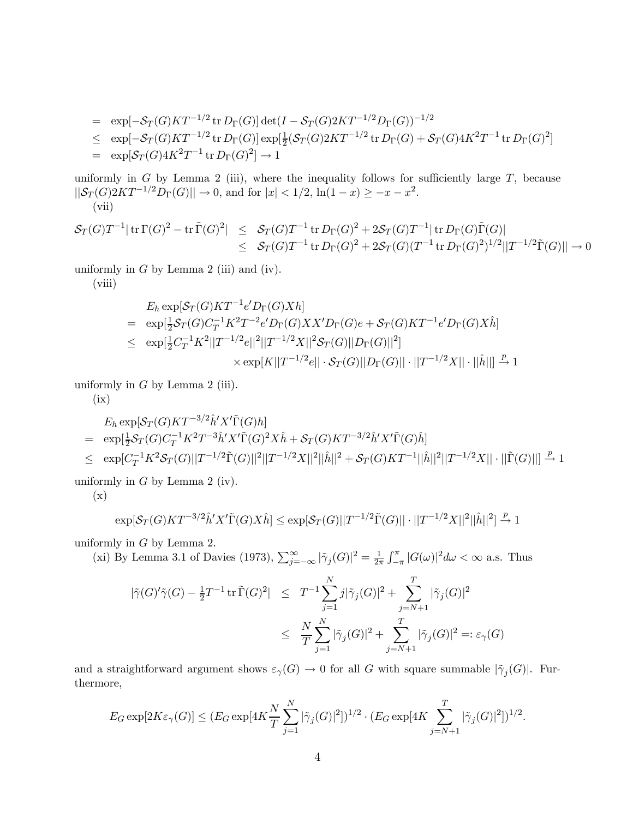$$
= \exp[-\mathcal{S}_T(G)KT^{-1/2} \operatorname{tr} D_\Gamma(G)] \det(I - \mathcal{S}_T(G)2KT^{-1/2}D_\Gamma(G))^{-1/2}
$$
  
\n
$$
\leq \exp[-\mathcal{S}_T(G)KT^{-1/2} \operatorname{tr} D_\Gamma(G)] \exp[\frac{1}{2}(\mathcal{S}_T(G)2KT^{-1/2} \operatorname{tr} D_\Gamma(G) + \mathcal{S}_T(G)4K^2T^{-1} \operatorname{tr} D_\Gamma(G)^2]
$$
  
\n
$$
= \exp[\mathcal{S}_T(G)4K^2T^{-1} \operatorname{tr} D_\Gamma(G)^2] \to 1
$$

uniformly in G by Lemma 2 (iii), where the inequality follows for sufficiently large  $T$ , because  $||\mathcal{S}_T(G)2KT^{-1/2}D_{\Gamma}(G)|| \to 0$ , and for  $|x| < 1/2$ ,  $\ln(1-x) \ge -x-x^2$ . (vii)

$$
\begin{array}{rcl}\mathcal{S}_T(G)T^{-1}|\operatorname{tr} \Gamma(G)^2-\operatorname{tr} \tilde{\Gamma}(G)^2|&\leq &\mathcal{S}_T(G)T^{-1}\operatorname{tr} D_{\Gamma}(G)^2+2\mathcal{S}_T(G)T^{-1}|\operatorname{tr} D_{\Gamma}(G)\tilde{\Gamma}(G)|\\&\leq &\mathcal{S}_T(G)T^{-1}\operatorname{tr} D_{\Gamma}(G)^2+2\mathcal{S}_T(G)(T^{-1}\operatorname{tr} D_{\Gamma}(G)^2)^{1/2}||T^{-1/2}\tilde{\Gamma}(G)||\rightarrow 0\end{array}
$$

uniformly in  $G$  by Lemma 2 (iii) and (iv).

(viii)

$$
E_h \exp[\mathcal{S}_T(G)KT^{-1}e'D_{\Gamma}(G)Xh]
$$
  
= 
$$
\exp[\frac{1}{2}\mathcal{S}_T(G)C_T^{-1}K^2T^{-2}e'D_{\Gamma}(G)XX'D_{\Gamma}(G)e+\mathcal{S}_T(G)KT^{-1}e'D_{\Gamma}(G)X\hat{h}]
$$
  

$$
\leq \exp[\frac{1}{2}C_T^{-1}K^2||T^{-1/2}e||^2||T^{-1/2}X||^2\mathcal{S}_T(G)||D_{\Gamma}(G)||^2]
$$
  

$$
\times \exp[K||T^{-1/2}e||\cdot \mathcal{S}_T(G)||D_{\Gamma}(G)||\cdot||T^{-1/2}X||\cdot||\hat{h}||] \xrightarrow{p} 1
$$

uniformly in  $G$  by Lemma 2 (iii).

 $(ix)$ 

$$
E_h \exp[\mathcal{S}_T(G)KT^{-3/2}\hat{h}'X'\tilde{\Gamma}(G)h]
$$
  
\n
$$
= \exp[\frac{1}{2}\mathcal{S}_T(G)C_T^{-1}K^2T^{-3}\hat{h}'X'\tilde{\Gamma}(G)^2X\hat{h} + \mathcal{S}_T(G)KT^{-3/2}\hat{h}'X'\tilde{\Gamma}(G)\hat{h}]
$$
  
\n
$$
\leq \exp[C_T^{-1}K^2\mathcal{S}_T(G)||T^{-1/2}\tilde{\Gamma}(G)||^2||T^{-1/2}X||^2||\hat{h}||^2 + \mathcal{S}_T(G)KT^{-1}||\hat{h}||^2||T^{-1/2}X|| \cdot ||\tilde{\Gamma}(G)||] \xrightarrow{p} 1
$$
  
\nuniformly in *G* by Lemma 2 (iv).

(x)

$$
\exp[\mathcal{S}_T(G)KT^{-3/2}\hat{h}'X'\tilde{\Gamma}(G)X\hat{h}]\leq \exp[\mathcal{S}_T(G)||T^{-1/2}\tilde{\Gamma}(G)||\cdot||T^{-1/2}X||^2||\hat{h}||^2]\overset{p}{\rightarrow}1
$$

uniformly in  $G$  by Lemma 2.

(xi) By Lemma 3.1 of Davies (1973),  $\sum_{j=-\infty}^{\infty} |\tilde{\gamma}_j(G)|^2 = \frac{1}{2\pi} \int_{-\pi}^{\pi} |G(\omega)|^2 d\omega < \infty$  a.s. Thus

$$
\begin{array}{lcl} |\tilde{\gamma}(G)'\tilde{\gamma}(G)-\frac{1}{2}T^{-1}\operatorname{tr}\tilde{\Gamma}(G)^2| & \leq & T^{-1}\displaystyle\sum_{j=1}^N j|\tilde{\gamma}_j(G)|^2+\sum_{j=N+1}^T |\tilde{\gamma}_j(G)|^2 \\ \\ & \leq & \frac{N}{T}\displaystyle\sum_{j=1}^N |\tilde{\gamma}_j(G)|^2+\sum_{j=N+1}^T |\tilde{\gamma}_j(G)|^2 =: \varepsilon_{\gamma}(G) \end{array}
$$

and a straightforward argument shows  $\varepsilon_{\gamma}(G) \to 0$  for all G with square summable  $|\tilde{\gamma}_j(G)|$ . Furthermore,

$$
E_G \exp[2K\varepsilon_{\gamma}(G)] \le (E_G \exp[4K\frac{N}{T} \sum_{j=1}^N |\tilde{\gamma}_j(G)|^2])^{1/2} \cdot (E_G \exp[4K\sum_{j=N+1}^T |\tilde{\gamma}_j(G)|^2])^{1/2}.
$$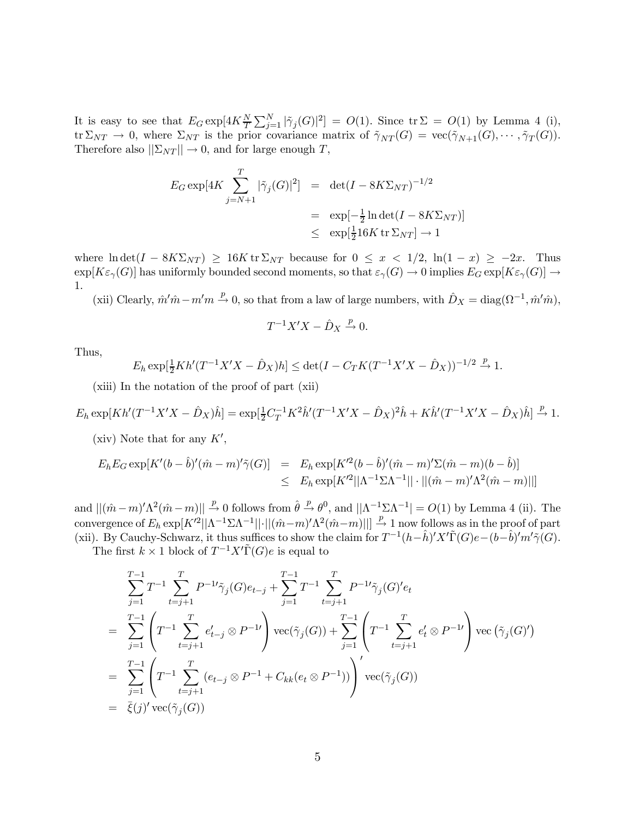It is easy to see that  $E_G \exp[4K\frac{N}{T}\sum_{j=1}^N|\tilde{\gamma}_j(G)|^2] = O(1)$ . Since  $\text{tr }\Sigma = O(1)$  by Lemma 4 (i),  $\text{tr }\Sigma_{NT} \to 0$ , where  $\Sigma_{NT}$  is the prior covariance matrix of  $\tilde{\gamma}_{NT}(G) = \text{vec}(\tilde{\gamma}_{N+1}(G), \cdots, \tilde{\gamma}_T(G)).$ Therefore also  $||\Sigma_{NT}|| \rightarrow 0$ , and for large enough T,

$$
E_G \exp[4K \sum_{j=N+1}^{T} |\tilde{\gamma}_j(G)|^2] = \det(I - 8K\Sigma_{NT})^{-1/2}
$$
  
= 
$$
\exp[-\frac{1}{2}\ln \det(I - 8K\Sigma_{NT})]
$$
  

$$
\leq \exp[\frac{1}{2}16K \operatorname{tr} \Sigma_{NT}] \to 1
$$

where  $\ln \det(I - 8K\Sigma_{NT}) \geq 16K \text{tr} \Sigma_{NT}$  because for  $0 \leq x < 1/2$ ,  $\ln(1-x) \geq -2x$ . Thus  $\exp[K\varepsilon_{\gamma}(G)]$  has uniformly bounded second moments, so that  $\varepsilon_{\gamma}(G) \to 0$  implies  $E_G \exp[K\varepsilon_{\gamma}(G)] \to$ 1.

(xii) Clearly,  $\hat{m}$ ' $\hat{m}$  –  $m'm \stackrel{p}{\rightarrow} 0$ , so that from a law of large numbers, with  $\hat{D}_X = \text{diag}(\Omega^{-1}, \hat{m}'\hat{m})$ ,

$$
T^{-1}X'X - \hat{D}_X \xrightarrow{p} 0.
$$

Thus,

$$
E_h \exp[\frac{1}{2}Kh'(T^{-1}X'X - \hat{D}_X)h] \le \det(I - C_TK(T^{-1}X'X - \hat{D}_X))^{-1/2} \xrightarrow{p} 1.
$$

(xiii) In the notation of the proof of part (xii)

$$
E_h \exp[Kh'(T^{-1}X'X - \hat{D}_X)\hat{h}] = \exp[\frac{1}{2}C_T^{-1}K^2\hat{h}'(T^{-1}X'X - \hat{D}_X)^2\hat{h} + K\hat{h}'(T^{-1}X'X - \hat{D}_X)\hat{h}] \xrightarrow{p} 1.
$$

(xiv) Note that for any  $K'$ ,

$$
E_h E_G \exp[K'(b - \hat{b})'(\hat{m} - m)'\tilde{\gamma}(G)] = E_h \exp[K'^2(b - \hat{b})'(\hat{m} - m)'\Sigma(\hat{m} - m)(b - \hat{b})]
$$
  

$$
\leq E_h \exp[K'^2||\Lambda^{-1}\Sigma\Lambda^{-1}|| \cdot ||(\hat{m} - m)'\Lambda^2(\hat{m} - m)||]
$$

and  $||(\hat{m}-m)' \Lambda^2(\hat{m}-m)|| \stackrel{p}{\to} 0$  follows from  $\hat{\theta} \stackrel{p}{\to} \theta^0$ , and  $||\Lambda^{-1}\Sigma \Lambda^{-1}| = O(1)$  by Lemma 4 (ii). The convergence of  $E_h \exp[K'^2 || \Lambda^{-1} \Sigma \Lambda^{-1} || \cdot || (\hat{m} - m)' \Lambda^2 (\hat{m} - m) ||] \stackrel{p}{\to} 1$  now follows as in the proof of part (xii). By Cauchy-Schwarz, it thus suffices to show the claim for  $T^{-1}(h-h)'X'\tilde{\Gamma}(G)e-(b-h')'m'\tilde{\gamma}(G)$ .

The first  $k \times 1$  block of  $T^{-1}X'\tilde{\Gamma}(G)e$  is equal to

$$
\sum_{j=1}^{T-1} T^{-1} \sum_{t=j+1}^{T} P^{-1} \tilde{\gamma}_j(G) e_{t-j} + \sum_{j=1}^{T-1} T^{-1} \sum_{t=j+1}^{T} P^{-1} \tilde{\gamma}_j(G)' e_t
$$
\n
$$
= \sum_{j=1}^{T-1} \left( T^{-1} \sum_{t=j+1}^{T} e'_{t-j} \otimes P^{-1} \right) \text{vec}(\tilde{\gamma}_j(G)) + \sum_{j=1}^{T-1} \left( T^{-1} \sum_{t=j+1}^{T} e'_{t} \otimes P^{-1} \right) \text{vec}(\tilde{\gamma}_j(G)')
$$
\n
$$
= \sum_{j=1}^{T-1} \left( T^{-1} \sum_{t=j+1}^{T} (e_{t-j} \otimes P^{-1} + C_{kk}(e_t \otimes P^{-1})) \right)' \text{vec}(\tilde{\gamma}_j(G))
$$
\n
$$
= \bar{\xi}(j)' \text{vec}(\tilde{\gamma}_j(G))
$$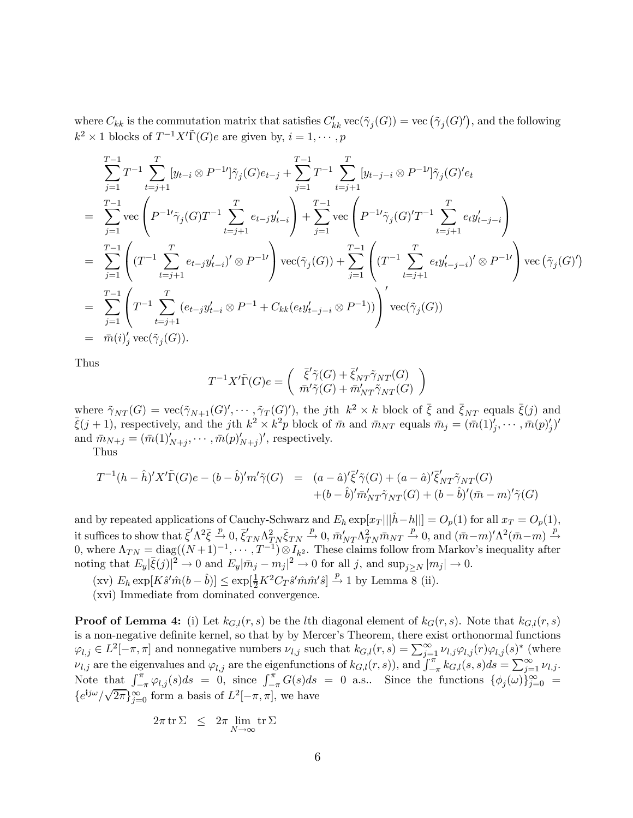where  $C_{kk}$  is the commutation matrix that satisfies  $C'_{kk}$  vec $(\tilde{\gamma}_j(G)) = \text{vec}(\tilde{\gamma}_j(G)')$ , and the following  $k^2 \times 1$  blocks of  $T^{-1}X'\tilde{\Gamma}(G)e$  are given by,  $i = 1, \dots, p$ 

$$
\sum_{j=1}^{T-1} T^{-1} \sum_{t=j+1}^{T} [y_{t-i} \otimes P^{-1}] \tilde{\gamma}_j(G) e_{t-j} + \sum_{j=1}^{T-1} T^{-1} \sum_{t=j+1}^{T} [y_{t-j-i} \otimes P^{-1}] \tilde{\gamma}_j(G)' e_t
$$
\n
$$
= \sum_{j=1}^{T-1} \text{vec} \left( P^{-1} \tilde{\gamma}_j(G) T^{-1} \sum_{t=j+1}^{T} e_{t-j} y'_{t-i} \right) + \sum_{j=1}^{T-1} \text{vec} \left( P^{-1} \tilde{\gamma}_j(G)' T^{-1} \sum_{t=j+1}^{T} e_{t} y'_{t-j-i} \right)
$$
\n
$$
= \sum_{j=1}^{T-1} \left( (T^{-1} \sum_{t=j+1}^{T} e_{t-j} y'_{t-i})' \otimes P^{-1} \right) \text{vec}(\tilde{\gamma}_j(G)) + \sum_{j=1}^{T-1} \left( (T^{-1} \sum_{t=j+1}^{T} e_{t} y'_{t-j-i})' \otimes P^{-1} \right) \text{vec}(\tilde{\gamma}_j(G)')
$$
\n
$$
= \sum_{j=1}^{T-1} \left( T^{-1} \sum_{t=j+1}^{T} (e_{t-j} y'_{t-i} \otimes P^{-1} + C_{kk} (e_{t} y'_{t-j-i} \otimes P^{-1}) \right)' \text{vec}(\tilde{\gamma}_j(G))
$$
\n
$$
= \bar{m}(i)'_j \text{vec}(\tilde{\gamma}_j(G)).
$$

Thus

$$
T^{-1}X'\tilde{\Gamma}(G)e = \begin{pmatrix} \bar{\xi}'\tilde{\gamma}(G) + \bar{\xi}'_{NT}\tilde{\gamma}_{NT}(G) \\ \bar{m}'\tilde{\gamma}(G) + \bar{m}'_{NT}\tilde{\gamma}_{NT}(G) \end{pmatrix}
$$

where  $\tilde{\gamma}_{NT}(G) = \text{vec}(\tilde{\gamma}_{N+1}(G)', \cdots, \tilde{\gamma}_T(G)')$ , the jth  $k^2 \times k$  block of  $\bar{\xi}$  and  $\bar{\xi}_{NT}$  equals  $\bar{\xi}(j)$  and  $\bar{\xi}(j+1)$ , respectively, and the jth  $k^2 \times k^2p$  block of  $\bar{m}$  and  $\bar{m}_{NT}$  equals  $\bar{m}_j = (\bar{$  $j',\cdots,\bar{m}(p)_{j}')'$ and  $\bar{m}_{N+j} = (\bar{m}(1)_{N+j}', \cdots, \bar{m}(p)_{N+j}')'$ , respectively.

Thus

$$
T^{-1}(h - \hat{h})'X'\tilde{\Gamma}(G)e - (b - \hat{b})'m'\tilde{\gamma}(G) = (a - \hat{a})'\bar{\xi}'\tilde{\gamma}(G) + (a - \hat{a})'\bar{\xi}'_{NT}\tilde{\gamma}_{NT}(G) + (b - \hat{b})'\bar{m}'_{NT}\tilde{\gamma}_{NT}(G) + (b - \hat{b})'(\bar{m} - m)'\tilde{\gamma}(G)
$$

and by repeated applications of Cauchy-Schwarz and  $E_h \exp[x_T ||\hat{h} - h||] = O_p(1)$  for all  $x_T = O_p(1)$ , it suffices to show that  $\bar{\xi}' \Lambda^2 \bar{\xi} \stackrel{p}{\to} 0$ ,  $\bar{\xi}'_{TN} \Lambda^2_{TN} \bar{\xi}_{TN} \stackrel{p}{\to} 0$ ,  $\bar{m}'_{NT} \Lambda^2_{TN} \bar{m}_{NT} \stackrel{p}{\to} 0$ , and  $(\bar{m}-m)' \Lambda^2 (\bar{m}-m) \stackrel{p}{\to}$ 0, where  $\Lambda_{TN} = \text{diag}((N+1)^{-1}, \cdots, T^{-1}) \otimes I_{k^2}$ . These claims follow from Markov's inequality after noting that  $E_y|\bar{\xi}(j)|^2 \to 0$  and  $E_y|\bar{m}_j - m_j|^2 \to 0$  for all j, and  $\sup_{j \ge N} |m_j| \to 0$ .

 $(\text{xv})$   $E_h \exp[K\hat{s}'\hat{m}(b-\hat{b})] \leq \exp[\frac{1}{2}K^2C_T\hat{s}'\hat{m}\hat{m}'\hat{s}] \stackrel{p}{\rightarrow} 1$  by Lemma 8 (ii).

(xvi) Immediate from dominated convergence.

**Proof of Lemma 4:** (i) Let  $k_{G,l}(r, s)$  be the lth diagonal element of  $k_G(r, s)$ . Note that  $k_{G,l}(r, s)$ is a non-negative definite kernel, so that by by Mercer's Theorem, there exist orthonormal functions  $\varphi_{l,j} \in L^2[-\pi,\pi]$  and nonnegative numbers  $\nu_{l,j}$  such that  $k_{G,l}(r,s) = \sum_{j=1}^{\infty} \nu_{l,j} \varphi_{l,j}(r) \varphi_{l,j}(s)^*$  (where  $\nu_{l,j}$  are the eigenvalues and  $\varphi_{l,j}$  are the eigenfunctions of  $k_{G,l}(r, s)$ , and  $\int_{-\pi}^{\pi} k_{G,l}(s, s)ds = \sum_{l=1}^{\infty} \nu_{l,j}$ . Note that  $\int_{-\pi}^{\pi} \varphi_{l,j}(s)ds = 0$ , since  $\int_{-\pi}^{\pi} G(s)ds = 0$  a.s.. Since the functions  $\{\phi_j(\omega)\}_{j=0}^{\infty}$  $\{e^{\mathbf{i}j\omega}/\sqrt{2\pi}\}_{j=0}^{\infty}$  form a basis of  $L^2[-\pi,\pi]$ , we have

$$
2\pi\,\mathrm{tr}\,\Sigma~~\leq~~2\pi\lim_{N\to\infty}\mathrm{tr}\,\Sigma
$$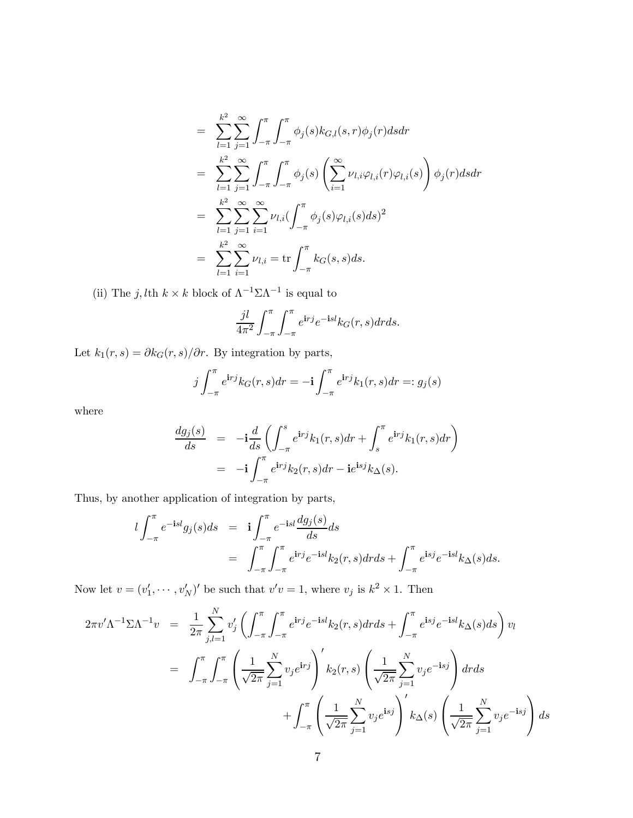$$
= \sum_{l=1}^{k^2} \sum_{j=1}^{\infty} \int_{-\pi}^{\pi} \int_{-\pi}^{\pi} \phi_j(s) k_{G,l}(s,r) \phi_j(r) ds dr
$$
  
\n
$$
= \sum_{l=1}^{k^2} \sum_{j=1}^{\infty} \int_{-\pi}^{\pi} \int_{-\pi}^{\pi} \phi_j(s) \left( \sum_{i=1}^{\infty} \nu_{l,i} \varphi_{l,i}(r) \varphi_{l,i}(s) \right) \phi_j(r) ds dr
$$
  
\n
$$
= \sum_{l=1}^{k^2} \sum_{j=1}^{\infty} \sum_{i=1}^{\infty} \nu_{l,i} \left( \int_{-\pi}^{\pi} \phi_j(s) \varphi_{l,i}(s) ds \right)^2
$$
  
\n
$$
= \sum_{l=1}^{k^2} \sum_{i=1}^{\infty} \nu_{l,i} = \text{tr} \int_{-\pi}^{\pi} k_G(s,s) ds.
$$

(ii) The  $j, l$ th  $k \times k$  block of  $\Lambda^{-1} \Sigma \Lambda^{-1}$  is equal to

$$
\frac{jl}{4\pi^2} \int_{-\pi}^{\pi} \int_{-\pi}^{\pi} e^{\mathbf{i}rj} e^{-\mathbf{i}sl} k_G(r,s) dr ds.
$$

Let  $k_1(r, s) = \partial k_G(r, s)/\partial r$ . By integration by parts,

$$
j\int_{-\pi}^{\pi} e^{\mathbf{i}rj} k_G(r,s) dr = -\mathbf{i} \int_{-\pi}^{\pi} e^{\mathbf{i}rj} k_1(r,s) dr =: g_j(s)
$$

where

$$
\frac{dg_j(s)}{ds} = -\mathbf{i}\frac{d}{ds}\left(\int_{-\pi}^s e^{\mathbf{i}r} k_1(r,s)dr + \int_s^{\pi} e^{\mathbf{i}r} k_1(r,s)dr\right)
$$

$$
= -\mathbf{i}\int_{-\pi}^{\pi} e^{\mathbf{i}r} k_2(r,s)dr - \mathbf{i}e^{\mathbf{i}s} k_1(s).
$$

Thus, by another application of integration by parts,

$$
l \int_{-\pi}^{\pi} e^{-\mathbf{i} s l} g_j(s) ds = \mathbf{i} \int_{-\pi}^{\pi} e^{-\mathbf{i} s l} \frac{dg_j(s)}{ds} ds
$$
  
= 
$$
\int_{-\pi}^{\pi} \int_{-\pi}^{\pi} e^{\mathbf{i} r j} e^{-\mathbf{i} s l} k_2(r, s) dr ds + \int_{-\pi}^{\pi} e^{\mathbf{i} s j} e^{-\mathbf{i} s l} k_{\Delta}(s) ds.
$$

Now let  $v = (v'_1, \dots, v'_N)'$  be such that  $v'v = 1$ , where  $v_j$  is  $k^2 \times 1$ . Then

$$
2\pi v' \Lambda^{-1} \Sigma \Lambda^{-1} v = \frac{1}{2\pi} \sum_{j,l=1}^{N} v'_j \left( \int_{-\pi}^{\pi} \int_{-\pi}^{\pi} e^{i r j} e^{-i s l} k_2(r, s) dr ds + \int_{-\pi}^{\pi} e^{i s j} e^{-i s l} k_{\Delta}(s) ds \right) v_l
$$
  

$$
= \int_{-\pi}^{\pi} \int_{-\pi}^{\pi} \left( \frac{1}{\sqrt{2\pi}} \sum_{j=1}^{N} v_j e^{i r j} \right)' k_2(r, s) \left( \frac{1}{\sqrt{2\pi}} \sum_{j=1}^{N} v_j e^{-i s j} \right) dr ds
$$

$$
+ \int_{-\pi}^{\pi} \left( \frac{1}{\sqrt{2\pi}} \sum_{j=1}^{N} v_j e^{i s j} \right)' k_{\Delta}(s) \left( \frac{1}{\sqrt{2\pi}} \sum_{j=1}^{N} v_j e^{-i s j} \right) ds
$$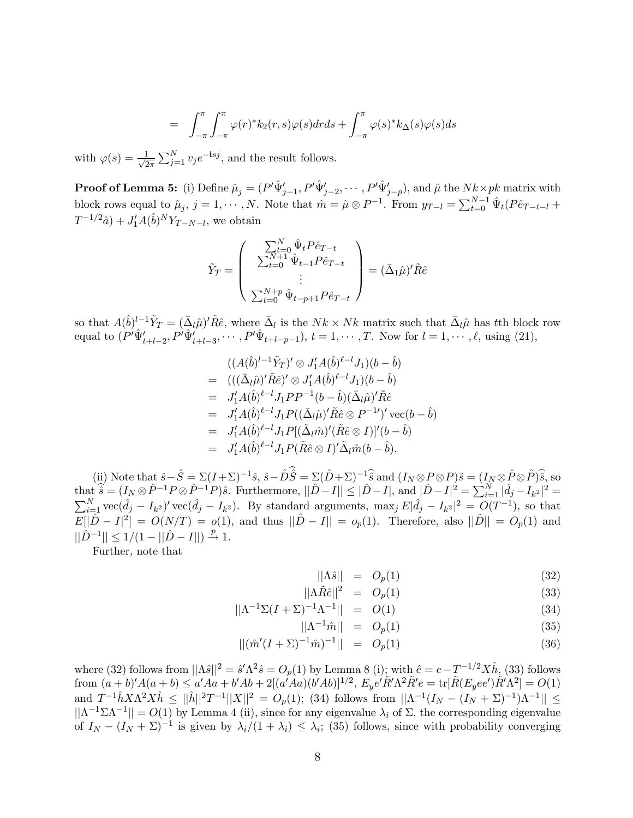$$
= \int_{-\pi}^{\pi} \int_{-\pi}^{\pi} \varphi(r)^* k_2(r,s) \varphi(s) dr ds + \int_{-\pi}^{\pi} \varphi(s)^* k_{\Delta}(s) \varphi(s) ds
$$

with  $\varphi(s) = \frac{1}{\sqrt{2}}$  $\frac{1}{2\pi} \sum_{j=1}^{N} v_j e^{-i s j}$ , and the result follows.

**Proof of Lemma 5:** (i) Define  $\hat{\mu}_j = (P' \hat{\Psi}'_{j-1}, P' \hat{\Psi}'_{j-2}, \cdots, P' \hat{\Psi}'_{j-p})$ , and  $\hat{\mu}$  the  $Nk \times pk$  matrix with block rows equal to  $\hat{\mu}_j$ ,  $j = 1, \dots, N$ . Note that  $\hat{m} = \hat{\mu} \otimes P^{-1}$ . From  $y_{T-l} = \sum_{t=0}^{N-1} \hat{\Psi}_t (P \hat{e}_{T-t-l} + P)$  $T^{-1/2}\hat{a}$  +  $J'_1A(\hat{b})^NY_{T-N-l}$ , we obtain

$$
\tilde{Y}_T = \begin{pmatrix}\n\sum_{t=0}^{N} \hat{\Psi}_t P \hat{e}_{T-t} \\
\sum_{t=0}^{N+1} \hat{\Psi}_{t-1} P \hat{e}_{T-t} \\
\vdots \\
\sum_{t=0}^{N+p} \hat{\Psi}_{t-p+1} P \hat{e}_{T-t}\n\end{pmatrix} = (\bar{\Delta}_1 \hat{\mu})' \tilde{R} \hat{e}
$$

so that  $A(\hat{b})^{l-1}\tilde{Y}_T = (\bar{\Delta}_l\hat{\mu})^l\tilde{R}\hat{e}$ , where  $\bar{\Delta}_l$  is the  $Nk \times Nk$  matrix such that  $\bar{\Delta}_l\hat{\mu}$  has tth block row equal to  $(P'\hat{\Psi}'_{t+l-2}, P'\hat{\Psi}'_{t+l-3}, \cdots, P'\hat{\Psi}_{t+l-p-1}), t = 1, \cdots, T$ . Now for  $l = 1, \cdots, \ell$ , using (21),

$$
((A(\hat{b})^{l-1}\tilde{Y}_T)' \otimes J'_1 A(\hat{b})^{\ell-l} J_1)(b - \hat{b})
$$
  
\n
$$
= (((\bar{\Delta}_l \hat{\mu})'\tilde{R}\hat{e})' \otimes J'_1 A(\hat{b})^{\ell-l} J_1)(b - \hat{b})
$$
  
\n
$$
= J'_1 A(\hat{b})^{\ell-l} J_1 P P^{-1}(b - \hat{b})(\bar{\Delta}_l \hat{\mu})'\tilde{R}\hat{e}
$$
  
\n
$$
= J'_1 A(\hat{b})^{\ell-l} J_1 P((\bar{\Delta}_l \hat{\mu})'\tilde{R}\hat{e} \otimes P^{-1})' \text{ vec}(b - \hat{b})
$$
  
\n
$$
= J'_1 A(\hat{b})^{\ell-l} J_1 P((\bar{\Delta}_l \hat{m})' (\tilde{R}\hat{e} \otimes I))^{\prime} (b - \hat{b})
$$
  
\n
$$
= J'_1 A(\hat{b})^{\ell-l} J_1 P(\tilde{R}\hat{e} \otimes I)' \tilde{\Delta}_l \hat{m}(b - \hat{b}).
$$

(ii) Note that  $\hat{s}-\hat{S} = \Sigma (I+\Sigma)^{-1}\hat{s}$ ,  $\hat{s}-\hat{D}\hat{S} = \Sigma (\hat{D}+\Sigma)^{-1}\hat{s}$  and  $(I_N \otimes P \otimes P)\hat{s} = (I_N \otimes \hat{P} \otimes \hat{P})\hat{s}$ , so  $\text{that } \widehat{\hat{s}} = (I_N \otimes \hat{P}^{-1} P \otimes \hat{P}^{-1} P)\hat{s}$ . Furthermore,  $||\hat{D} - I|| \leq |\hat{D} - I|$ , and  $|\hat{D} - I|^2 = \sum_{i=1}^N |\hat{d}_j - I_{k^2}|^2 =$  $\sum_{i=1}^{N}$  vec $(\hat{d}_j - I_{k^2})'$  vec $(\hat{d}_j - I_{k^2})$ . By standard arguments, max<sub>j</sub>  $E|\hat{d}_j - I_{k^2}|^2 = O(T^{-1})$ , so that  $E[|\hat{D} - I|^2] = O(N/T) = o(1)$ , and thus  $||\hat{D} - I|| = o_p(1)$ . Therefore, also  $||\hat{D}|| = O_p(1)$  and  $||\hat{D}^{-1}|| \leq 1/(1 - ||\hat{D} - I||) \stackrel{p}{\to} 1.$ 

Further, note that

$$
||\Lambda \hat{s}|| = O_p(1) \tag{32}
$$

$$
||\Lambda \tilde{R}\hat{e}||^2 = O_p(1) \tag{33}
$$

$$
||\Lambda^{-1}\Sigma(I+\Sigma)^{-1}\Lambda^{-1}|| = O(1)
$$
\n(34)

$$
\|\Lambda^{-1}\hat{m}\| = O_p(1) \tag{35}
$$

$$
||(\hat{m}'(I+\Sigma)^{-1}\hat{m})^{-1}|| = O_p(1)
$$
\n(36)

where (32) follows from  $||\Lambda \hat{s}||^2 = \hat{s}'\Lambda^2 \hat{s} = O_p(1)$  by Lemma 8 (i); with  $\hat{e} = e - T^{-1/2} X \hat{h}$ , (33) follows  $\text{from} \; (a+b)'A(a+b) \leq a' A a + b' A b + 2[(a' A a)(b' A b)]^{1/2}, \; E_y e' \tilde{R}' \Lambda^2 \tilde{R}' e = \text{tr}[\tilde{R}(E_y ee') \tilde{R}' \Lambda^2] = O(1)$ and  $T^{-1}\hat{h}X\Lambda^2X\hat{h} \leq ||\hat{h}||^2T^{-1}||X||^2 = O_p(1)$ ; (34) follows from  $||\Lambda^{-1}(I_N - (I_N + \Sigma)^{-1})\Lambda^{-1}|| \leq$  $||\Lambda^{-1}\Sigma\Lambda^{-1}|| = O(1)$  by Lemma 4 (ii), since for any eigenvalue  $\lambda_i$  of  $\Sigma$ , the corresponding eigenvalue of  $I_N - (I_N + \Sigma)^{-1}$  is given by  $\lambda_i/(1 + \lambda_i) \leq \lambda_i$ ; (35) follows, since with probability converging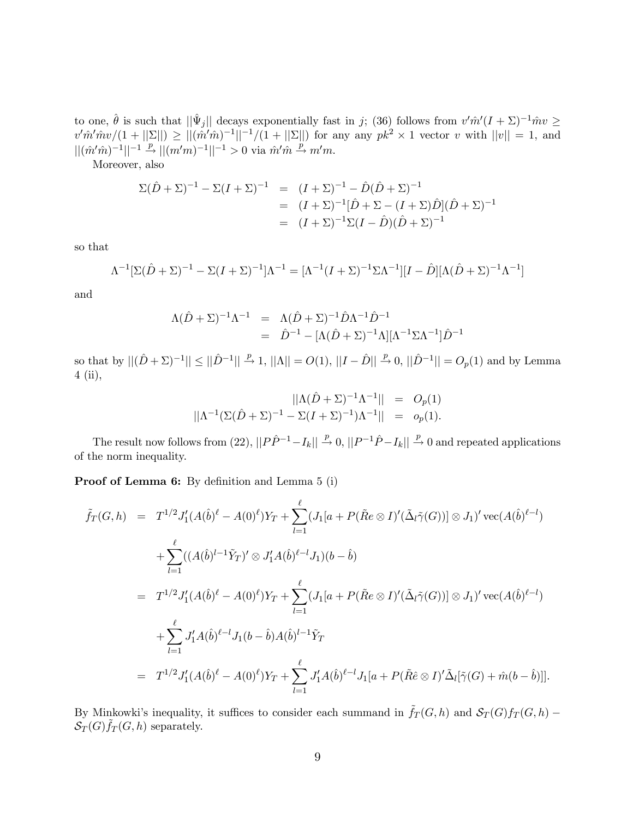to one,  $\hat{\theta}$  is such that  $||\hat{\Psi}_j||$  decays exponentially fast in j; (36) follows from  $v'\hat{m}'(I+\Sigma)^{-1}\hat{m}v \ge$  $v' \hat{m}' \hat{m} v/(1 + ||\Sigma||) \ge ||(\hat{m}' \hat{m})^{-1}||^{-1}/(1 + ||\Sigma||)$  for any any  $pk^2 \times 1$  vector v with  $||v|| = 1$ , and  $||(\hat{m}'\hat{m})^{-1}||^{-1} \stackrel{p}{\rightarrow} ||(m'm)^{-1}||^{-1} > 0$  via  $\hat{m}'\hat{m} \stackrel{p}{\rightarrow} m'm$ .

Moreover, also

$$
\Sigma(\hat{D} + \Sigma)^{-1} - \Sigma(I + \Sigma)^{-1} = (I + \Sigma)^{-1} - \hat{D}(\hat{D} + \Sigma)^{-1}
$$
  
=  $(I + \Sigma)^{-1}[\hat{D} + \Sigma - (I + \Sigma)\hat{D}](\hat{D} + \Sigma)^{-1}$   
=  $(I + \Sigma)^{-1}\Sigma(I - \hat{D})(\hat{D} + \Sigma)^{-1}$ 

so that

$$
\Lambda^{-1}[\Sigma(\hat{D} + \Sigma)^{-1} - \Sigma(I + \Sigma)^{-1}]\Lambda^{-1} = [\Lambda^{-1}(I + \Sigma)^{-1}\Sigma\Lambda^{-1}][I - \hat{D}][\Lambda(\hat{D} + \Sigma)^{-1}\Lambda^{-1}]
$$

and

$$
\Lambda(\hat{D} + \Sigma)^{-1} \Lambda^{-1} = \Lambda(\hat{D} + \Sigma)^{-1} \hat{D} \Lambda^{-1} \hat{D}^{-1} \n= \hat{D}^{-1} - [\Lambda(\hat{D} + \Sigma)^{-1} \Lambda] [\Lambda^{-1} \Sigma \Lambda^{-1}] \hat{D}^{-1}
$$

so that by  $||(\hat{D} + \Sigma)^{-1}|| \le ||\hat{D}^{-1}|| \stackrel{p}{\to} 1$ ,  $||\Lambda|| = O(1)$ ,  $||I - \hat{D}|| \stackrel{p}{\to} 0$ ,  $||\hat{D}^{-1}|| = O_p(1)$  and by Lemma 4 (ii),

$$
||\Lambda(\hat{D} + \Sigma)^{-1}\Lambda^{-1}|| = O_p(1)
$$
  

$$
||\Lambda^{-1}(\Sigma(\hat{D} + \Sigma)^{-1} - \Sigma(I + \Sigma)^{-1})\Lambda^{-1}|| = o_p(1).
$$

The result now follows from (22),  $||P\hat{P}^{-1} - I_k|| \stackrel{p}{\rightarrow} 0$ ,  $||P^{-1}\hat{P} - I_k|| \stackrel{p}{\rightarrow} 0$  and repeated applications of the norm inequality.

Proof of Lemma 6: By definition and Lemma 5 (i)

$$
\tilde{f}_{T}(G,h) = T^{1/2} J'_{1}(A(\hat{b})^{\ell} - A(0)^{\ell}) Y_{T} + \sum_{l=1}^{\ell} (J_{1}[a + P(\tilde{R}e \otimes I)'(\tilde{\Delta}_{l}\tilde{\gamma}(G))] \otimes J_{1})' \operatorname{vec}(A(\hat{b})^{\ell-l}) \n+ \sum_{l=1}^{\ell} ((A(\hat{b})^{l-1}\tilde{Y}_{T})' \otimes J'_{1}A(\hat{b})^{\ell-l}J_{1})(b - \hat{b}) \n= T^{1/2} J'_{1}(A(\hat{b})^{\ell} - A(0)^{\ell}) Y_{T} + \sum_{l=1}^{\ell} (J_{1}[a + P(\tilde{R}e \otimes I)'(\tilde{\Delta}_{l}\tilde{\gamma}(G))] \otimes J_{1})' \operatorname{vec}(A(\hat{b})^{\ell-l}) \n+ \sum_{l=1}^{\ell} J'_{1}A(\hat{b})^{\ell-l} J_{1}(b - \hat{b})A(\hat{b})^{l-1}\tilde{Y}_{T} \n= T^{1/2} J'_{1}(A(\hat{b})^{\ell} - A(0)^{\ell}) Y_{T} + \sum_{l=1}^{\ell} J'_{1}A(\hat{b})^{\ell-l} J_{1}[a + P(\tilde{R}e \otimes I)'\tilde{\Delta}_{l}[\tilde{\gamma}(G) + \tilde{m}(b - \hat{b})]].
$$

By Minkowki's inequality, it suffices to consider each summand in  $\tilde{f}_T(G, h)$  and  $\mathcal{S}_T(G) f_T(G, h)$  –  $\mathcal{S}_T(G) \tilde{f}_T(G, h)$  separately.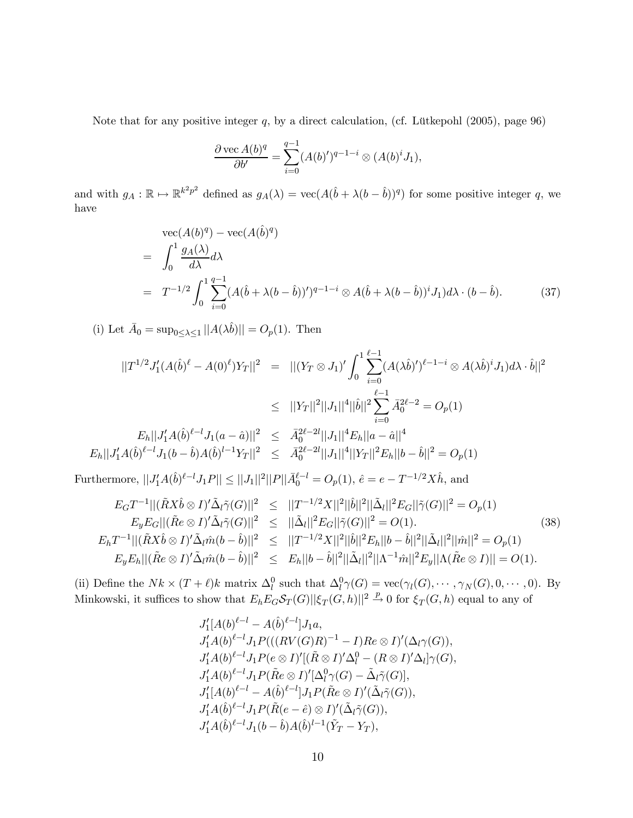Note that for any positive integer  $q$ , by a direct calculation, (cf. Lütkepohl  $(2005)$ , page 96)

$$
\frac{\partial \operatorname{vec} A(b)^q}{\partial b'} = \sum_{i=0}^{q-1} (A(b)')^{q-1-i} \otimes (A(b)^i J_1),
$$

and with  $g_A : \mathbb{R} \to \mathbb{R}^{k^2p^2}$  defined as  $g_A(\lambda) = \text{vec}(A(\hat{b} + \lambda(b - \hat{b}))^q)$  for some positive integer q, we have

$$
\begin{split}\n&\text{vec}(A(b)^q) - \text{vec}(A(\hat{b})^q) \\
&= \int_0^1 \frac{g_A(\lambda)}{d\lambda} d\lambda \\
&= T^{-1/2} \int_0^1 \sum_{i=0}^{q-1} (A(\hat{b} + \lambda(b - \hat{b}))')^{q-1-i} \otimes A(\hat{b} + \lambda(b - \hat{b}))^i J_1) d\lambda \cdot (b - \hat{b}).\n\end{split} \tag{37}
$$

(i) Let  $\bar{A}_0 = \sup_{0 \leq \lambda \leq 1} ||A(\lambda \hat{b})|| = O_p(1)$ . Then

$$
||T^{1/2}J'_{1}(A(\hat{b})^{\ell} - A(0)^{\ell})Y_{T}||^{2} = ||(Y_{T} \otimes J_{1})' \int_{0}^{1} \sum_{i=0}^{\ell-1} (A(\lambda \hat{b})')^{\ell-1-i} \otimes A(\lambda \hat{b})^{i}J_{1})d\lambda \cdot \hat{b}||^{2}
$$
  
\n
$$
\leq ||Y_{T}||^{2}||J_{1}||^{4}||\hat{b}||^{2} \sum_{i=0}^{\ell-1} \bar{A}_{0}^{2\ell-2} = O_{p}(1)
$$
  
\n
$$
E_{h}||J'_{1}A(\hat{b})^{\ell-l}J_{1}(a - \hat{a})||^{2} \leq \bar{A}_{0}^{2\ell-2l}||J_{1}||^{4}E_{h}||a - \hat{a}||^{4}
$$
  
\n
$$
E_{h}||J'_{1}A(\hat{b})^{\ell-l}J_{1}(b - \hat{b})A(\hat{b})^{l-1}Y_{T}||^{2} \leq \bar{A}_{0}^{2\ell-2l}||J_{1}||^{4}||Y_{T}||^{2}E_{h}||b - \hat{b}||^{2} = O_{p}(1)
$$

Furthermore,  $||J'_1A(\hat{b})^{\ell-l}J_1P|| \le ||J_1||^2||P||\bar{A}_0^{\ell-l} = O_p(1), \ \hat{e} = e - T^{-1/2}X\hat{h}$ , and

$$
E_G T^{-1} || (\tilde{R}X\hat{b} \otimes I)' \tilde{\Delta}_l \tilde{\gamma}(G) ||^2 \leq ||T^{-1/2}X||^2 ||\hat{b}||^2 ||\tilde{\Delta}_l||^2 E_G ||\tilde{\gamma}(G) ||^2 = O_p(1)
$$
  
\n
$$
E_y E_G || (\tilde{R}e \otimes I)' \tilde{\Delta}_l \tilde{\gamma}(G) ||^2 \leq ||\tilde{\Delta}_l||^2 E_G ||\tilde{\gamma}(G) ||^2 = O(1).
$$
  
\n
$$
E_h T^{-1} || (\tilde{R}X\hat{b} \otimes I)' \tilde{\Delta}_l \hat{m}(b - \hat{b}) ||^2 \leq ||T^{-1/2}X||^2 ||\hat{b}||^2 E_h ||b - \hat{b}||^2 ||\tilde{\Delta}_l||^2 ||\hat{m}||^2 = O_p(1)
$$
  
\n
$$
E_y E_h || (\tilde{R}e \otimes I)' \tilde{\Delta}_l \hat{m}(b - \hat{b}) ||^2 \leq E_h ||b - \hat{b}||^2 ||\tilde{\Delta}_l||^2 ||\Lambda^{-1} \hat{m}||^2 E_y ||\Lambda(\tilde{R}e \otimes I) || = O(1).
$$
  
\n(38)

(ii) Define the  $Nk \times (T + \ell)k$  matrix  $\Delta_l^0$  such that  $\Delta_l^0 \gamma(G) = \text{vec}(\gamma_l(G), \dots, \gamma_N(G), 0, \dots, 0)$ . By Minkowski, it suffices to show that  $E_h E_G \mathcal{S}_T(G) ||\xi_T(G, h)||^2 \stackrel{p}{\to} 0$  for  $\xi_T(G, h)$  equal to any of

$$
J'_1[A(b)^{\ell-l} - A(\hat{b})^{\ell-l}]J_1a,
$$
  
\n
$$
J'_1A(b)^{\ell-l}J_1P(((RV(G)R)^{-1} - I)Re \otimes I)'(\Delta_l\gamma(G)),
$$
  
\n
$$
J'_1A(b)^{\ell-l}J_1P(e \otimes I)'[(\tilde{R} \otimes I)'\Delta_l^0 - (R \otimes I)'\Delta_l]\gamma(G),
$$
  
\n
$$
J'_1A(b)^{\ell-l}J_1P(\tilde{R}e \otimes I)'[\Delta_l^0\gamma(G) - \tilde{\Delta}_l\tilde{\gamma}(G)],
$$
  
\n
$$
J'_1[A(b)^{\ell-l} - A(\hat{b})^{\ell-l}]J_1P(\tilde{R}e \otimes I)'(\tilde{\Delta}_l\tilde{\gamma}(G)),
$$
  
\n
$$
J'_1A(\hat{b})^{\ell-l}J_1P(\tilde{R}(e - \hat{e}) \otimes I)'(\tilde{\Delta}_l\tilde{\gamma}(G)),
$$
  
\n
$$
J'_1A(\hat{b})^{\ell-l}J_1(b - \hat{b})A(\hat{b})^{l-1}(\tilde{Y}_T - Y_T),
$$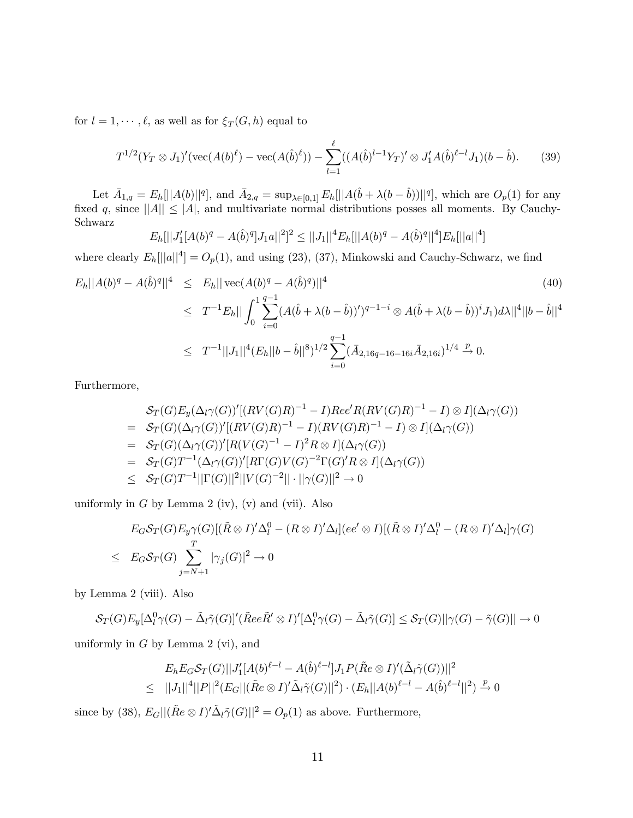for  $l = 1, \dots, \ell$ , as well as for  $\xi_T(G, h)$  equal to

$$
T^{1/2}(Y_T \otimes J_1)'(\text{vec}(A(b)^{\ell}) - \text{vec}(A(\hat{b})^{\ell})) - \sum_{l=1}^{\ell} ((A(\hat{b})^{l-1}Y_T)' \otimes J_1' A(\hat{b})^{\ell-l} J_1)(b - \hat{b}). \tag{39}
$$

Let  $\bar{A}_{1,q} = E_h[||A(b)||^q]$ , and  $\bar{A}_{2,q} = \sup_{\lambda \in [0,1]} E_h[||A(\hat{b} + \lambda(b - \hat{b}))||^q]$ , which are  $O_p(1)$  for any fixed q, since  $||A|| \leq |A|$ , and multivariate normal distributions posses all moments. By Cauchy-Schwarz

$$
E_h[||J_1'(A(b)^q - A(\hat{b})^q]J_1a||^2]^2 \leq ||J_1||^4 E_h[||A(b)^q - A(\hat{b})^q||^4]E_h[||a||^4]
$$

where clearly  $E_h[||a||^4] = O_p(1)$ , and using (23), (37), Minkowski and Cauchy-Schwarz, we find

$$
E_h||A(b)^q - A(\hat{b})^q||^4 \le E_h||\operatorname{vec}(A(b)^q - A(\hat{b})^q)||^4
$$
\n
$$
\le T^{-1}E_h||\int_0^1 \sum_{i=0}^{q-1} (A(\hat{b} + \lambda(b - \hat{b}))')^{q-1-i} \otimes A(\hat{b} + \lambda(b - \hat{b}))^i J_1)d\lambda||^4||b - \hat{b}||^4
$$
\n
$$
\le T^{-1}||J_1||^4(E_h||b - \hat{b}||^8)^{1/2} \sum_{i=0}^{q-1} (\bar{A}_{2,16q-16-16i}\bar{A}_{2,16i})^{1/4} \xrightarrow{p} 0.
$$
\n(40)

Furthermore,

$$
\begin{split}\n&\mathcal{S}_{T}(G)E_{y}(\Delta_{l}\gamma(G))'[RV(G)R)^{-1} - I)Re\epsilon'R(RV(G)R)^{-1} - I) \otimes I](\Delta_{l}\gamma(G)) \\
&= \mathcal{S}_{T}(G)(\Delta_{l}\gamma(G))'[RV(G)R)^{-1} - I)(RV(G)R)^{-1} - I) \otimes I](\Delta_{l}\gamma(G)) \\
&= \mathcal{S}_{T}(G)(\Delta_{l}\gamma(G))'[R(V(G)^{-1} - I)^{2}R \otimes I](\Delta_{l}\gamma(G)) \\
&= \mathcal{S}_{T}(G)T^{-1}(\Delta_{l}\gamma(G))'[R\Gamma(G)V(G)^{-2}\Gamma(G)'R \otimes I](\Delta_{l}\gamma(G)) \\
&\leq \mathcal{S}_{T}(G)T^{-1}||\Gamma(G)||^{2}||V(G)^{-2}|| \cdot ||\gamma(G)||^{2} \rightarrow 0\n\end{split}
$$

uniformly in  $G$  by Lemma 2 (iv), (v) and (vii). Also

$$
E_G S_T(G) E_y \gamma(G) [(\tilde{R} \otimes I)' \Delta_l^0 - (R \otimes I)' \Delta_l] (ee' \otimes I) [(\tilde{R} \otimes I)' \Delta_l^0 - (R \otimes I)' \Delta_l] \gamma(G)
$$
  
\n
$$
\leq E_G S_T(G) \sum_{j=N+1}^T |\gamma_j(G)|^2 \to 0
$$

by Lemma 2 (viii). Also

$$
\mathcal{S}_T(G)E_y[\Delta_l^0\gamma(G) - \tilde{\Delta}_l\tilde{\gamma}(G)]'(\tilde{R}ee\tilde{R}'\otimes I)'[\Delta_l^0\gamma(G) - \tilde{\Delta}_l\tilde{\gamma}(G)] \leq \mathcal{S}_T(G)||\gamma(G) - \tilde{\gamma}(G)|| \to 0
$$

uniformly in  $G$  by Lemma 2 (vi), and

$$
E_h E_G S_T(G) ||J'_1[A(b)^{\ell-l} - A(\hat{b})^{\ell-l}] J_1 P(\tilde{R}e \otimes I)'(\tilde{\Delta}_l \tilde{\gamma}(G))||^2
$$
  
\n
$$
\leq ||J_1||^4 ||P||^2 (E_G ||(\tilde{R}e \otimes I)' \tilde{\Delta}_l \tilde{\gamma}(G)||^2) \cdot (E_h ||A(b)^{\ell-l} - A(\hat{b})^{\ell-l}||^2) \stackrel{p}{\to} 0
$$

since by (38),  $E_G||(\tilde{R}e\otimes I)'\tilde{\Delta}_l\tilde{\gamma}(G)||^2 = O_p(1)$  as above. Furthermore,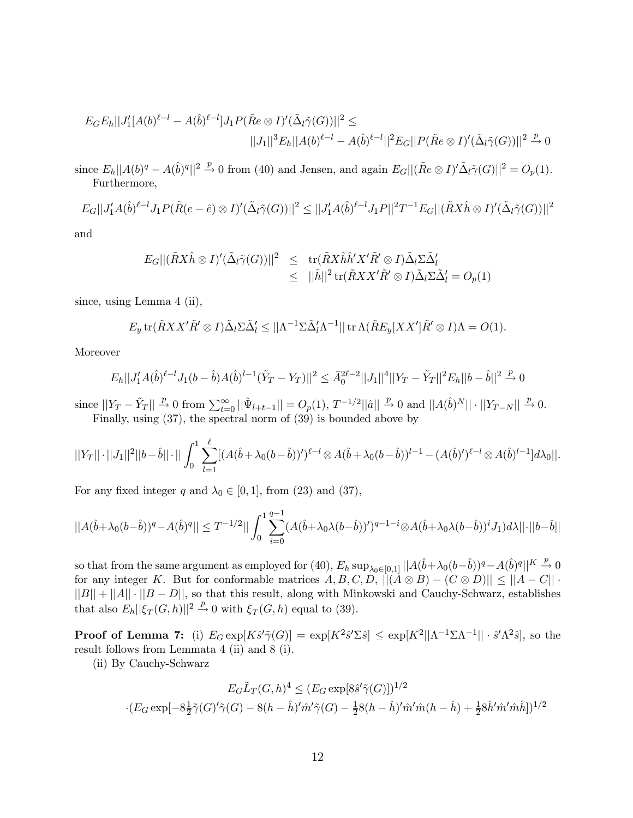$$
E_G E_h ||J'_1 [A(b)^{\ell-l} - A(\hat{b})^{\ell-l}] J_1 P(\tilde{R}e \otimes I)'(\tilde{\Delta}_l \tilde{\gamma}(G))||^2 \le ||J_1||^3 E_h ||A(b)^{\ell-l} - A(\hat{b})^{\ell-l}||^2 E_G ||P(\tilde{R}e \otimes I)'(\tilde{\Delta}_l \tilde{\gamma}(G))||^2 \xrightarrow{p} 0
$$

since  $E_h||A(b)^q - A(\hat{b})^q||^2 \stackrel{p}{\rightarrow} 0$  from (40) and Jensen, and again  $E_G||(\tilde{R}e \otimes I)' \tilde{\Delta}_l \tilde{\gamma}(G)||^2 = O_p(1)$ . Furthermore,

$$
E_G||J'_1A(\hat{b})^{\ell-l}J_1P(\tilde{R}(e-\hat{e})\otimes I)'(\tilde{\Delta}_l\tilde{\gamma}(G))||^2 \leq ||J'_1A(\hat{b})^{\ell-l}J_1P||^2T^{-1}E_G||(\tilde{R}X\hat{h}\otimes I)'(\tilde{\Delta}_l\tilde{\gamma}(G))||^2
$$

and

$$
E_G||(\tilde{R}X\hat{h}\otimes I)'(\tilde{\Delta}_l\tilde{\gamma}(G))||^2 \le \operatorname{tr}(\tilde{R}X\hat{h}\hat{h}'X'\tilde{R}'\otimes I)\tilde{\Delta}_l\Sigma\tilde{\Delta}'_l
$$
  

$$
\le ||\hat{h}||^2 \operatorname{tr}(\tilde{R}XX'\tilde{R}'\otimes I)\tilde{\Delta}_l\Sigma\tilde{\Delta}'_l = O_p(1)
$$

since, using Lemma 4 (ii),

$$
E_y \operatorname{tr}(\tilde{R}XX'\tilde{R}'\otimes I)\tilde{\Delta}_l \Sigma \tilde{\Delta}'_l \le ||\Lambda^{-1}\Sigma \tilde{\Delta}'_l \Lambda^{-1}|| \operatorname{tr}\Lambda(\tilde{R}E_y[XX']\tilde{R}'\otimes I)\Lambda = O(1).
$$

Moreover

$$
E_h||J'_1A(\hat{b})^{\ell-l}J_1(b-\hat{b})A(\hat{b})^{l-1}(\tilde{Y}_T-Y_T)||^2 \leq \bar{A}_0^{2\ell-2}||J_1||^4||Y_T-\tilde{Y}_T||^2E_h||b-\hat{b}||^2 \overset{p}{\to} 0
$$

since  $||Y_T - \tilde{Y}_T|| \stackrel{p}{\to} 0$  from  $\sum_{t=0}^{\infty} ||\hat{\Psi}_{l+t-1}|| = O_p(1), T^{-1/2} ||\hat{a}|| \stackrel{p}{\to} 0$  and  $||A(\hat{b})^N|| \cdot ||Y_{T-N}|| \stackrel{p}{\to} 0$ . Finally, using (37), the spectral norm of (39) is bounded above by

$$
||Y_T|| \cdot ||J_1||^2 ||b - \hat{b}|| \cdot || \int_0^1 \sum_{l=1}^{\ell} [(A(\hat{b} + \lambda_0(b - \hat{b}))')^{\ell-l} \otimes A(\hat{b} + \lambda_0(b - \hat{b}))^{l-1} - (A(\hat{b})')^{\ell-l} \otimes A(\hat{b})^{l-1}] d\lambda_0 ||.
$$

For any fixed integer q and  $\lambda_0 \in [0, 1]$ , from (23) and (37),

$$
||A(\hat{b}+\lambda_0(b-\hat{b}))^q-A(\hat{b})^q||\leq T^{-1/2}||\int_0^1\sum_{i=0}^{q-1}(A(\hat{b}+\lambda_0\lambda(b-\hat{b}))')^{q-1-i}\otimes A(\hat{b}+\lambda_0\lambda(b-\hat{b}))^iJ_1)d\lambda||\cdot||b-\hat{b}||
$$

so that from the same argument as employed for (40),  $E_h \sup_{\lambda_0 \in [0,1]} ||A(\hat{b} + \lambda_0(b-\hat{b}))^q - A(\hat{b})^q||^K \stackrel{p}{\to} 0$ for any integer K. But for conformable matrices  $A, B, C, D, ||(A \otimes B) - (C \otimes D)|| \le ||A - C||$ .  $||B|| + ||A|| \cdot ||B - D||$ , so that this result, along with Minkowski and Cauchy-Schwarz, establishes that also  $E_h ||\xi_T(G, h)||^2 \stackrel{p}{\to} 0$  with  $\xi_T(G, h)$  equal to (39).

**Proof of Lemma 7:** (i)  $E_G \exp[K\hat{s}'\tilde{\gamma}(G)] = \exp[K^2\hat{s}'\Sigma\hat{s}] \leq \exp[K^2||\Lambda^{-1}\Sigma\Lambda^{-1}|| \cdot \hat{s}'\Lambda^2\hat{s}]$ , so the result follows from Lemmata 4 (ii) and 8 (i).

(ii) By Cauchy-Schwarz

$$
E_G \tilde{L}_T(G, h)^4 \le (E_G \exp[8\hat{s}'\tilde{\gamma}(G)])^{1/2}
$$

$$
\cdot (E_G \exp[-8\frac{1}{2}\tilde{\gamma}(G)'\tilde{\gamma}(G) - 8(h - \hat{h})'\hat{m}'\tilde{\gamma}(G) - \frac{1}{2}8(h - \hat{h})'\hat{m}'\hat{m}(h - \hat{h}) + \frac{1}{2}8\hat{h}'\hat{m}'\hat{m}\hat{h}])^{1/2}
$$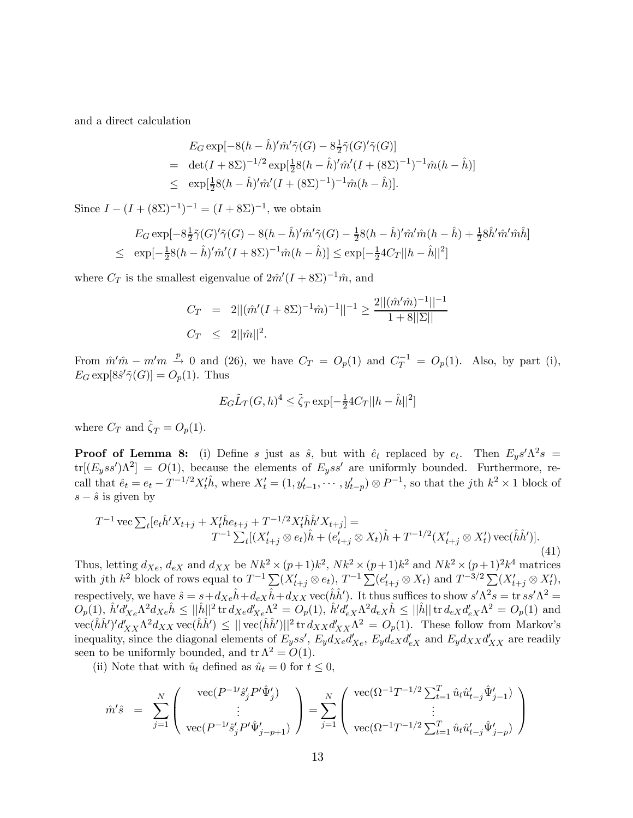and a direct calculation

$$
E_G \exp[-8(h - \hat{h})'\hat{m}'\tilde{\gamma}(G) - 8\frac{1}{2}\tilde{\gamma}(G)'\tilde{\gamma}(G)]
$$
  
= det $(I + 8\Sigma)^{-1/2}$  exp $[\frac{1}{2}8(h - \hat{h})'\hat{m}'(I + (8\Sigma)^{-1})^{-1}\hat{m}(h - \hat{h})]$   
 $\leq$  exp $[\frac{1}{2}8(h - \hat{h})'\hat{m}'(I + (8\Sigma)^{-1})^{-1}\hat{m}(h - \hat{h})].$ 

Since  $I - (I + (8\Sigma)^{-1})^{-1} = (I + 8\Sigma)^{-1}$ , we obtain

$$
E_G \exp[-8\frac{1}{2}\tilde{\gamma}(G)'\tilde{\gamma}(G) - 8(h - \hat{h})'\tilde{m}'\tilde{\gamma}(G) - \frac{1}{2}8(h - \hat{h})'\tilde{m}'\hat{m}(h - \hat{h}) + \frac{1}{2}8\hat{h}'\hat{m}'\hat{m}\hat{h}]
$$
  

$$
\leq \exp[-\frac{1}{2}8(h - \hat{h})'\hat{m}'(I + 8\Sigma)^{-1}\hat{m}(h - \hat{h})] \leq \exp[-\frac{1}{2}4C_T||h - \hat{h}||^2]
$$

where  $C_T$  is the smallest eigenvalue of  $2m'(I + 8\Sigma)^{-1}\hat{m}$ , and

$$
C_T = 2||(\hat{m}'(I + 8\Sigma)^{-1}\hat{m})^{-1}||^{-1} \ge \frac{2||(\hat{m}'\hat{m})^{-1}||^{-1}}{1 + 8||\Sigma||}
$$
  

$$
C_T \le 2||\hat{m}||^2.
$$

From  $\hat{m}'\hat{m} - m'm \stackrel{p}{\rightarrow} 0$  and (26), we have  $C_T = O_p(1)$  and  $C_T^{-1} = O_p(1)$ . Also, by part (i),  $E_G \exp[8\hat{s}' \tilde{\gamma}(G)] = O_p(1)$ . Thus

$$
E_G \tilde{L}_T(G, h)^4 \leq \tilde{\zeta}_T \exp[-\frac{1}{2}4C_T ||h - \hat{h}||^2]
$$

where  $C_T$  and  $\tilde{\zeta}_T = O_p(1)$ .

**Proof of Lemma 8:** (i) Define s just as  $\hat{s}$ , but with  $\hat{e}_t$  replaced by  $e_t$ . Then  $E_y s' \Lambda^2 s$  =  $tr[(E_y s s')\Lambda^2] = O(1)$ , because the elements of  $E_y s s'$  are uniformly bounded. Furthermore, recall that  $\hat{e}_t = e_t - T^{-1/2} X_t' \hat{h}$ , where  $X_t' = (1, y_{t-1}', \dots, y_{t-p}') \otimes P^{-1}$ , so that the jth  $k^2 \times 1$  block of  $s - \hat{s}$  is given by

$$
T^{-1}\text{vec}\sum_{t}[e_{t}\hat{h}'X_{t+j} + X_{t}^{\dagger}\hat{h}e_{t+j} + T^{-1/2}X_{t}^{\dagger}\hat{h}'X_{t+j}] =
$$
  

$$
T^{-1}\sum_{t}[(X_{t+j}^{\prime}\otimes e_{t})\hat{h} + (e_{t+j}^{\prime}\otimes X_{t})\hat{h} + T^{-1/2}(X_{t+j}^{\prime}\otimes X_{t}^{\prime})\text{vec}(\hat{h}\hat{h}')] .
$$
  
(41)

Thus, letting  $d_{Xe}$ ,  $d_{eX}$  and  $d_{XX}$  be  $Nk^2 \times (p+1)k^2$ ,  $Nk^2 \times (p+1)k^2$  and  $Nk^2 \times (p+1)^2k^4$  matrices with jth  $k^2$  block of rows equal to  $T^{-1} \sum_{i=1}^N (X'_{t+j} \otimes e_t)$ ,  $T^{-1} \sum_{i=1}^N (e'_{t+j} \otimes X_t)$  and  $T^{-3/2} \sum_{i=1}^N (X'_{t+j} \otimes X'_t)$ , respectively, we have  $\hat{s} = s + d_{Xe}\hat{h} + d_{eX}\hat{h} + d_{XX}$  vec $(\hat{h}\hat{h}')$ . It thus suffices to show  $s'\Lambda^2 s = \text{tr } ss'\Lambda^2 =$  $O_p(1)$ ,  $\hat{h}'d'_{Xe}\Lambda^2d_{Xe}\hat{h} \leq ||\hat{h}||^2$  tr  $d_{Xe}d'_{Xe}\Lambda^2 = O_p(1)$ ,  $\hat{h}'d'_{eX}\Lambda^2d_{eX}\hat{h} \leq ||\hat{h}||$  tr  $d_{eX}d'_{eX}\Lambda^2 = O_p(1)$  and  $\text{vec}(\hat{h}\hat{h}')' d'_{XX}\Lambda^2 d_{XX} \text{vec}(\hat{h}\hat{h}') \leq ||\text{vec}(\hat{h}\hat{h}')||^2 \text{tr } d_{XX} d'_{XX}\Lambda^2 = O_p(1)$ . These follow from Markov's inequality, since the diagonal elements of  $E_yss'$ ,  $E_yd_{Xe}d'_{Xe}$ ,  $E_yd_{eX}d'_{eX}$  and  $E_yd_{XX}d'_{XX}$  are readily seen to be uniformly bounded, and  $tr \Lambda^2 = O(1)$ .

(ii) Note that with  $\hat{u}_t$  defined as  $\hat{u}_t = 0$  for  $t \leq 0$ ,

$$
\hat{m}'\hat{s} = \sum_{j=1}^{N} \begin{pmatrix} \text{vec}(P^{-1}\hat{s}'_j P' \hat{\Psi}'_j) \\ \vdots \\ \text{vec}(P^{-1}\hat{s}'_j P' \hat{\Psi}'_{j-p+1}) \end{pmatrix} = \sum_{j=1}^{N} \begin{pmatrix} \text{vec}(\Omega^{-1}T^{-1/2} \sum_{t=1}^{T} \hat{u}_t \hat{u}'_{t-j} \hat{\Psi}'_{j-1}) \\ \vdots \\ \text{vec}(\Omega^{-1}T^{-1/2} \sum_{t=1}^{T} \hat{u}_t \hat{u}'_{t-j} \hat{\Psi}'_{j-p}) \end{pmatrix}
$$